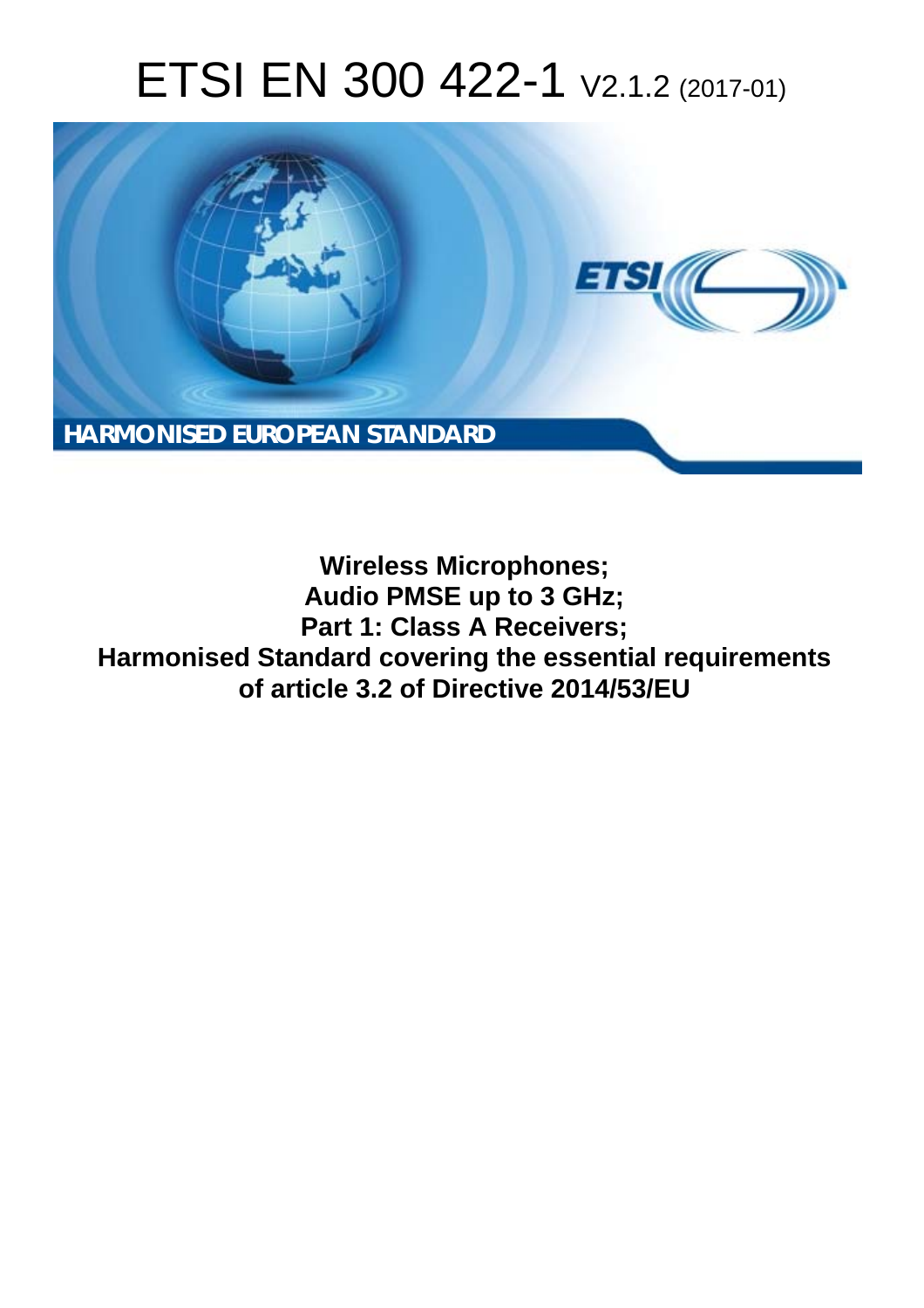# ETSI EN 300 422-1 V2.1.2 (2017-01)



**Wireless Microphones; Audio PMSE up to 3 GHz; Part 1: Class A Receivers; Harmonised Standard covering the essential requirements of article 3.2 of Directive 2014/53/EU**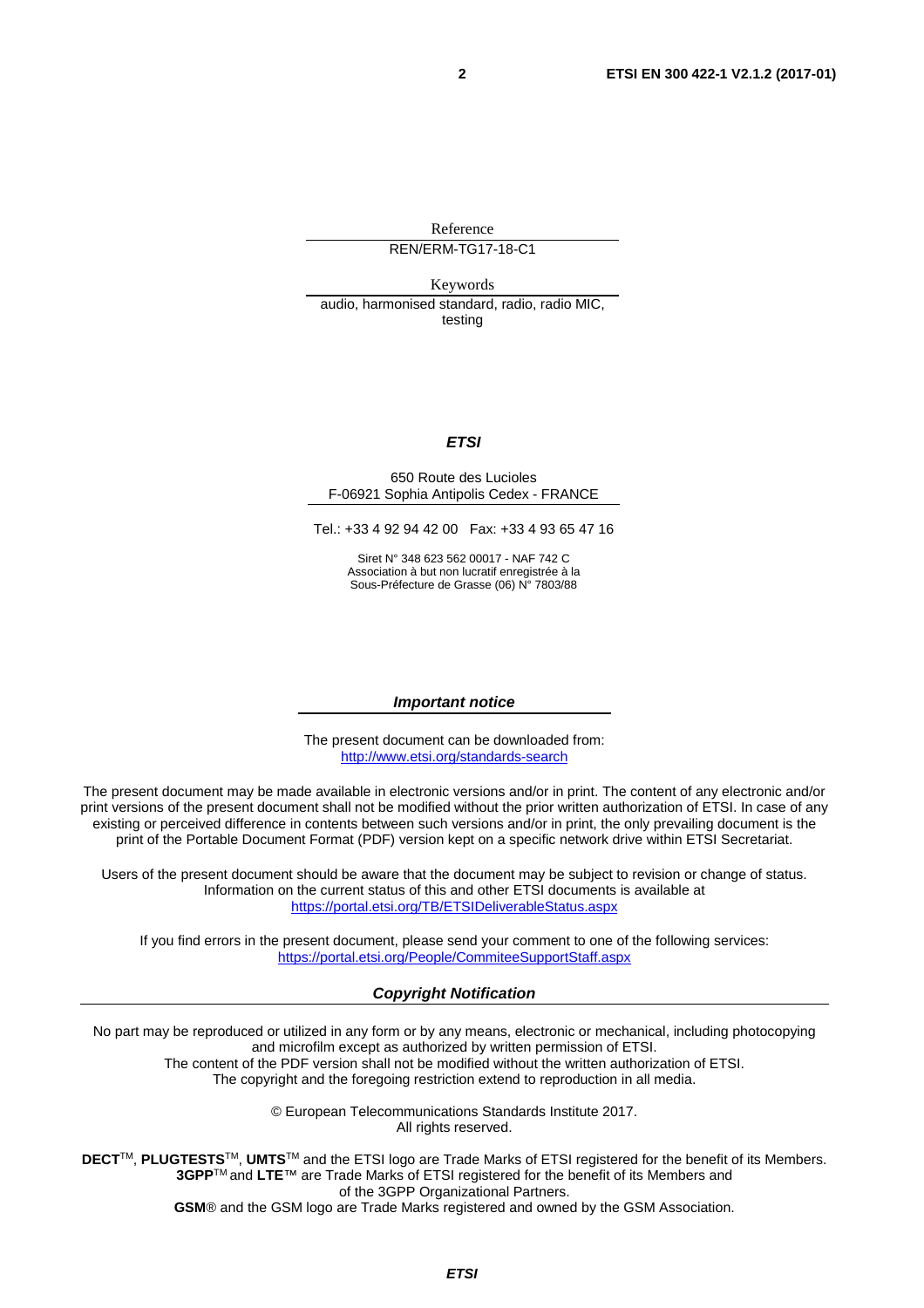Reference REN/ERM-TG17-18-C1

Keywords

audio, harmonised standard, radio, radio MIC, testing

#### *ETSI*

#### 650 Route des Lucioles F-06921 Sophia Antipolis Cedex - FRANCE

Tel.: +33 4 92 94 42 00 Fax: +33 4 93 65 47 16

Siret N° 348 623 562 00017 - NAF 742 C Association à but non lucratif enregistrée à la Sous-Préfecture de Grasse (06) N° 7803/88

#### *Important notice*

The present document can be downloaded from: <http://www.etsi.org/standards-search>

The present document may be made available in electronic versions and/or in print. The content of any electronic and/or print versions of the present document shall not be modified without the prior written authorization of ETSI. In case of any existing or perceived difference in contents between such versions and/or in print, the only prevailing document is the print of the Portable Document Format (PDF) version kept on a specific network drive within ETSI Secretariat.

Users of the present document should be aware that the document may be subject to revision or change of status. Information on the current status of this and other ETSI documents is available at <https://portal.etsi.org/TB/ETSIDeliverableStatus.aspx>

If you find errors in the present document, please send your comment to one of the following services: <https://portal.etsi.org/People/CommiteeSupportStaff.aspx>

#### *Copyright Notification*

No part may be reproduced or utilized in any form or by any means, electronic or mechanical, including photocopying and microfilm except as authorized by written permission of ETSI.

The content of the PDF version shall not be modified without the written authorization of ETSI. The copyright and the foregoing restriction extend to reproduction in all media.

> © European Telecommunications Standards Institute 2017. All rights reserved.

**DECT**TM, **PLUGTESTS**TM, **UMTS**TM and the ETSI logo are Trade Marks of ETSI registered for the benefit of its Members. **3GPP**TM and **LTE**™ are Trade Marks of ETSI registered for the benefit of its Members and of the 3GPP Organizational Partners.

**GSM**® and the GSM logo are Trade Marks registered and owned by the GSM Association.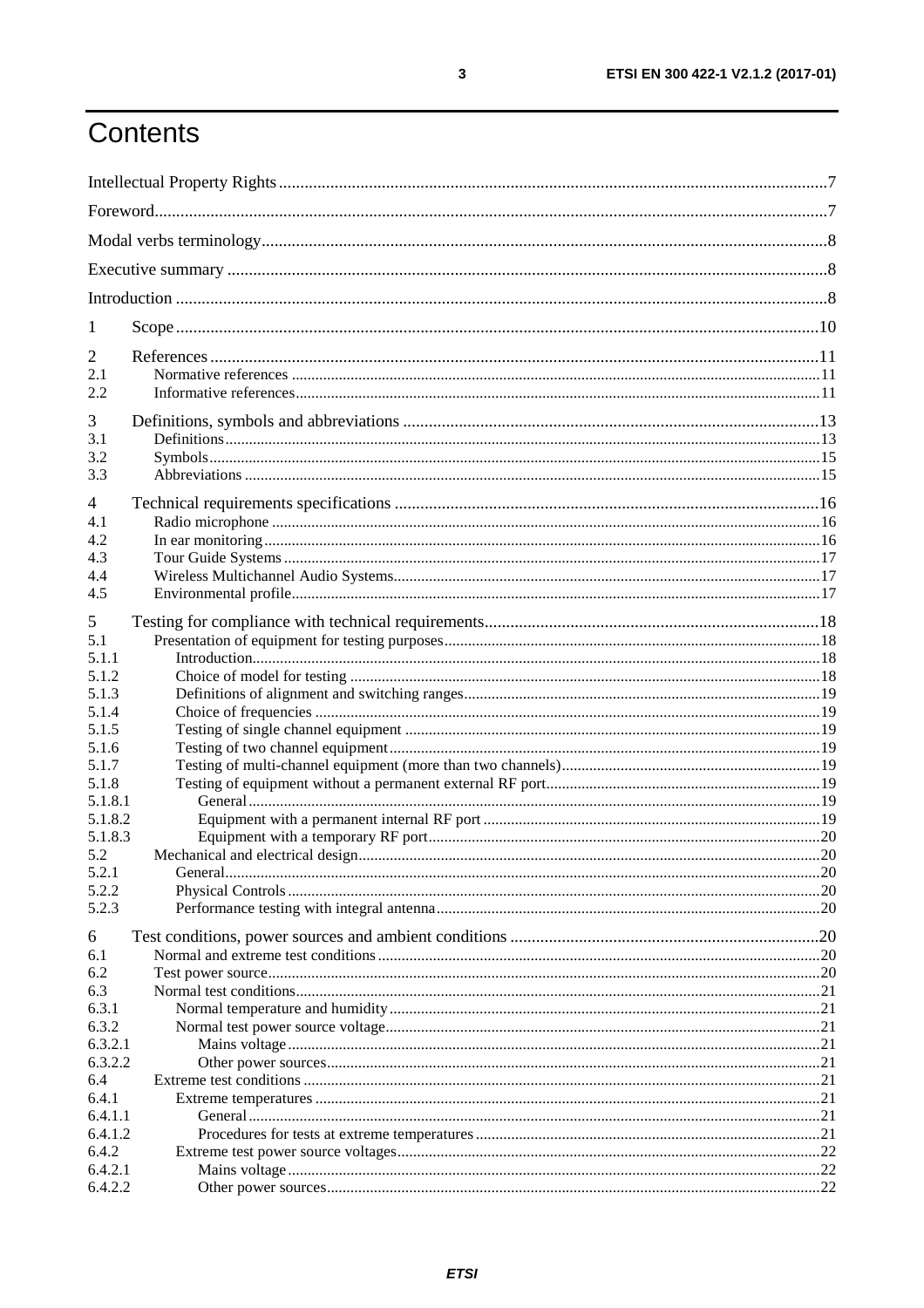## Contents

| 1              |  |
|----------------|--|
| 2              |  |
| 2.1            |  |
| 2.2            |  |
| 3              |  |
| 3.1            |  |
| 3.2            |  |
| 3.3            |  |
| 4              |  |
| 4.1            |  |
| 4.2            |  |
| 4.3            |  |
| 4.4            |  |
| 4.5            |  |
| 5              |  |
| 5.1            |  |
| 5.1.1          |  |
| 5.1.2          |  |
| 5.1.3          |  |
| 5.1.4          |  |
| 5.1.5          |  |
| 5.1.6          |  |
| 5.1.7<br>5.1.8 |  |
| 5.1.8.1        |  |
| 5.1.8.2        |  |
| 5.1.8.3        |  |
| 5.2            |  |
| 5.2.1          |  |
| 5.2.2          |  |
| 5.2.3          |  |
| 6              |  |
| 6.1            |  |
| 6.2            |  |
| 6.3            |  |
| 6.3.1          |  |
| 6.3.2          |  |
| 6.3.2.1        |  |
| 6.3.2.2        |  |
| 6.4<br>6.4.1   |  |
| 6.4.1.1        |  |
| 6.4.1.2        |  |
| 6.4.2          |  |
| 6.4.2.1        |  |
| 6.4.2.2        |  |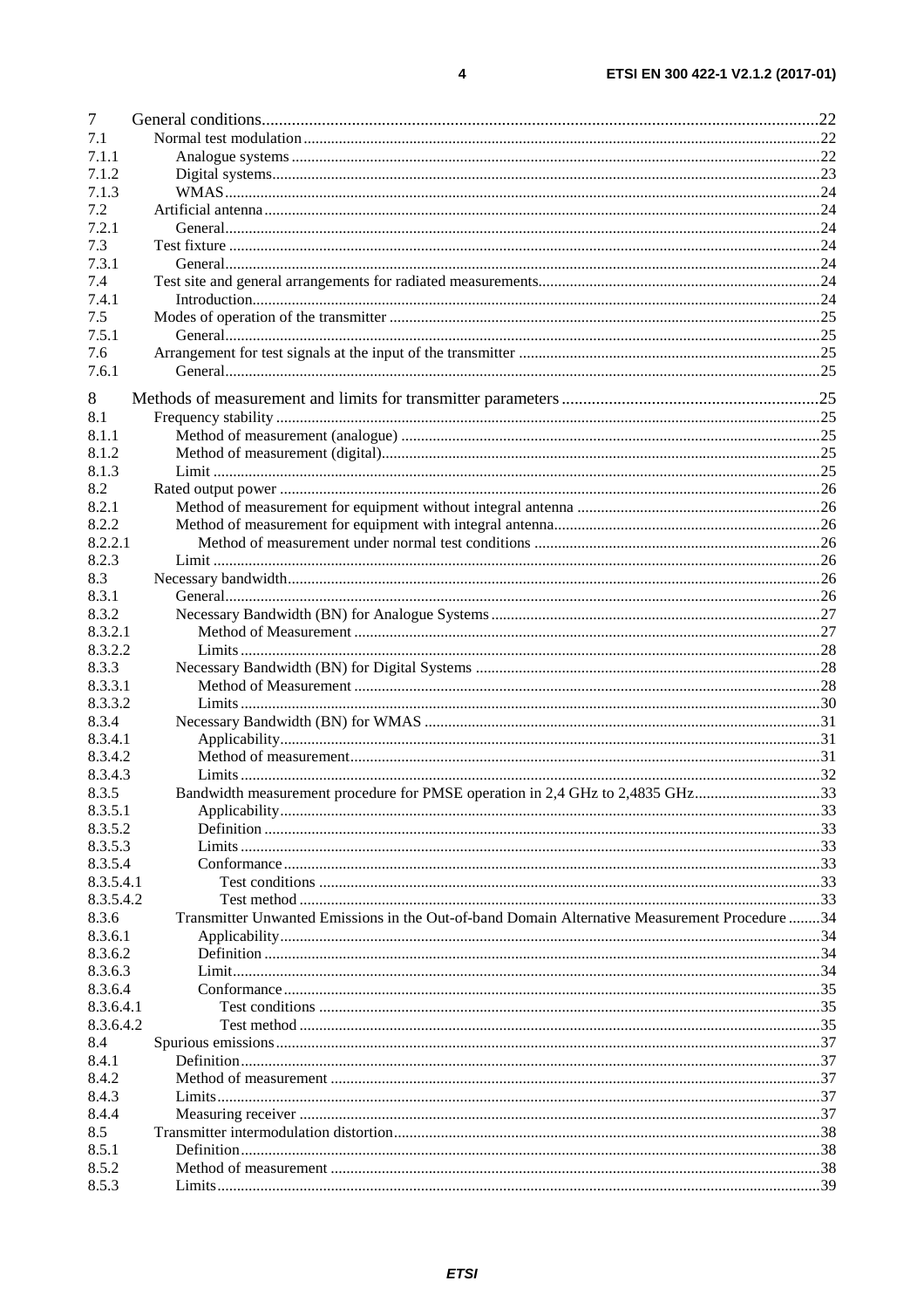| $\overline{7}$ |                                                                                               |  |
|----------------|-----------------------------------------------------------------------------------------------|--|
| 7.1            |                                                                                               |  |
| 7.1.1          |                                                                                               |  |
| 7.1.2          |                                                                                               |  |
| 7.1.3          |                                                                                               |  |
| 7.2            |                                                                                               |  |
| 7.2.1          |                                                                                               |  |
| 7.3            |                                                                                               |  |
| 7.3.1          |                                                                                               |  |
| 7.4            |                                                                                               |  |
| 7.4.1          |                                                                                               |  |
| 7.5            |                                                                                               |  |
| 7.5.1          |                                                                                               |  |
| 7.6            |                                                                                               |  |
| 7.6.1          |                                                                                               |  |
|                |                                                                                               |  |
| 8              |                                                                                               |  |
| 8.1            |                                                                                               |  |
| 8.1.1          |                                                                                               |  |
| 8.1.2          |                                                                                               |  |
| 8.1.3          |                                                                                               |  |
| 8.2            |                                                                                               |  |
| 8.2.1          |                                                                                               |  |
| 8.2.2          |                                                                                               |  |
| 8.2.2.1        |                                                                                               |  |
| 8.2.3          |                                                                                               |  |
| 8.3            |                                                                                               |  |
| 8.3.1          |                                                                                               |  |
| 8.3.2          |                                                                                               |  |
| 8.3.2.1        |                                                                                               |  |
| 8.3.2.2        |                                                                                               |  |
|                |                                                                                               |  |
| 8.3.3          |                                                                                               |  |
| 8.3.3.1        |                                                                                               |  |
| 8.3.3.2        |                                                                                               |  |
| 8.3.4          |                                                                                               |  |
| 8.3.4.1        |                                                                                               |  |
| 8.3.4.2        |                                                                                               |  |
| 8.3.4.3        |                                                                                               |  |
| 8.3.5          | Bandwidth measurement procedure for PMSE operation in 2,4 GHz to 2,4835 GHz33                 |  |
| 8.3.5.1        |                                                                                               |  |
| 8.3.5.2        |                                                                                               |  |
| 8.3.5.3        |                                                                                               |  |
| 8.3.5.4        |                                                                                               |  |
| 8.3.5.4.1      |                                                                                               |  |
| 8.3.5.4.2      |                                                                                               |  |
| 8.3.6          | Transmitter Unwanted Emissions in the Out-of-band Domain Alternative Measurement Procedure 34 |  |
| 8.3.6.1        |                                                                                               |  |
| 8.3.6.2        |                                                                                               |  |
| 8.3.6.3        |                                                                                               |  |
| 8.3.6.4        |                                                                                               |  |
| 8.3.6.4.1      |                                                                                               |  |
| 8.3.6.4.2      |                                                                                               |  |
| 8.4            |                                                                                               |  |
| 8.4.1          |                                                                                               |  |
| 8.4.2          |                                                                                               |  |
| 8.4.3          |                                                                                               |  |
| 8.4.4          |                                                                                               |  |
| 8.5            |                                                                                               |  |
| 8.5.1          |                                                                                               |  |
| 8.5.2          |                                                                                               |  |
| 8.5.3          |                                                                                               |  |
|                |                                                                                               |  |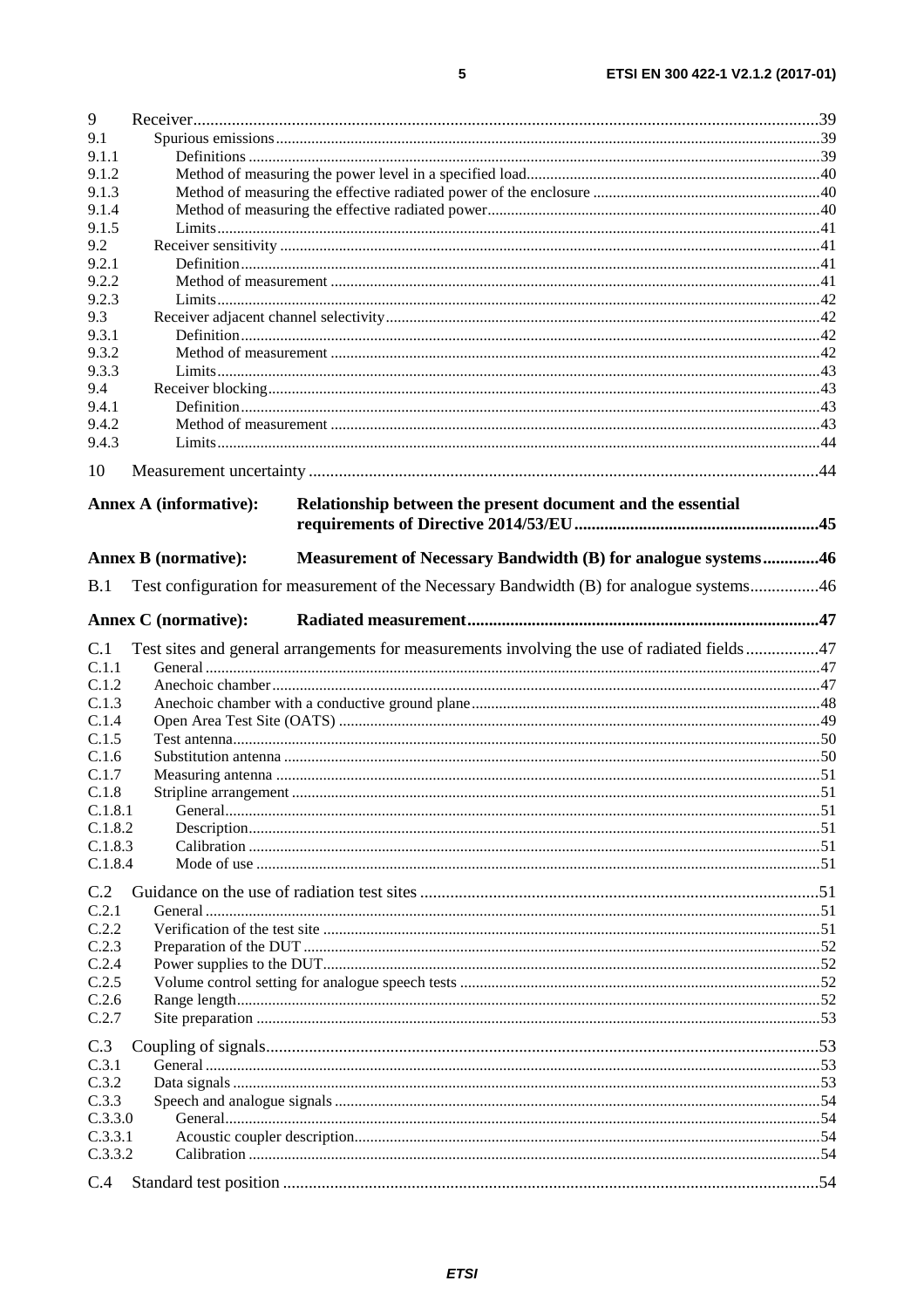| 9       |                                                                                              |  |
|---------|----------------------------------------------------------------------------------------------|--|
| 9.1     |                                                                                              |  |
| 9.1.1   |                                                                                              |  |
| 9.1.2   |                                                                                              |  |
| 9.1.3   |                                                                                              |  |
| 9.1.4   |                                                                                              |  |
| 9.1.5   |                                                                                              |  |
| 9.2     |                                                                                              |  |
| 9.2.1   |                                                                                              |  |
| 9.2.2   |                                                                                              |  |
| 9.2.3   |                                                                                              |  |
| 9.3     |                                                                                              |  |
| 9.3.1   |                                                                                              |  |
| 9.3.2   |                                                                                              |  |
| 9.3.3   |                                                                                              |  |
| 9.4     |                                                                                              |  |
| 9.4.1   |                                                                                              |  |
| 9.4.2   |                                                                                              |  |
| 9.4.3   |                                                                                              |  |
| 10      |                                                                                              |  |
|         | Relationship between the present document and the essential<br><b>Annex A (informative):</b> |  |
|         |                                                                                              |  |
|         | Measurement of Necessary Bandwidth (B) for analogue systems46<br><b>Annex B</b> (normative): |  |
| B.1     | Test configuration for measurement of the Necessary Bandwidth (B) for analogue systems46     |  |
|         |                                                                                              |  |
|         | <b>Annex C</b> (normative):                                                                  |  |
| C.1     | Test sites and general arrangements for measurements involving the use of radiated fields47  |  |
| C.1.1   |                                                                                              |  |
| C.1.2   |                                                                                              |  |
| C.1.3   |                                                                                              |  |
| C.1.4   |                                                                                              |  |
| C.1.5   |                                                                                              |  |
| C.1.6   |                                                                                              |  |
| C.1.7   |                                                                                              |  |
| C.1.8   |                                                                                              |  |
| C.1.8.1 |                                                                                              |  |
| C.1.8.2 |                                                                                              |  |
| C.1.8.3 |                                                                                              |  |
| C.1.8.4 |                                                                                              |  |
| C.2     |                                                                                              |  |
| C.2.1   |                                                                                              |  |
| C.2.2   |                                                                                              |  |
| C.2.3   |                                                                                              |  |
| C.2.4   |                                                                                              |  |
| C.2.5   |                                                                                              |  |
| C.2.6   |                                                                                              |  |
| C.2.7   |                                                                                              |  |
| C.3     |                                                                                              |  |
| C.3.1   |                                                                                              |  |
| C.3.2   |                                                                                              |  |
| C.3.3   |                                                                                              |  |
| C.3.3.0 |                                                                                              |  |
| C.3.3.1 |                                                                                              |  |
| C.3.3.2 |                                                                                              |  |
|         |                                                                                              |  |
| C.4     |                                                                                              |  |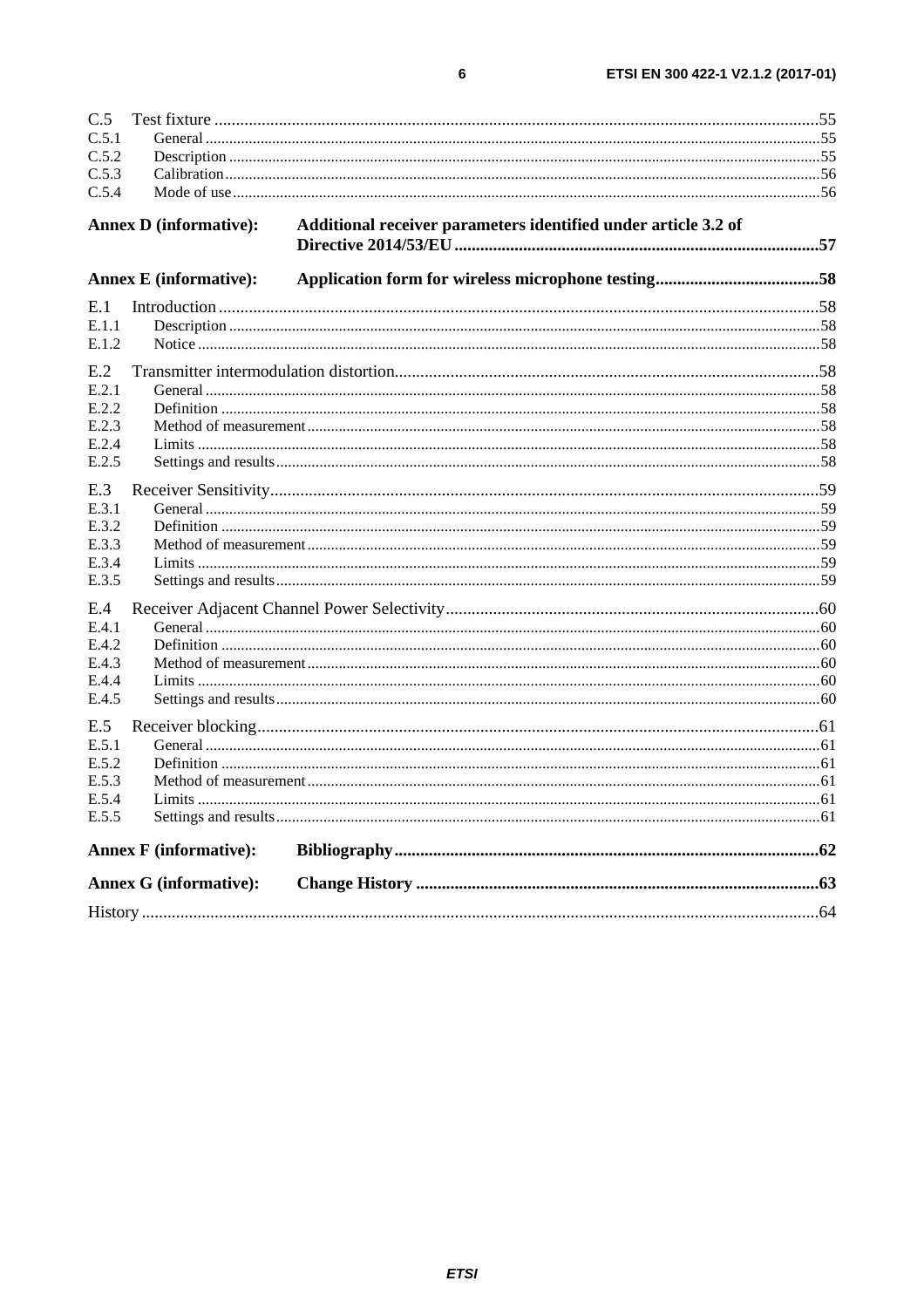| C.5.1<br>C.5.2<br>Additional receiver parameters identified under article 3.2 of<br><b>Annex D</b> (informative):<br><b>Annex E</b> (informative):<br>E.1<br>E.1.1<br>E.1.2<br>E.2<br>E.2.1<br>E.2.2<br>E.2.3<br>E.2.4<br>E.2.5<br>E.3<br>E.3.1<br>E.3.2<br>E.3.3<br>E.3.4<br>E.3.5<br>E.4<br>E.4.1<br>E.4.2<br>E.4.3<br>E.4.4<br>E.4.5<br>E.5<br>E.5.4<br>E.5.5<br><b>Annex F</b> (informative):<br><b>Annex G (informative):</b> | C.5   |  |  |
|------------------------------------------------------------------------------------------------------------------------------------------------------------------------------------------------------------------------------------------------------------------------------------------------------------------------------------------------------------------------------------------------------------------------------------|-------|--|--|
|                                                                                                                                                                                                                                                                                                                                                                                                                                    |       |  |  |
|                                                                                                                                                                                                                                                                                                                                                                                                                                    |       |  |  |
|                                                                                                                                                                                                                                                                                                                                                                                                                                    | C.5.3 |  |  |
|                                                                                                                                                                                                                                                                                                                                                                                                                                    | C.5.4 |  |  |
|                                                                                                                                                                                                                                                                                                                                                                                                                                    |       |  |  |
|                                                                                                                                                                                                                                                                                                                                                                                                                                    |       |  |  |
|                                                                                                                                                                                                                                                                                                                                                                                                                                    |       |  |  |
|                                                                                                                                                                                                                                                                                                                                                                                                                                    |       |  |  |
|                                                                                                                                                                                                                                                                                                                                                                                                                                    |       |  |  |
|                                                                                                                                                                                                                                                                                                                                                                                                                                    |       |  |  |
|                                                                                                                                                                                                                                                                                                                                                                                                                                    |       |  |  |
|                                                                                                                                                                                                                                                                                                                                                                                                                                    |       |  |  |
|                                                                                                                                                                                                                                                                                                                                                                                                                                    |       |  |  |
|                                                                                                                                                                                                                                                                                                                                                                                                                                    |       |  |  |
|                                                                                                                                                                                                                                                                                                                                                                                                                                    |       |  |  |
|                                                                                                                                                                                                                                                                                                                                                                                                                                    |       |  |  |
|                                                                                                                                                                                                                                                                                                                                                                                                                                    |       |  |  |
|                                                                                                                                                                                                                                                                                                                                                                                                                                    |       |  |  |
|                                                                                                                                                                                                                                                                                                                                                                                                                                    |       |  |  |
|                                                                                                                                                                                                                                                                                                                                                                                                                                    |       |  |  |
|                                                                                                                                                                                                                                                                                                                                                                                                                                    |       |  |  |
|                                                                                                                                                                                                                                                                                                                                                                                                                                    |       |  |  |
|                                                                                                                                                                                                                                                                                                                                                                                                                                    |       |  |  |
|                                                                                                                                                                                                                                                                                                                                                                                                                                    |       |  |  |
|                                                                                                                                                                                                                                                                                                                                                                                                                                    |       |  |  |
|                                                                                                                                                                                                                                                                                                                                                                                                                                    |       |  |  |
|                                                                                                                                                                                                                                                                                                                                                                                                                                    |       |  |  |
|                                                                                                                                                                                                                                                                                                                                                                                                                                    |       |  |  |
|                                                                                                                                                                                                                                                                                                                                                                                                                                    | E.5.1 |  |  |
|                                                                                                                                                                                                                                                                                                                                                                                                                                    | E.5.2 |  |  |
|                                                                                                                                                                                                                                                                                                                                                                                                                                    | E.5.3 |  |  |
|                                                                                                                                                                                                                                                                                                                                                                                                                                    |       |  |  |
|                                                                                                                                                                                                                                                                                                                                                                                                                                    |       |  |  |
|                                                                                                                                                                                                                                                                                                                                                                                                                                    |       |  |  |
|                                                                                                                                                                                                                                                                                                                                                                                                                                    |       |  |  |
|                                                                                                                                                                                                                                                                                                                                                                                                                                    |       |  |  |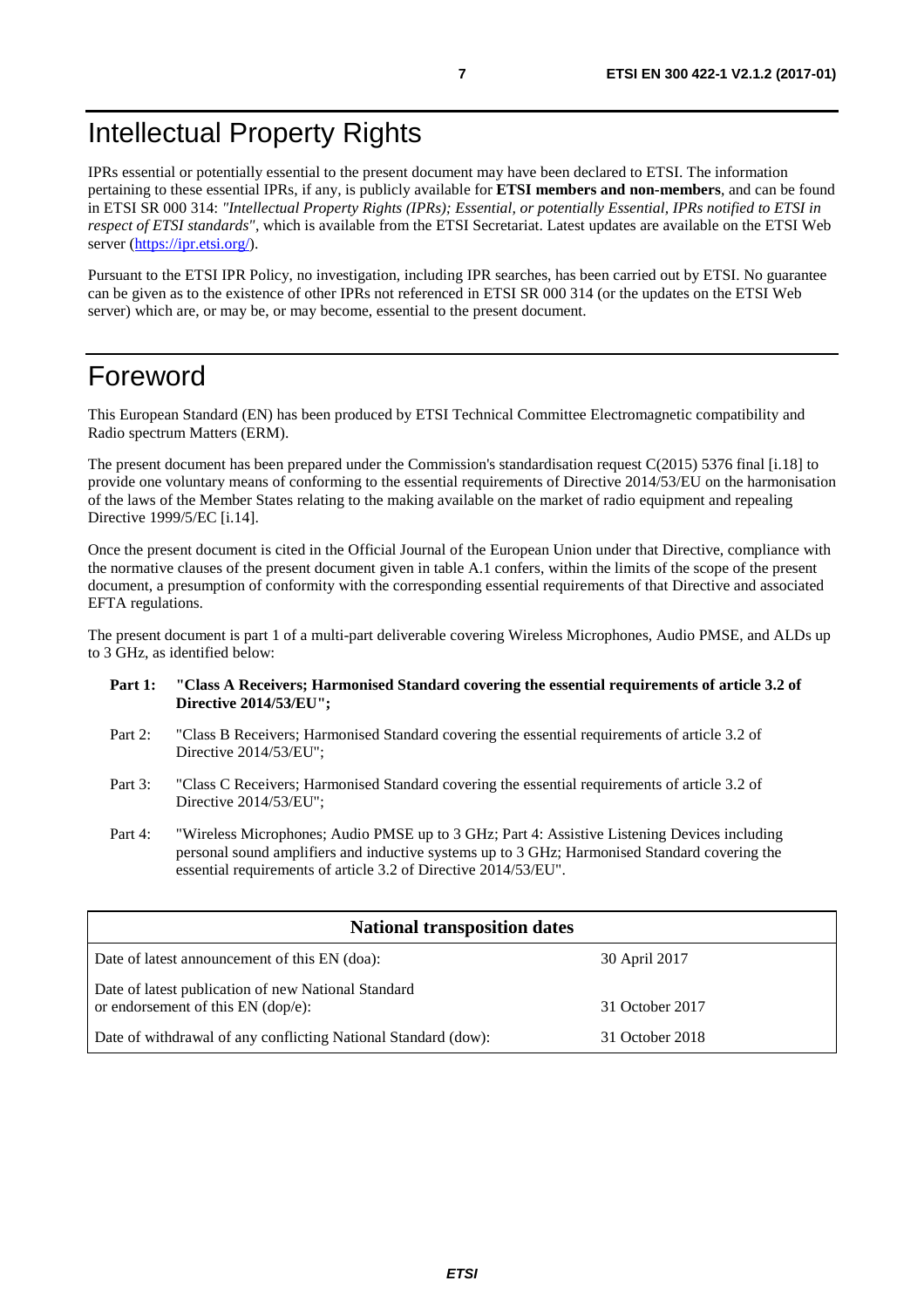## <span id="page-6-0"></span>Intellectual Property Rights

IPRs essential or potentially essential to the present document may have been declared to ETSI. The information pertaining to these essential IPRs, if any, is publicly available for **ETSI members and non-members**, and can be found in ETSI SR 000 314: *"Intellectual Property Rights (IPRs); Essential, or potentially Essential, IPRs notified to ETSI in respect of ETSI standards"*, which is available from the ETSI Secretariat. Latest updates are available on the ETSI Web server ([https://ipr.etsi.org/\)](https://ipr.etsi.org/).

Pursuant to the ETSI IPR Policy, no investigation, including IPR searches, has been carried out by ETSI. No guarantee can be given as to the existence of other IPRs not referenced in ETSI SR 000 314 (or the updates on the ETSI Web server) which are, or may be, or may become, essential to the present document.

## Foreword

This European Standard (EN) has been produced by ETSI Technical Committee Electromagnetic compatibility and Radio spectrum Matters (ERM).

The present document has been prepared under the Commission's standardisation request C(2015) 5376 final [\[i.18](#page-11-0)] to provide one voluntary means of conforming to the essential requirements of Directive 2014/53/EU on the harmonisation of the laws of the Member States relating to the making available on the market of radio equipment and repealing Directive 1999/5/EC [\[i.14\]](#page-11-0).

Once the present document is cited in the Official Journal of the European Union under that Directive, compliance with the normative clauses of the present document given in table A.1 confers, within the limits of the scope of the present document, a presumption of conformity with the corresponding essential requirements of that Directive and associated EFTA regulations.

The present document is part 1 of a multi-part deliverable covering Wireless Microphones, Audio PMSE, and ALDs up to 3 GHz, as identified below:

- **Part 1: "Class A Receivers; Harmonised Standard covering the essential requirements of article 3.2 of Directive 2014/53/EU";**
- Part 2: "Class B Receivers; Harmonised Standard covering the essential requirements of article 3.2 of Directive 2014/53/EU";
- Part 3: "Class C Receivers; Harmonised Standard covering the essential requirements of article 3.2 of Directive 2014/53/EU";
- Part 4: "Wireless Microphones; Audio PMSE up to 3 GHz; Part 4: Assistive Listening Devices including personal sound amplifiers and inductive systems up to 3 GHz; Harmonised Standard covering the essential requirements of article 3.2 of Directive 2014/53/EU".

| <b>National transposition dates</b>                                                         |                 |  |
|---------------------------------------------------------------------------------------------|-----------------|--|
| Date of latest announcement of this EN (doa):                                               | 30 April 2017   |  |
| Date of latest publication of new National Standard<br>or endorsement of this $EN$ (dop/e): | 31 October 2017 |  |
| Date of withdrawal of any conflicting National Standard (dow):                              | 31 October 2018 |  |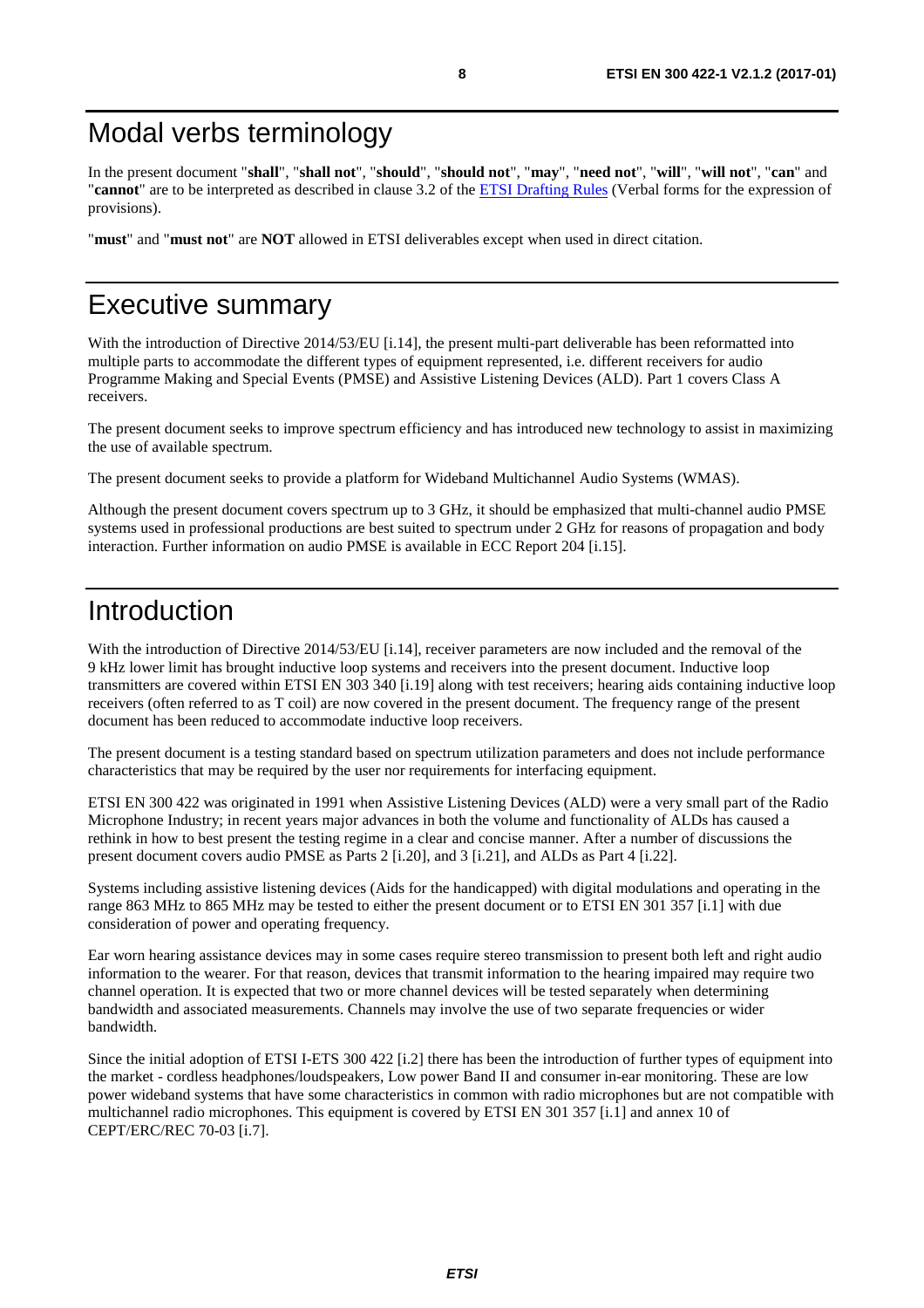## <span id="page-7-0"></span>Modal verbs terminology

In the present document "**shall**", "**shall not**", "**should**", "**should not**", "**may**", "**need not**", "**will**", "**will not**", "**can**" and "**cannot**" are to be interpreted as described in clause 3.2 of the [ETSI Drafting Rules](https://portal.etsi.org/Services/editHelp!/Howtostart/ETSIDraftingRules.aspx) (Verbal forms for the expression of provisions).

"**must**" and "**must not**" are **NOT** allowed in ETSI deliverables except when used in direct citation.

## Executive summary

With the introduction of Directive 2014/53/EU [\[i.14](#page-11-0)], the present multi-part deliverable has been reformatted into multiple parts to accommodate the different types of equipment represented, i.e. different receivers for audio Programme Making and Special Events (PMSE) and Assistive Listening Devices (ALD). Part 1 covers Class A receivers.

The present document seeks to improve spectrum efficiency and has introduced new technology to assist in maximizing the use of available spectrum.

The present document seeks to provide a platform for Wideband Multichannel Audio Systems (WMAS).

Although the present document covers spectrum up to 3 GHz, it should be emphasized that multi-channel audio PMSE systems used in professional productions are best suited to spectrum under 2 GHz for reasons of propagation and body interaction. Further information on audio PMSE is available in ECC Report 204 [\[i.15\]](#page-11-0).

## Introduction

With the introduction of Directive 2014/53/EU [\[i.14](#page-11-0)], receiver parameters are now included and the removal of the 9 kHz lower limit has brought inductive loop systems and receivers into the present document. Inductive loop transmitters are covered within ETSI EN 303 340 [\[i.19](#page-11-0)] along with test receivers; hearing aids containing inductive loop receivers (often referred to as T coil) are now covered in the present document. The frequency range of the present document has been reduced to accommodate inductive loop receivers.

The present document is a testing standard based on spectrum utilization parameters and does not include performance characteristics that may be required by the user nor requirements for interfacing equipment.

ETSI EN 300 422 was originated in 1991 when Assistive Listening Devices (ALD) were a very small part of the Radio Microphone Industry; in recent years major advances in both the volume and functionality of ALDs has caused a rethink in how to best present the testing regime in a clear and concise manner. After a number of discussions the present document covers audio PMSE as Parts 2 [\[i.20](#page-11-0)], and 3 [\[i.21](#page-11-0)], and ALDs as Part 4 [\[i.22](#page-11-0)].

Systems including assistive listening devices (Aids for the handicapped) with digital modulations and operating in the range 863 MHz to 865 MHz may be tested to either the present document or to ETSI EN 301 357 [\[i.1\]](#page-10-0) with due consideration of power and operating frequency.

Ear worn hearing assistance devices may in some cases require stereo transmission to present both left and right audio information to the wearer. For that reason, devices that transmit information to the hearing impaired may require two channel operation. It is expected that two or more channel devices will be tested separately when determining bandwidth and associated measurements. Channels may involve the use of two separate frequencies or wider bandwidth.

Since the initial adoption of ETSI I-ETS 300 422 [\[i.2](#page-10-0)] there has been the introduction of further types of equipment into the market - cordless headphones/loudspeakers, Low power Band II and consumer in-ear monitoring. These are low power wideband systems that have some characteristics in common with radio microphones but are not compatible with multichannel radio microphones. This equipment is covered by ETSI EN 301 357 [[i.1](#page-10-0)] and annex 10 of CEPT/ERC/REC 70-03 [\[i.7](#page-10-0)].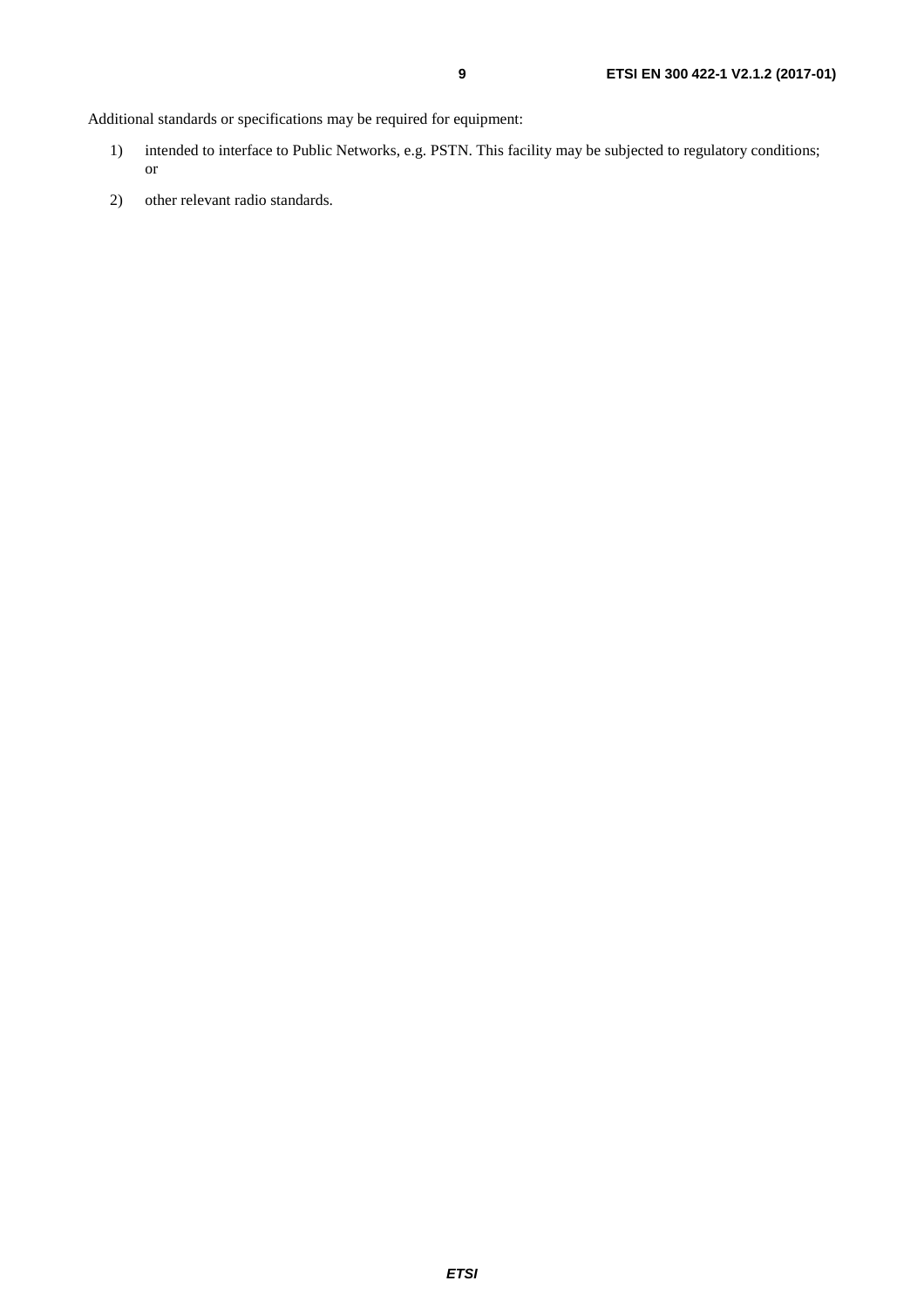Additional standards or specifications may be required for equipment:

- 1) intended to interface to Public Networks, e.g. PSTN. This facility may be subjected to regulatory conditions; or
- 2) other relevant radio standards.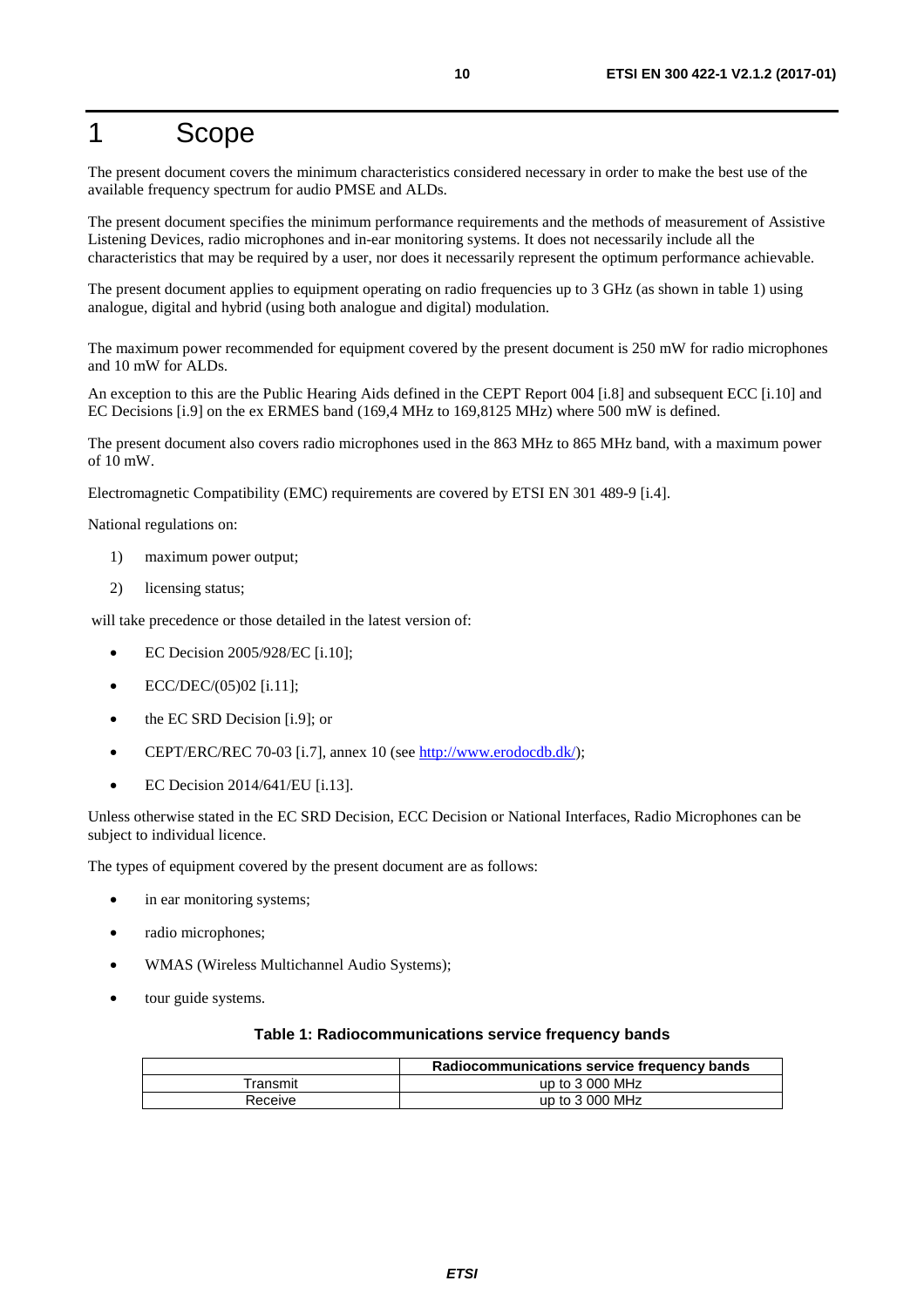## <span id="page-9-0"></span>1 Scope

The present document covers the minimum characteristics considered necessary in order to make the best use of the available frequency spectrum for audio PMSE and ALDs.

The present document specifies the minimum performance requirements and the methods of measurement of Assistive Listening Devices, radio microphones and in-ear monitoring systems. It does not necessarily include all the characteristics that may be required by a user, nor does it necessarily represent the optimum performance achievable.

The present document applies to equipment operating on radio frequencies up to 3 GHz (as shown in table 1) using analogue, digital and hybrid (using both analogue and digital) modulation.

The maximum power recommended for equipment covered by the present document is 250 mW for radio microphones and 10 mW for ALDs.

An exception to this are the Public Hearing Aids defined in the CEPT Report 004 [[i.8\]](#page-10-0) and subsequent ECC [[i.10\]](#page-11-0) and EC Decisions [\[i.9](#page-11-0)] on the ex ERMES band (169,4 MHz to 169,8125 MHz) where 500 mW is defined.

The present document also covers radio microphones used in the 863 MHz to 865 MHz band, with a maximum power of 10 mW.

Electromagnetic Compatibility (EMC) requirements are covered by ETSI EN 301 489-9 [\[i.4\]](#page-10-0).

National regulations on:

- 1) maximum power output;
- 2) licensing status;

will take precedence or those detailed in the latest version of:

- EC Decision 2005/928/EC [[i.10](#page-11-0)];
- ECC/DEC/(05)02 [\[i.11](#page-11-0)];
- the EC SRD Decision [[i.9](#page-11-0)]; or
- CEPT/ERC/REC 70-03 [[i.7](#page-10-0)], annex 10 (see <http://www.erodocdb.dk/>);
- EC Decision 2014/641/EU [\[i.13](#page-11-0)].

Unless otherwise stated in the EC SRD Decision, ECC Decision or National Interfaces, Radio Microphones can be subject to individual licence.

The types of equipment covered by the present document are as follows:

- in ear monitoring systems;
- radio microphones;
- WMAS (Wireless Multichannel Audio Systems);
- tour guide systems.

#### **Table 1: Radiocommunications service frequency bands**

|          | Radiocommunications service frequency bands |  |
|----------|---------------------------------------------|--|
| Transmit | up to $3000$ MHz                            |  |
| Receive  | up to $3000$ MHz                            |  |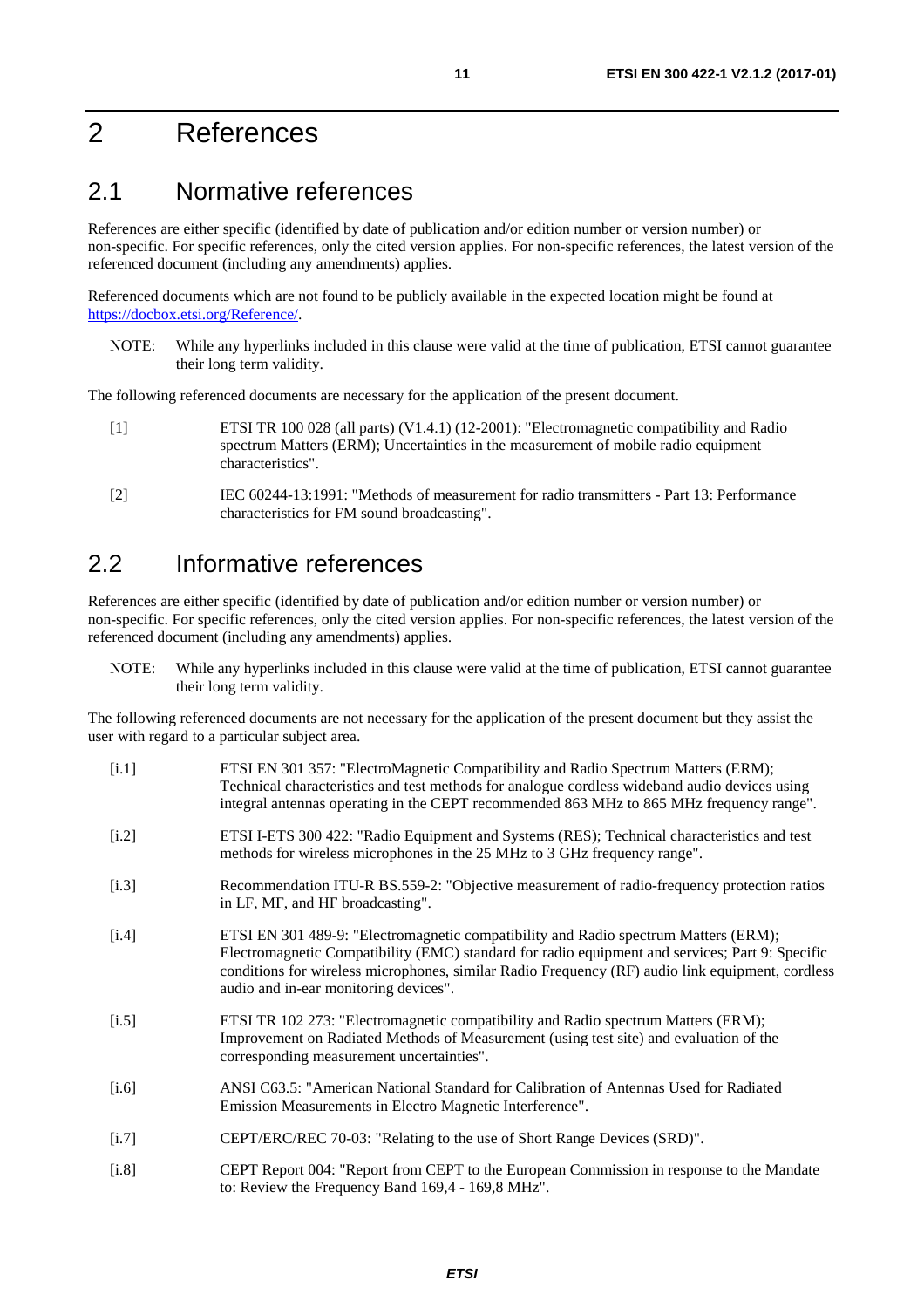## <span id="page-10-0"></span>2 References

### 2.1 Normative references

References are either specific (identified by date of publication and/or edition number or version number) or non-specific. For specific references, only the cited version applies. For non-specific references, the latest version of the referenced document (including any amendments) applies.

Referenced documents which are not found to be publicly available in the expected location might be found at <https://docbox.etsi.org/Reference/>.

NOTE: While any hyperlinks included in this clause were valid at the time of publication, ETSI cannot guarantee their long term validity.

The following referenced documents are necessary for the application of the present document.

- [1] ETSI TR 100 028 (all parts) (V1.4.1) (12-2001): "Electromagnetic compatibility and Radio spectrum Matters (ERM); Uncertainties in the measurement of mobile radio equipment characteristics".
- [2] IEC 60244-13:1991: "Methods of measurement for radio transmitters Part 13: Performance characteristics for FM sound broadcasting".

### 2.2 Informative references

References are either specific (identified by date of publication and/or edition number or version number) or non-specific. For specific references, only the cited version applies. For non-specific references, the latest version of the referenced document (including any amendments) applies.

NOTE: While any hyperlinks included in this clause were valid at the time of publication, ETSI cannot guarantee their long term validity.

The following referenced documents are not necessary for the application of the present document but they assist the user with regard to a particular subject area.

| [i.1]   | ETSI EN 301 357: "ElectroMagnetic Compatibility and Radio Spectrum Matters (ERM);<br>Technical characteristics and test methods for analogue cordless wideband audio devices using<br>integral antennas operating in the CEPT recommended 863 MHz to 865 MHz frequency range".                                                      |
|---------|-------------------------------------------------------------------------------------------------------------------------------------------------------------------------------------------------------------------------------------------------------------------------------------------------------------------------------------|
| [i.2]   | ETSI I-ETS 300 422: "Radio Equipment and Systems (RES); Technical characteristics and test<br>methods for wireless microphones in the 25 MHz to 3 GHz frequency range".                                                                                                                                                             |
| $[1.3]$ | Recommendation ITU-R BS.559-2: "Objective measurement of radio-frequency protection ratios<br>in LF, MF, and HF broadcasting".                                                                                                                                                                                                      |
| $[1.4]$ | ETSI EN 301 489-9: "Electromagnetic compatibility and Radio spectrum Matters (ERM);<br>Electromagnetic Compatibility (EMC) standard for radio equipment and services; Part 9: Specific<br>conditions for wireless microphones, similar Radio Frequency (RF) audio link equipment, cordless<br>audio and in-ear monitoring devices". |
| [i.5]   | ETSI TR 102 273: "Electromagnetic compatibility and Radio spectrum Matters (ERM);<br>Improvement on Radiated Methods of Measurement (using test site) and evaluation of the<br>corresponding measurement uncertainties".                                                                                                            |
| $[1.6]$ | ANSI C63.5: "American National Standard for Calibration of Antennas Used for Radiated<br>Emission Measurements in Electro Magnetic Interference".                                                                                                                                                                                   |
| $[1.7]$ | CEPT/ERC/REC 70-03: "Relating to the use of Short Range Devices (SRD)".                                                                                                                                                                                                                                                             |
| [i.8]   | CEPT Report 004: "Report from CEPT to the European Commission in response to the Mandate<br>to: Review the Frequency Band 169,4 - 169,8 MHz".                                                                                                                                                                                       |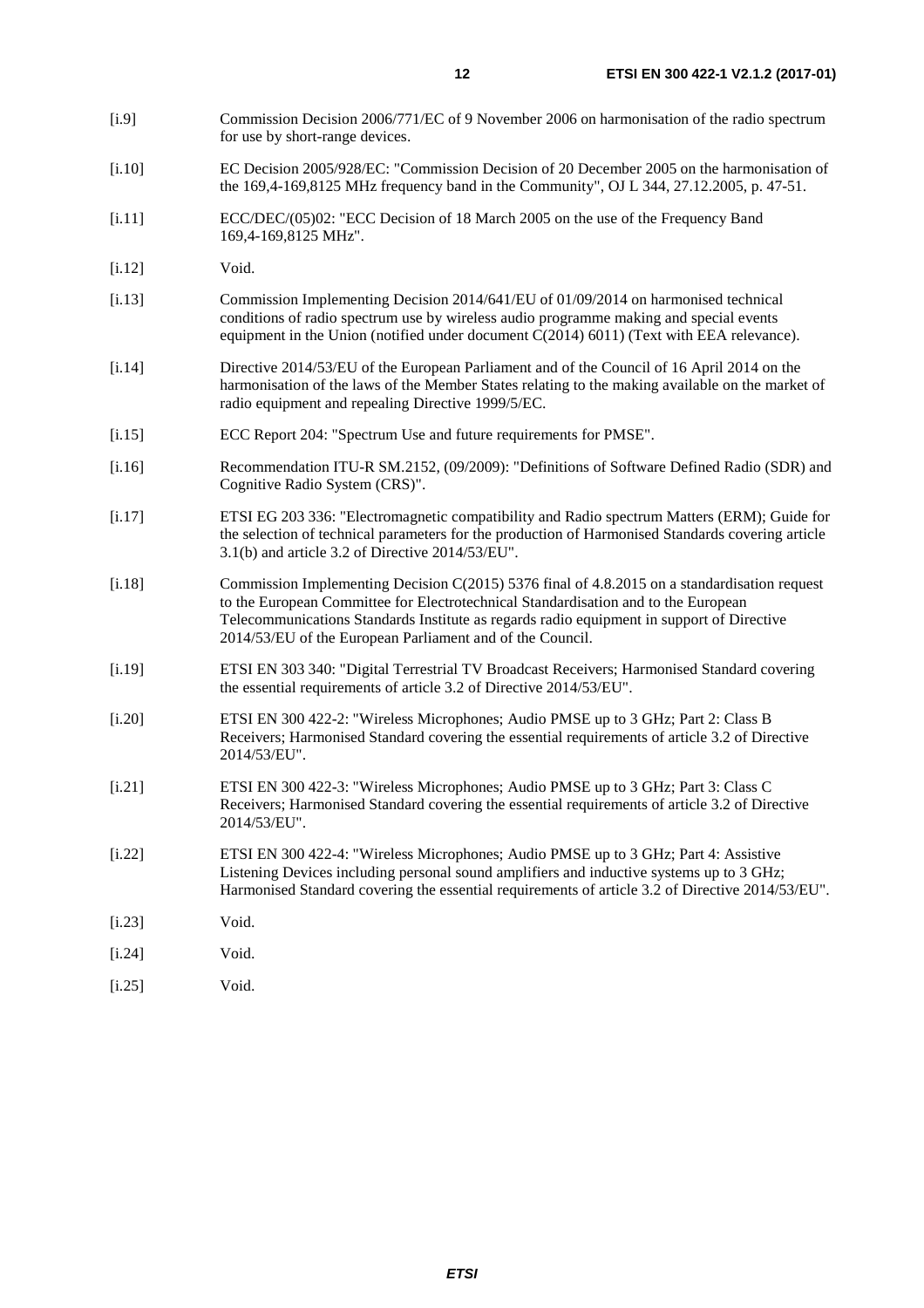- <span id="page-11-0"></span>[i.9] Commission Decision 2006/771/EC of 9 November 2006 on harmonisation of the radio spectrum for use by short-range devices.
- [i.10] EC Decision 2005/928/EC: "Commission Decision of 20 December 2005 on the harmonisation of the 169,4-169,8125 MHz frequency band in the Community", OJ L 344, 27.12.2005, p. 47-51.
- [i.11] ECC/DEC/(05)02: "ECC Decision of 18 March 2005 on the use of the Frequency Band 169,4-169,8125 MHz".
- [i.12] Void.
- [i.13] Commission Implementing Decision 2014/641/EU of 01/09/2014 on harmonised technical conditions of radio spectrum use by wireless audio programme making and special events equipment in the Union (notified under document C(2014) 6011) (Text with EEA relevance).
- [i.14] Directive 2014/53/EU of the European Parliament and of the Council of 16 April 2014 on the harmonisation of the laws of the Member States relating to the making available on the market of radio equipment and repealing Directive 1999/5/EC.
- [i.15] ECC Report 204: "Spectrum Use and future requirements for PMSE".
- [i.16] Recommendation ITU-R SM.2152, (09/2009): "Definitions of Software Defined Radio (SDR) and Cognitive Radio System (CRS)".
- [i.17] ETSI EG 203 336: "Electromagnetic compatibility and Radio spectrum Matters (ERM); Guide for the selection of technical parameters for the production of Harmonised Standards covering article 3.1(b) and article 3.2 of Directive 2014/53/EU".
- [i.18] Commission Implementing Decision C(2015) 5376 final of 4.8.2015 on a standardisation request to the European Committee for Electrotechnical Standardisation and to the European Telecommunications Standards Institute as regards radio equipment in support of Directive 2014/53/EU of the European Parliament and of the Council.
- [i.19] ETSI EN 303 340: "Digital Terrestrial TV Broadcast Receivers; Harmonised Standard covering the essential requirements of article 3.2 of Directive 2014/53/EU".
- [i.20] ETSI EN 300 422-2: "Wireless Microphones; Audio PMSE up to 3 GHz; Part 2: Class B Receivers; Harmonised Standard covering the essential requirements of article 3.2 of Directive 2014/53/EU".
- [i.21] ETSI EN 300 422-3: "Wireless Microphones; Audio PMSE up to 3 GHz; Part 3: Class C Receivers; Harmonised Standard covering the essential requirements of article 3.2 of Directive 2014/53/EU".
- [i.22] ETSI EN 300 422-4: "Wireless Microphones; Audio PMSE up to 3 GHz; Part 4: Assistive Listening Devices including personal sound amplifiers and inductive systems up to 3 GHz; Harmonised Standard covering the essential requirements of article 3.2 of Directive 2014/53/EU".
- [i.23] Void.
- [i.24] Void.
- [i.25] Void.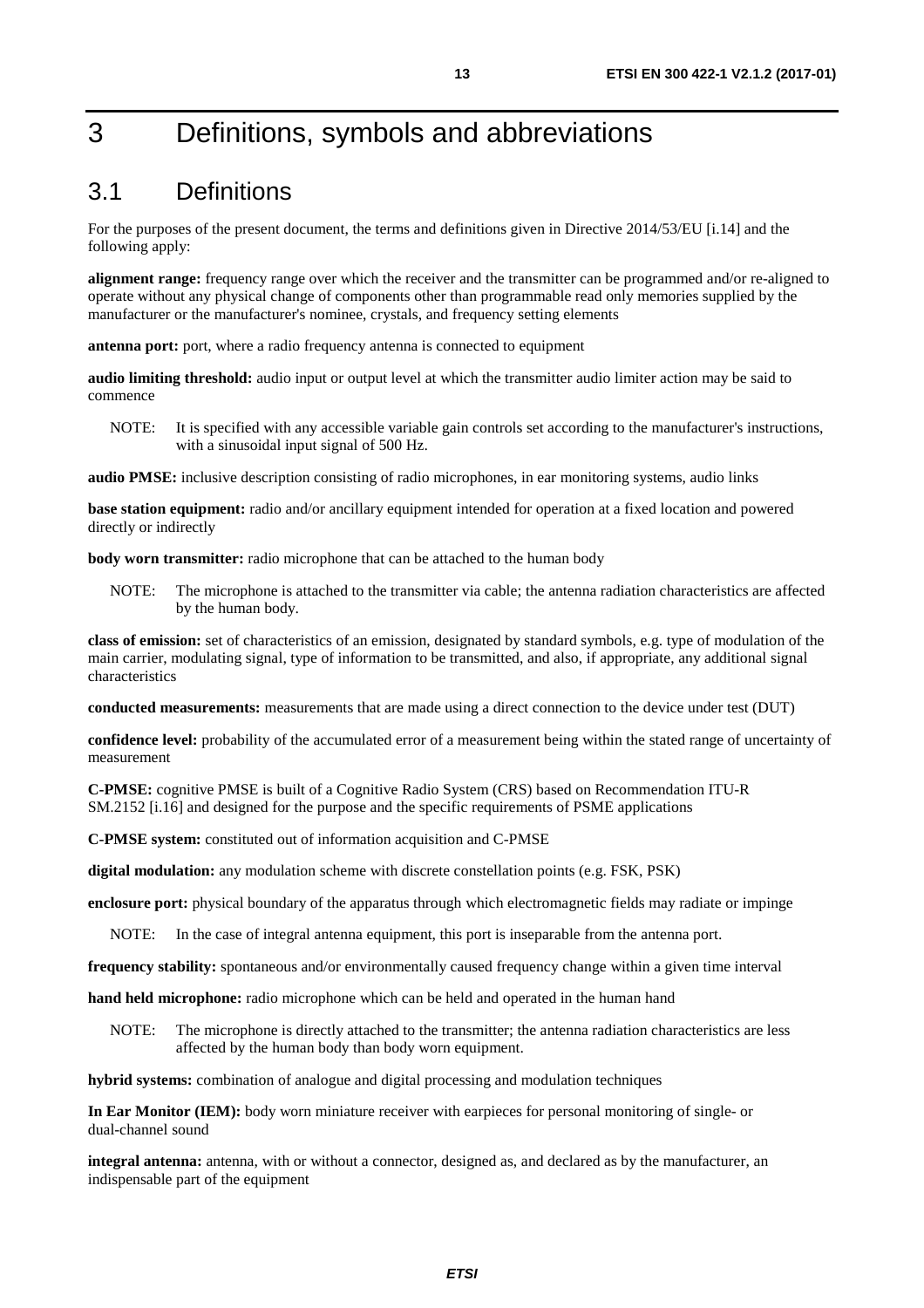## <span id="page-12-0"></span>3 Definitions, symbols and abbreviations

### 3.1 Definitions

For the purposes of the present document, the terms and definitions given in Directive 2014/53/EU [\[i.14](#page-11-0)] and the following apply:

**alignment range:** frequency range over which the receiver and the transmitter can be programmed and/or re-aligned to operate without any physical change of components other than programmable read only memories supplied by the manufacturer or the manufacturer's nominee, crystals, and frequency setting elements

**antenna port:** port, where a radio frequency antenna is connected to equipment

**audio limiting threshold:** audio input or output level at which the transmitter audio limiter action may be said to commence

NOTE: It is specified with any accessible variable gain controls set according to the manufacturer's instructions, with a sinusoidal input signal of 500 Hz.

**audio PMSE:** inclusive description consisting of radio microphones, in ear monitoring systems, audio links

**base station equipment:** radio and/or ancillary equipment intended for operation at a fixed location and powered directly or indirectly

**body worn transmitter:** radio microphone that can be attached to the human body

NOTE: The microphone is attached to the transmitter via cable; the antenna radiation characteristics are affected by the human body.

**class of emission:** set of characteristics of an emission, designated by standard symbols, e.g. type of modulation of the main carrier, modulating signal, type of information to be transmitted, and also, if appropriate, any additional signal characteristics

**conducted measurements:** measurements that are made using a direct connection to the device under test (DUT)

**confidence level:** probability of the accumulated error of a measurement being within the stated range of uncertainty of measurement

**C-PMSE:** cognitive PMSE is built of a Cognitive Radio System (CRS) based on Recommendation ITU-R SM.2152 [\[i.16\]](#page-11-0) and designed for the purpose and the specific requirements of PSME applications

**C-PMSE system:** constituted out of information acquisition and C-PMSE

**digital modulation:** any modulation scheme with discrete constellation points (e.g. FSK, PSK)

**enclosure port:** physical boundary of the apparatus through which electromagnetic fields may radiate or impinge

NOTE: In the case of integral antenna equipment, this port is inseparable from the antenna port.

**frequency stability:** spontaneous and/or environmentally caused frequency change within a given time interval

**hand held microphone:** radio microphone which can be held and operated in the human hand

NOTE: The microphone is directly attached to the transmitter; the antenna radiation characteristics are less affected by the human body than body worn equipment.

**hybrid systems:** combination of analogue and digital processing and modulation techniques

**In Ear Monitor (IEM):** body worn miniature receiver with earpieces for personal monitoring of single- or dual-channel sound

**integral antenna:** antenna, with or without a connector, designed as, and declared as by the manufacturer, an indispensable part of the equipment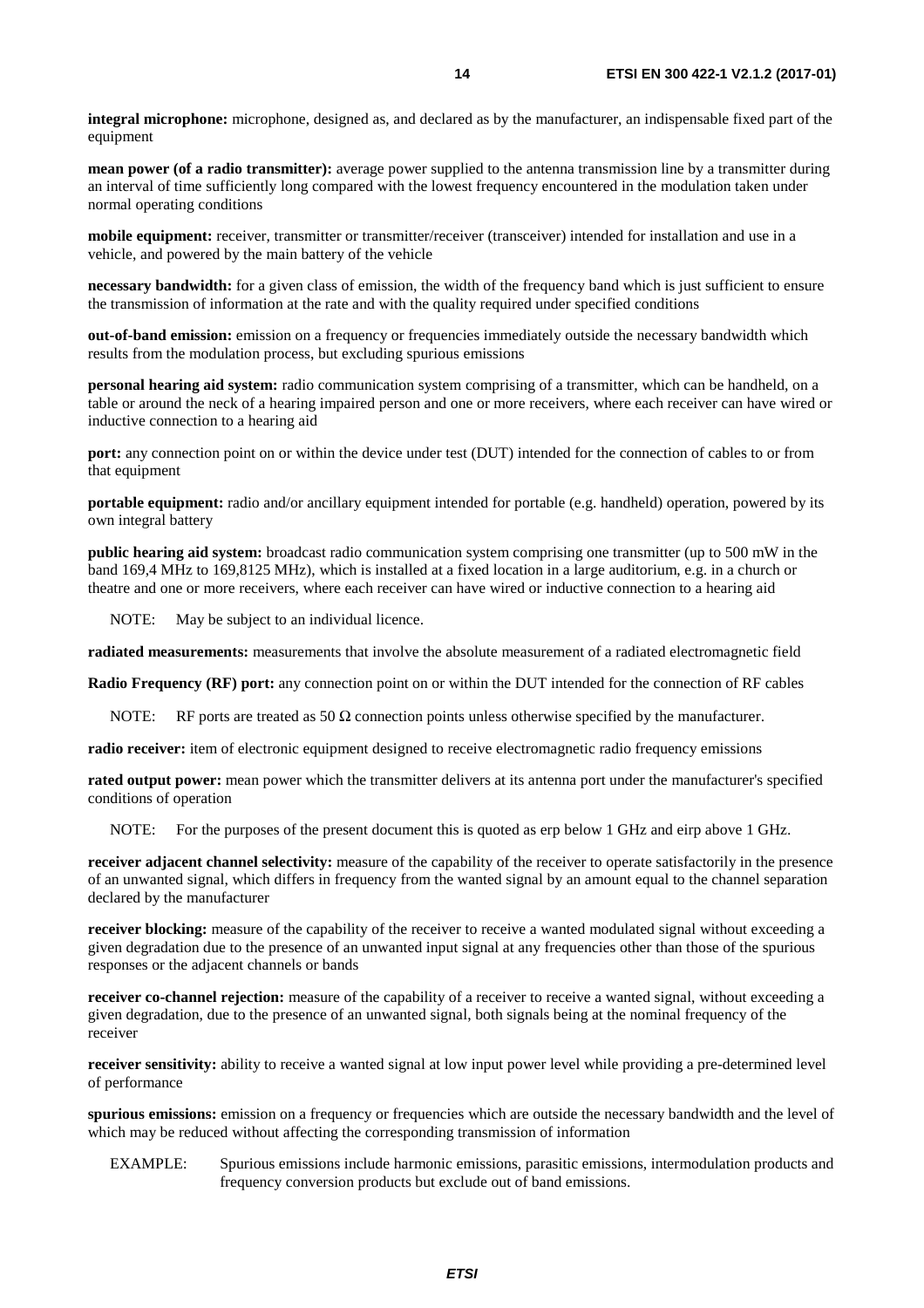**integral microphone:** microphone, designed as, and declared as by the manufacturer, an indispensable fixed part of the equipment

**mean power (of a radio transmitter):** average power supplied to the antenna transmission line by a transmitter during an interval of time sufficiently long compared with the lowest frequency encountered in the modulation taken under normal operating conditions

**mobile equipment:** receiver, transmitter or transmitter/receiver (transceiver) intended for installation and use in a vehicle, and powered by the main battery of the vehicle

**necessary bandwidth:** for a given class of emission, the width of the frequency band which is just sufficient to ensure the transmission of information at the rate and with the quality required under specified conditions

**out-of-band emission:** emission on a frequency or frequencies immediately outside the necessary bandwidth which results from the modulation process, but excluding spurious emissions

**personal hearing aid system:** radio communication system comprising of a transmitter, which can be handheld, on a table or around the neck of a hearing impaired person and one or more receivers, where each receiver can have wired or inductive connection to a hearing aid

**port:** any connection point on or within the device under test (DUT) intended for the connection of cables to or from that equipment

**portable equipment:** radio and/or ancillary equipment intended for portable (e.g. handheld) operation, powered by its own integral battery

**public hearing aid system:** broadcast radio communication system comprising one transmitter (up to 500 mW in the band 169,4 MHz to 169,8125 MHz), which is installed at a fixed location in a large auditorium, e.g. in a church or theatre and one or more receivers, where each receiver can have wired or inductive connection to a hearing aid

NOTE: May be subject to an individual licence.

**radiated measurements:** measurements that involve the absolute measurement of a radiated electromagnetic field

**Radio Frequency (RF) port:** any connection point on or within the DUT intended for the connection of RF cables

NOTE: RF ports are treated as  $50 \Omega$  connection points unless otherwise specified by the manufacturer.

**radio receiver:** item of electronic equipment designed to receive electromagnetic radio frequency emissions

**rated output power:** mean power which the transmitter delivers at its antenna port under the manufacturer's specified conditions of operation

NOTE: For the purposes of the present document this is quoted as erp below 1 GHz and eirp above 1 GHz.

**receiver adjacent channel selectivity:** measure of the capability of the receiver to operate satisfactorily in the presence of an unwanted signal, which differs in frequency from the wanted signal by an amount equal to the channel separation declared by the manufacturer

**receiver blocking:** measure of the capability of the receiver to receive a wanted modulated signal without exceeding a given degradation due to the presence of an unwanted input signal at any frequencies other than those of the spurious responses or the adjacent channels or bands

**receiver co-channel rejection:** measure of the capability of a receiver to receive a wanted signal, without exceeding a given degradation, due to the presence of an unwanted signal, both signals being at the nominal frequency of the receiver

**receiver sensitivity:** ability to receive a wanted signal at low input power level while providing a pre-determined level of performance

**spurious emissions:** emission on a frequency or frequencies which are outside the necessary bandwidth and the level of which may be reduced without affecting the corresponding transmission of information

EXAMPLE: Spurious emissions include harmonic emissions, parasitic emissions, intermodulation products and frequency conversion products but exclude out of band emissions.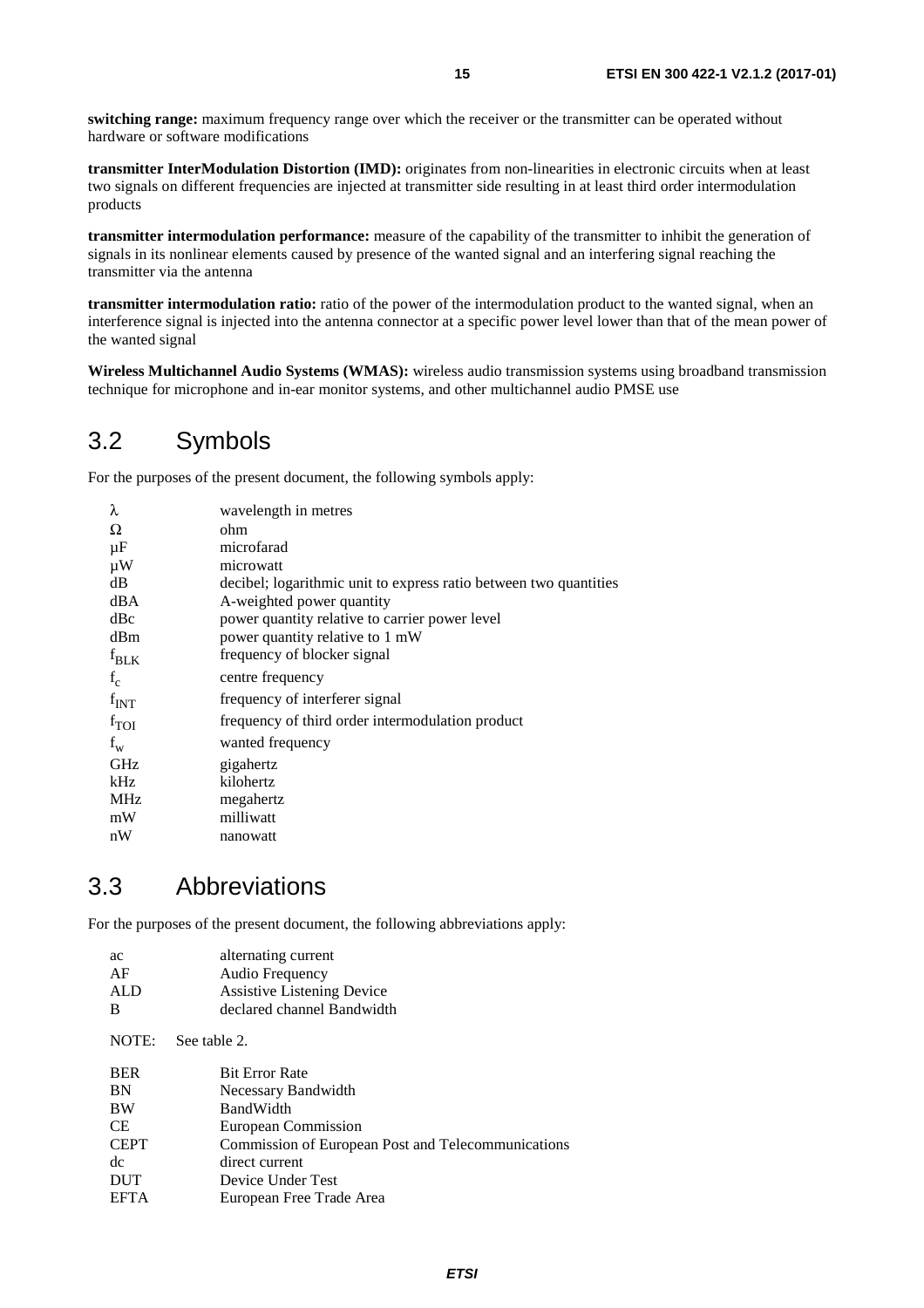<span id="page-14-0"></span>**switching range:** maximum frequency range over which the receiver or the transmitter can be operated without hardware or software modifications

**transmitter InterModulation Distortion (IMD):** originates from non-linearities in electronic circuits when at least two signals on different frequencies are injected at transmitter side resulting in at least third order intermodulation products

**transmitter intermodulation performance:** measure of the capability of the transmitter to inhibit the generation of signals in its nonlinear elements caused by presence of the wanted signal and an interfering signal reaching the transmitter via the antenna

**transmitter intermodulation ratio:** ratio of the power of the intermodulation product to the wanted signal, when an interference signal is injected into the antenna connector at a specific power level lower than that of the mean power of the wanted signal

**Wireless Multichannel Audio Systems (WMAS):** wireless audio transmission systems using broadband transmission technique for microphone and in-ear monitor systems, and other multichannel audio PMSE use

### 3.2 Symbols

For the purposes of the present document, the following symbols apply:

| λ                | wavelength in metres                                              |
|------------------|-------------------------------------------------------------------|
| Ω                | ohm.                                                              |
| $\mu$ F          | microfarad                                                        |
| $\mu$ W          | microwatt                                                         |
| dB               | decibel; logarithmic unit to express ratio between two quantities |
| dBA              | A-weighted power quantity                                         |
| dBc              | power quantity relative to carrier power level                    |
| dBm              | power quantity relative to 1 mW                                   |
| $f_{BLK}$        | frequency of blocker signal                                       |
| $f_c$            | centre frequency                                                  |
| $f_{INT}$        | frequency of interferer signal                                    |
| $f_{\text{TOI}}$ | frequency of third order intermodulation product                  |
| $f_{W}$          | wanted frequency                                                  |
| <b>GHz</b>       | gigahertz                                                         |
| kHz              | kilohertz                                                         |
| <b>MHz</b>       | megahertz                                                         |
| mW               | milliwatt                                                         |
| nW               | nanowatt                                                          |

### 3.3 Abbreviations

active current current current current current current current current current current current current current

For the purposes of the present document, the following abbreviations apply:

| аc<br>AF<br>ALD | alternating current<br>Audio Frequency<br><b>Assistive Listening Device</b> |
|-----------------|-----------------------------------------------------------------------------|
| B               | declared channel Bandwidth                                                  |
| NOTE:           | See table 2.                                                                |
| <b>BER</b>      | <b>Bit Error Rate</b>                                                       |
| <b>BN</b>       | Necessary Bandwidth                                                         |
| <b>BW</b>       | <b>BandWidth</b>                                                            |
| <b>CE</b>       | European Commission                                                         |
| <b>CEPT</b>     | Commission of European Post and Telecommunications                          |
| dc              | direct current                                                              |
| <b>DUT</b>      | Device Under Test                                                           |
| <b>EFTA</b>     | European Free Trade Area                                                    |
|                 |                                                                             |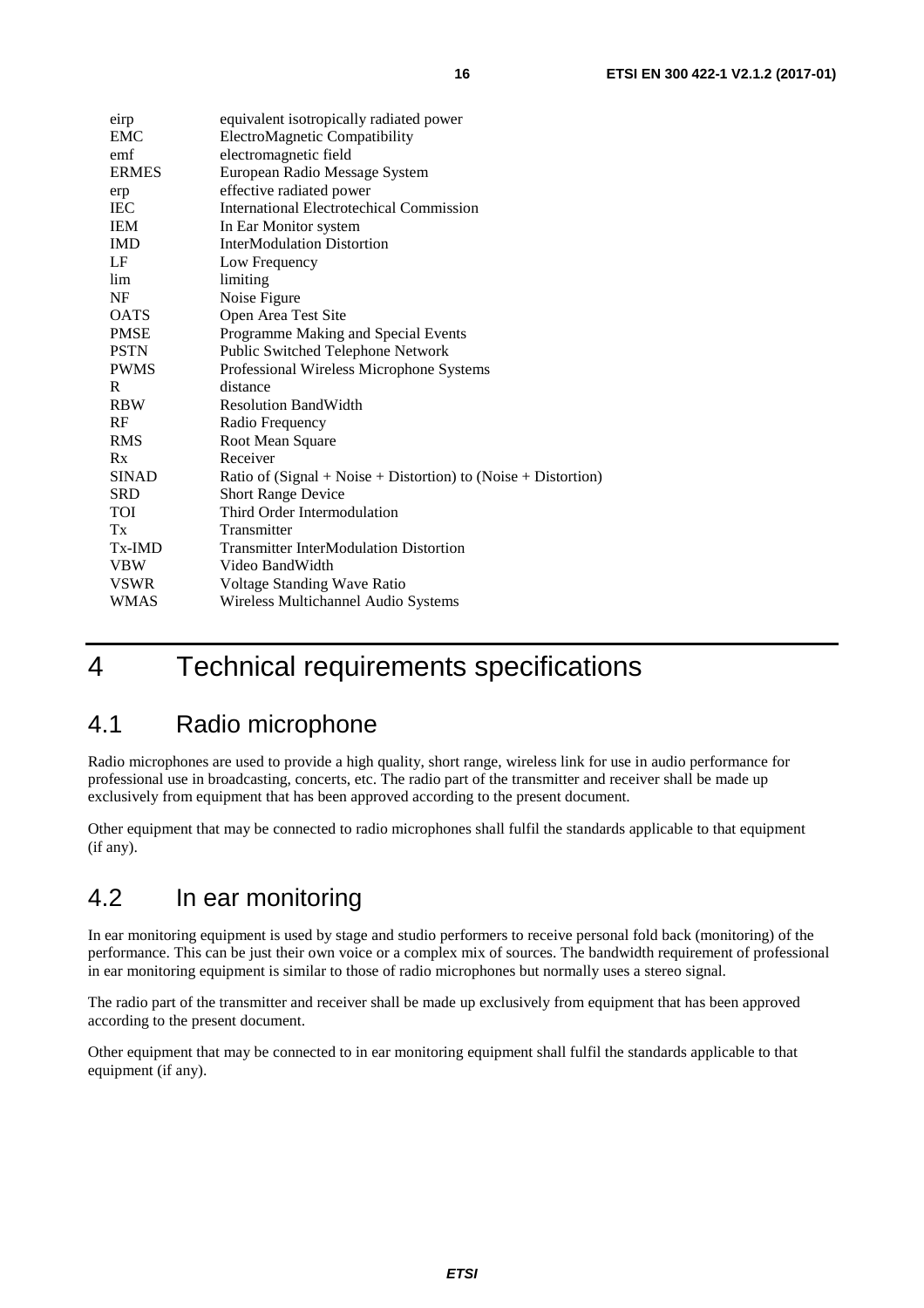<span id="page-15-0"></span>

| eirp         | equivalent isotropically radiated power                            |
|--------------|--------------------------------------------------------------------|
| EMC          | ElectroMagnetic Compatibility                                      |
| emf          | electromagnetic field                                              |
| <b>ERMES</b> | European Radio Message System                                      |
| erp          | effective radiated power                                           |
| <b>IEC</b>   | <b>International Electrotechical Commission</b>                    |
| <b>IEM</b>   | In Ear Monitor system                                              |
| <b>IMD</b>   | <b>InterModulation Distortion</b>                                  |
| LF           | Low Frequency                                                      |
| lim          | limiting                                                           |
| NF           | Noise Figure                                                       |
| <b>OATS</b>  | Open Area Test Site                                                |
| <b>PMSE</b>  | Programme Making and Special Events                                |
| <b>PSTN</b>  | Public Switched Telephone Network                                  |
| <b>PWMS</b>  | Professional Wireless Microphone Systems                           |
| R            | distance                                                           |
| <b>RBW</b>   | <b>Resolution BandWidth</b>                                        |
| RF           | Radio Frequency                                                    |
| <b>RMS</b>   | Root Mean Square                                                   |
| Rx           | Receiver                                                           |
| <b>SINAD</b> | Ratio of $(Signal + Noise + Distortion)$ to $(Noise + Distortion)$ |
| <b>SRD</b>   | <b>Short Range Device</b>                                          |
| <b>TOI</b>   | Third Order Intermodulation                                        |
| Tx           | Transmitter                                                        |
| Tx-IMD       | <b>Transmitter InterModulation Distortion</b>                      |
| <b>VBW</b>   | Video BandWidth                                                    |
| <b>VSWR</b>  | Voltage Standing Wave Ratio                                        |
| <b>WMAS</b>  | Wireless Multichannel Audio Systems                                |

## 4 Technical requirements specifications

## 4.1 Radio microphone

Radio microphones are used to provide a high quality, short range, wireless link for use in audio performance for professional use in broadcasting, concerts, etc. The radio part of the transmitter and receiver shall be made up exclusively from equipment that has been approved according to the present document.

Other equipment that may be connected to radio microphones shall fulfil the standards applicable to that equipment (if any).

## 4.2 In ear monitoring

In ear monitoring equipment is used by stage and studio performers to receive personal fold back (monitoring) of the performance. This can be just their own voice or a complex mix of sources. The bandwidth requirement of professional in ear monitoring equipment is similar to those of radio microphones but normally uses a stereo signal.

The radio part of the transmitter and receiver shall be made up exclusively from equipment that has been approved according to the present document.

Other equipment that may be connected to in ear monitoring equipment shall fulfil the standards applicable to that equipment (if any).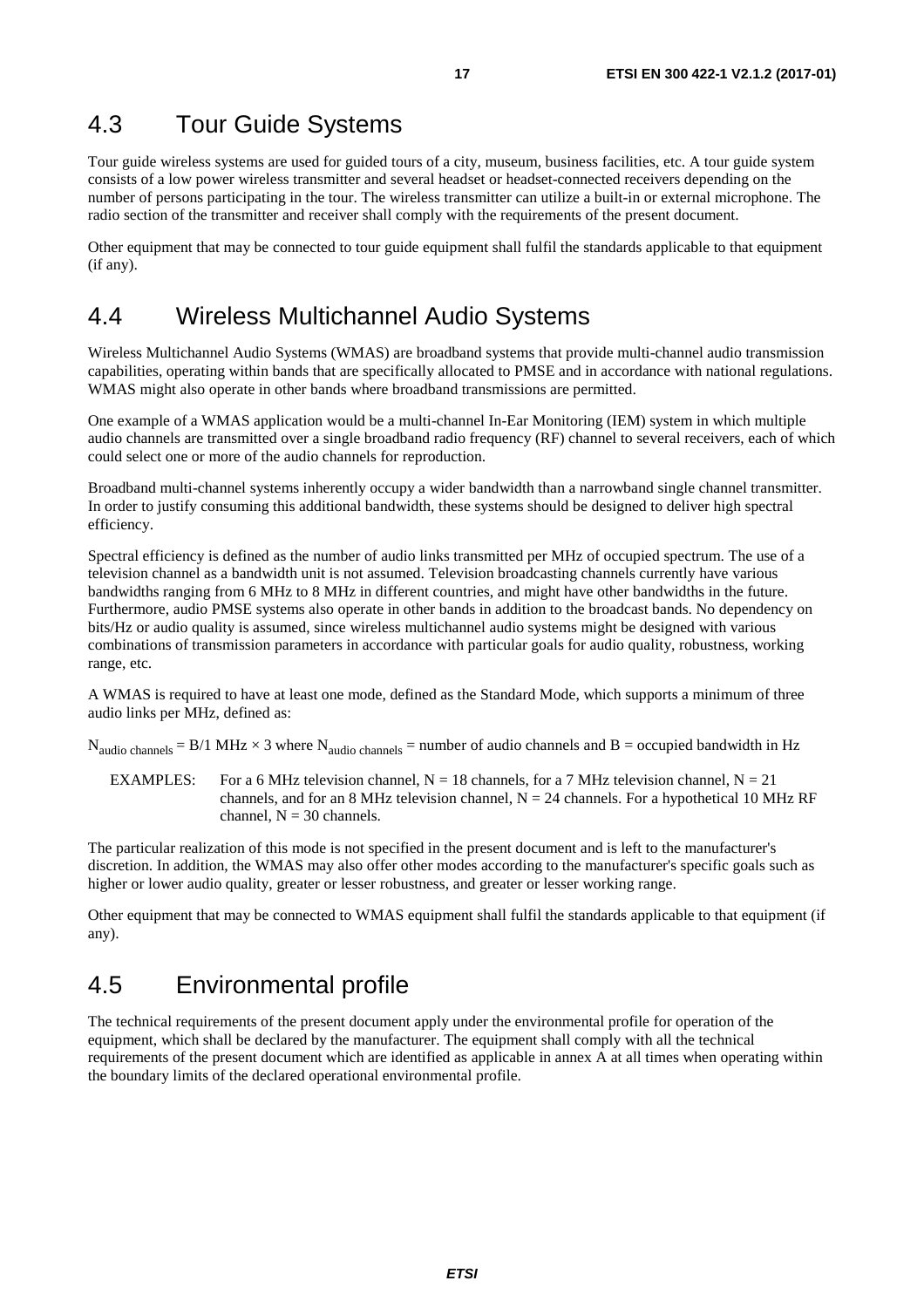### <span id="page-16-0"></span>4.3 Tour Guide Systems

Tour guide wireless systems are used for guided tours of a city, museum, business facilities, etc. A tour guide system consists of a low power wireless transmitter and several headset or headset-connected receivers depending on the number of persons participating in the tour. The wireless transmitter can utilize a built-in or external microphone. The radio section of the transmitter and receiver shall comply with the requirements of the present document.

Other equipment that may be connected to tour guide equipment shall fulfil the standards applicable to that equipment (if any).

### 4.4 Wireless Multichannel Audio Systems

Wireless Multichannel Audio Systems (WMAS) are broadband systems that provide multi-channel audio transmission capabilities, operating within bands that are specifically allocated to PMSE and in accordance with national regulations. WMAS might also operate in other bands where broadband transmissions are permitted.

One example of a WMAS application would be a multi-channel In-Ear Monitoring (IEM) system in which multiple audio channels are transmitted over a single broadband radio frequency (RF) channel to several receivers, each of which could select one or more of the audio channels for reproduction.

Broadband multi-channel systems inherently occupy a wider bandwidth than a narrowband single channel transmitter. In order to justify consuming this additional bandwidth, these systems should be designed to deliver high spectral efficiency.

Spectral efficiency is defined as the number of audio links transmitted per MHz of occupied spectrum. The use of a television channel as a bandwidth unit is not assumed. Television broadcasting channels currently have various bandwidths ranging from 6 MHz to 8 MHz in different countries, and might have other bandwidths in the future. Furthermore, audio PMSE systems also operate in other bands in addition to the broadcast bands. No dependency on bits/Hz or audio quality is assumed, since wireless multichannel audio systems might be designed with various combinations of transmission parameters in accordance with particular goals for audio quality, robustness, working range, etc.

A WMAS is required to have at least one mode, defined as the Standard Mode, which supports a minimum of three audio links per MHz, defined as:

 $N_{\text{audio channels}} = B/1 \text{ MHz} \times 3 \text{ where } N_{\text{audio channels}} = \text{number of audio channels and } B = \text{occupied bandwidth in Hz}$ 

EXAMPLES: For a 6 MHz television channel,  $N = 18$  channels, for a 7 MHz television channel,  $N = 21$ channels, and for an 8 MHz television channel,  $N = 24$  channels. For a hypothetical 10 MHz RF channel,  $N = 30$  channels.

The particular realization of this mode is not specified in the present document and is left to the manufacturer's discretion. In addition, the WMAS may also offer other modes according to the manufacturer's specific goals such as higher or lower audio quality, greater or lesser robustness, and greater or lesser working range.

Other equipment that may be connected to WMAS equipment shall fulfil the standards applicable to that equipment (if any).

### 4.5 Environmental profile

The technical requirements of the present document apply under the environmental profile for operation of the equipment, which shall be declared by the manufacturer. The equipment shall comply with all the technical requirements of the present document which are identified as applicable in annex A at all times when operating within the boundary limits of the declared operational environmental profile.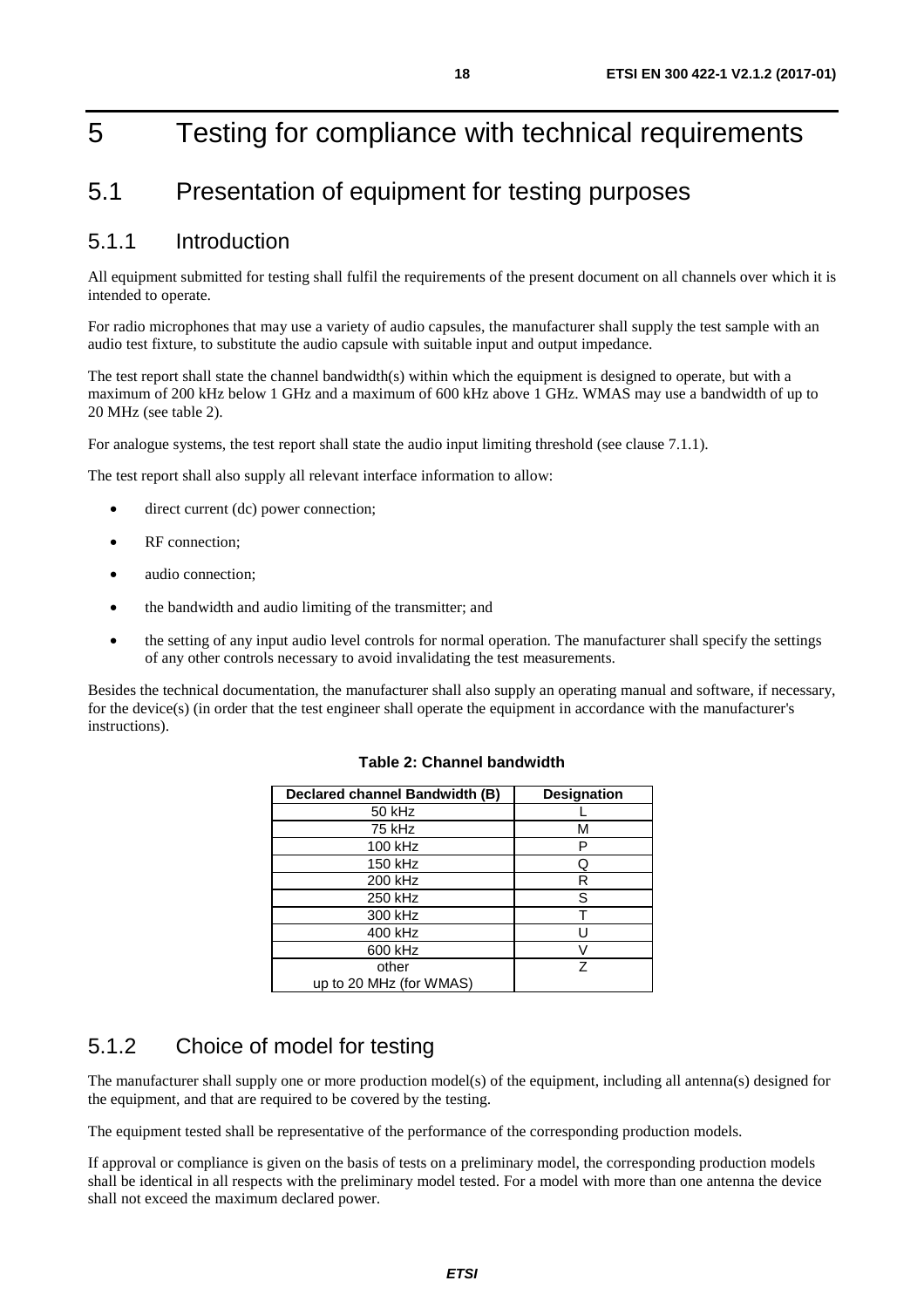## <span id="page-17-0"></span>5 Testing for compliance with technical requirements

## 5.1 Presentation of equipment for testing purposes

### 5.1.1 Introduction

All equipment submitted for testing shall fulfil the requirements of the present document on all channels over which it is intended to operate.

For radio microphones that may use a variety of audio capsules, the manufacturer shall supply the test sample with an audio test fixture, to substitute the audio capsule with suitable input and output impedance.

The test report shall state the channel bandwidth(s) within which the equipment is designed to operate, but with a maximum of 200 kHz below 1 GHz and a maximum of 600 kHz above 1 GHz. WMAS may use a bandwidth of up to 20 MHz (see table 2).

For analogue systems, the test report shall state the audio input limiting threshold (see clause 7.1.1).

The test report shall also supply all relevant interface information to allow:

- direct current (dc) power connection;
- RF connection:
- audio connection:
- the bandwidth and audio limiting of the transmitter; and
- the setting of any input audio level controls for normal operation. The manufacturer shall specify the settings of any other controls necessary to avoid invalidating the test measurements.

Besides the technical documentation, the manufacturer shall also supply an operating manual and software, if necessary, for the device(s) (in order that the test engineer shall operate the equipment in accordance with the manufacturer's instructions).

| Declared channel Bandwidth (B) | <b>Designation</b> |
|--------------------------------|--------------------|
| 50 kHz                         |                    |
| 75 kHz                         | м                  |
| 100 kHz                        | P                  |
| 150 kHz                        |                    |
| 200 kHz                        | R                  |
| 250 kHz                        | S                  |
| 300 kHz                        |                    |
| 400 kHz                        |                    |
| 600 kHz                        |                    |
| other                          | 7                  |
| up to 20 MHz (for WMAS)        |                    |

#### **Table 2: Channel bandwidth**

### 5.1.2 Choice of model for testing

The manufacturer shall supply one or more production model(s) of the equipment, including all antenna(s) designed for the equipment, and that are required to be covered by the testing.

The equipment tested shall be representative of the performance of the corresponding production models.

If approval or compliance is given on the basis of tests on a preliminary model, the corresponding production models shall be identical in all respects with the preliminary model tested. For a model with more than one antenna the device shall not exceed the maximum declared power.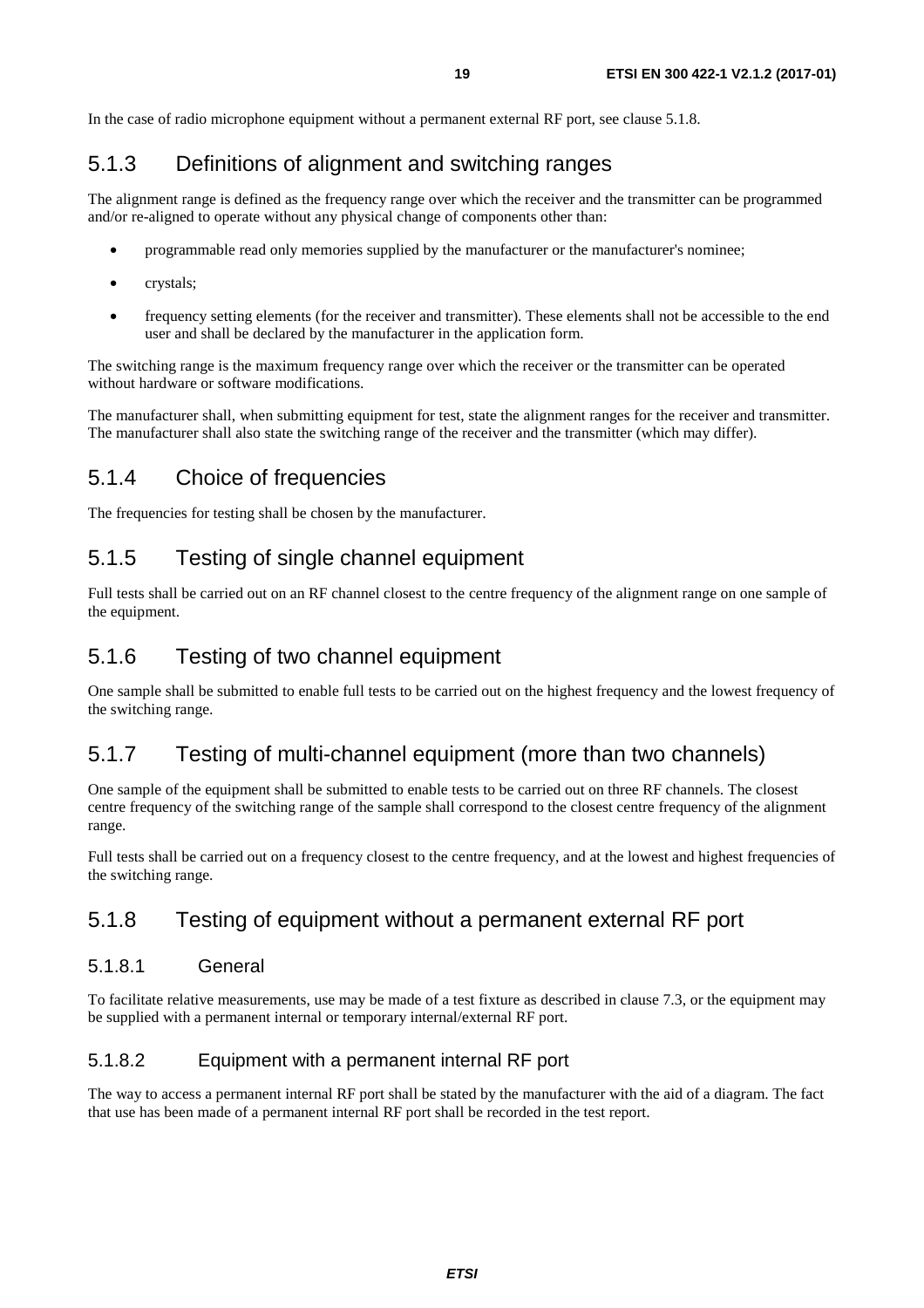<span id="page-18-0"></span>In the case of radio microphone equipment without a permanent external RF port, see clause 5.1.8.

### 5.1.3 Definitions of alignment and switching ranges

The alignment range is defined as the frequency range over which the receiver and the transmitter can be programmed and/or re-aligned to operate without any physical change of components other than:

- programmable read only memories supplied by the manufacturer or the manufacturer's nominee;
- crystals:
- frequency setting elements (for the receiver and transmitter). These elements shall not be accessible to the end user and shall be declared by the manufacturer in the application form.

The switching range is the maximum frequency range over which the receiver or the transmitter can be operated without hardware or software modifications.

The manufacturer shall, when submitting equipment for test, state the alignment ranges for the receiver and transmitter. The manufacturer shall also state the switching range of the receiver and the transmitter (which may differ).

### 5.1.4 Choice of frequencies

The frequencies for testing shall be chosen by the manufacturer.

### 5.1.5 Testing of single channel equipment

Full tests shall be carried out on an RF channel closest to the centre frequency of the alignment range on one sample of the equipment.

#### 5.1.6 Testing of two channel equipment

One sample shall be submitted to enable full tests to be carried out on the highest frequency and the lowest frequency of the switching range.

### 5.1.7 Testing of multi-channel equipment (more than two channels)

One sample of the equipment shall be submitted to enable tests to be carried out on three RF channels. The closest centre frequency of the switching range of the sample shall correspond to the closest centre frequency of the alignment range.

Full tests shall be carried out on a frequency closest to the centre frequency, and at the lowest and highest frequencies of the switching range.

#### 5.1.8 Testing of equipment without a permanent external RF port

#### 5.1.8.1 General

To facilitate relative measurements, use may be made of a test fixture as described in clause 7.3, or the equipment may be supplied with a permanent internal or temporary internal/external RF port.

#### 5.1.8.2 Equipment with a permanent internal RF port

The way to access a permanent internal RF port shall be stated by the manufacturer with the aid of a diagram. The fact that use has been made of a permanent internal RF port shall be recorded in the test report.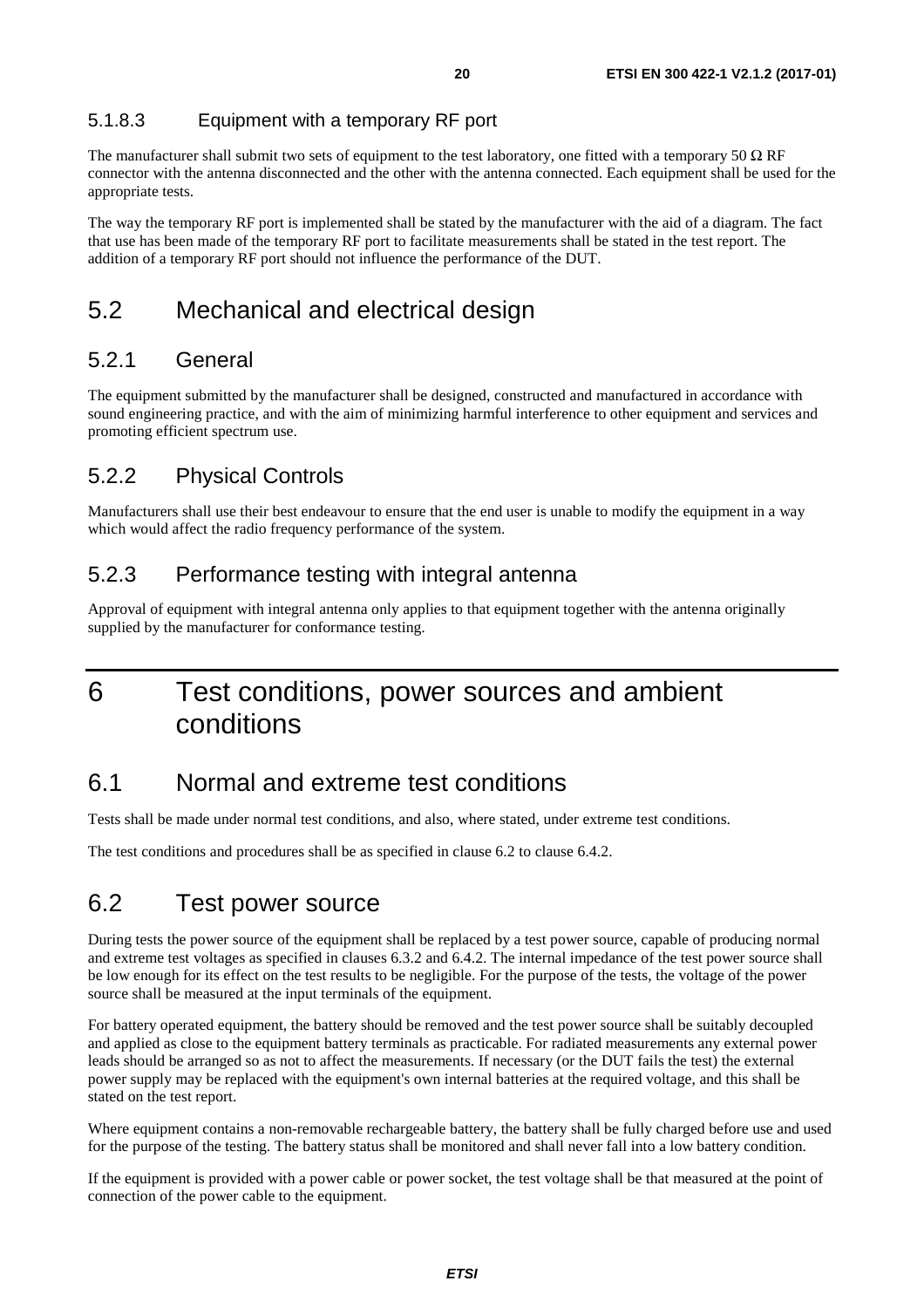#### <span id="page-19-0"></span>5.1.8.3 Equipment with a temporary RF port

The manufacturer shall submit two sets of equipment to the test laboratory, one fitted with a temporary 50  $\Omega$  RF connector with the antenna disconnected and the other with the antenna connected. Each equipment shall be used for the appropriate tests.

The way the temporary RF port is implemented shall be stated by the manufacturer with the aid of a diagram. The fact that use has been made of the temporary RF port to facilitate measurements shall be stated in the test report. The addition of a temporary RF port should not influence the performance of the DUT.

### 5.2 Mechanical and electrical design

#### 5.2.1 General

The equipment submitted by the manufacturer shall be designed, constructed and manufactured in accordance with sound engineering practice, and with the aim of minimizing harmful interference to other equipment and services and promoting efficient spectrum use.

### 5.2.2 Physical Controls

Manufacturers shall use their best endeavour to ensure that the end user is unable to modify the equipment in a way which would affect the radio frequency performance of the system.

#### 5.2.3 Performance testing with integral antenna

Approval of equipment with integral antenna only applies to that equipment together with the antenna originally supplied by the manufacturer for conformance testing.

## 6 Test conditions, power sources and ambient conditions

### 6.1 Normal and extreme test conditions

Tests shall be made under normal test conditions, and also, where stated, under extreme test conditions.

The test conditions and procedures shall be as specified in clause 6.2 to clause 6.4.2.

### 6.2 Test power source

During tests the power source of the equipment shall be replaced by a test power source, capable of producing normal and extreme test voltages as specified in clauses 6.3.2 and 6.4.2. The internal impedance of the test power source shall be low enough for its effect on the test results to be negligible. For the purpose of the tests, the voltage of the power source shall be measured at the input terminals of the equipment.

For battery operated equipment, the battery should be removed and the test power source shall be suitably decoupled and applied as close to the equipment battery terminals as practicable. For radiated measurements any external power leads should be arranged so as not to affect the measurements. If necessary (or the DUT fails the test) the external power supply may be replaced with the equipment's own internal batteries at the required voltage, and this shall be stated on the test report.

Where equipment contains a non-removable rechargeable battery, the battery shall be fully charged before use and used for the purpose of the testing. The battery status shall be monitored and shall never fall into a low battery condition.

If the equipment is provided with a power cable or power socket, the test voltage shall be that measured at the point of connection of the power cable to the equipment.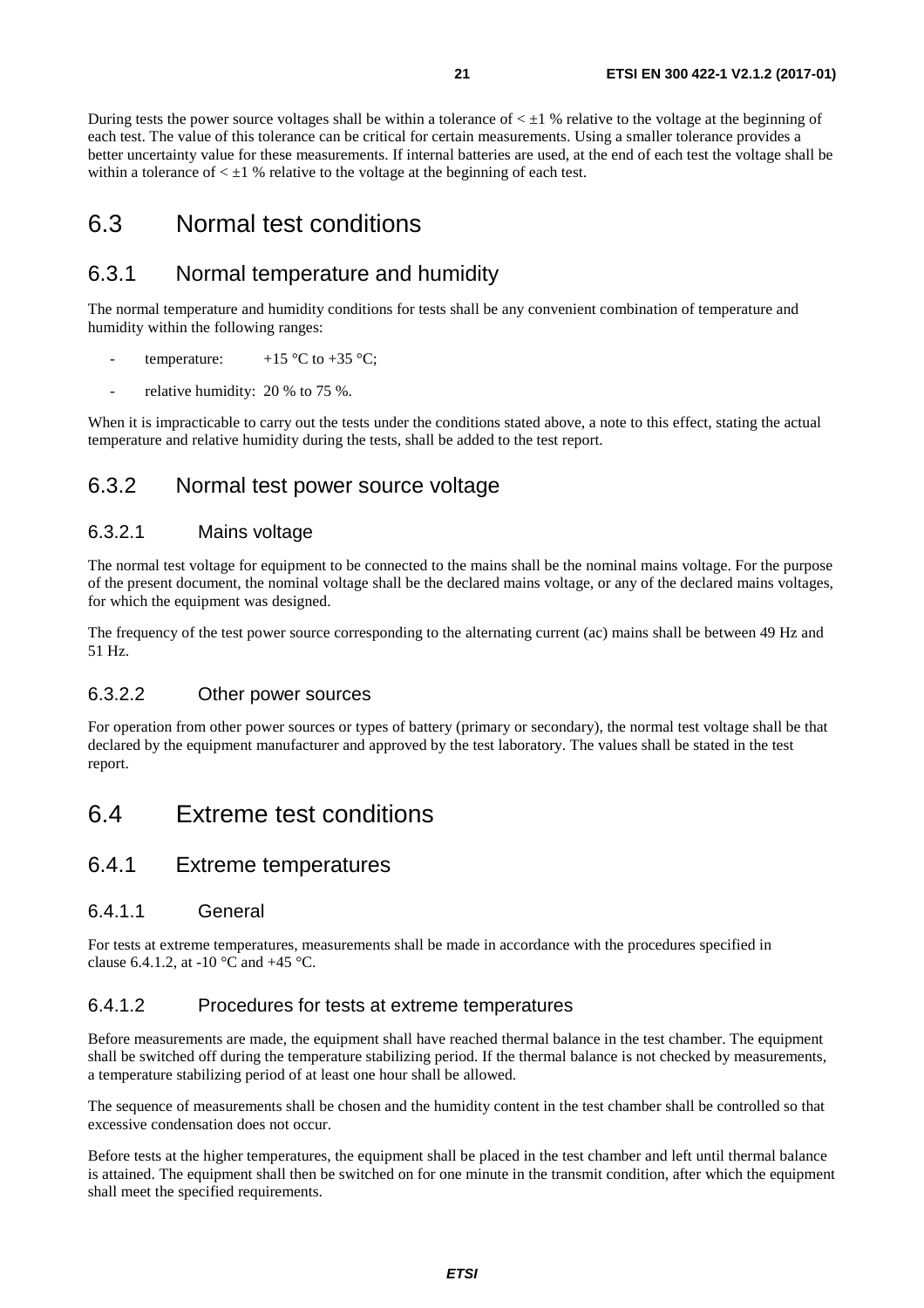<span id="page-20-0"></span>During tests the power source voltages shall be within a tolerance of  $\lt 1$  % relative to the voltage at the beginning of each test. The value of this tolerance can be critical for certain measurements. Using a smaller tolerance provides a better uncertainty value for these measurements. If internal batteries are used, at the end of each test the voltage shall be within a tolerance of  $\lt \pm 1$  % relative to the voltage at the beginning of each test.

### 6.3 Normal test conditions

### 6.3.1 Normal temperature and humidity

The normal temperature and humidity conditions for tests shall be any convenient combination of temperature and humidity within the following ranges:

- temperature:  $+15 \degree C$  to  $+35 \degree C$ ;
- relative humidity: 20 % to 75 %.

When it is impracticable to carry out the tests under the conditions stated above, a note to this effect, stating the actual temperature and relative humidity during the tests, shall be added to the test report.

#### 6.3.2 Normal test power source voltage

#### 6.3.2.1 Mains voltage

The normal test voltage for equipment to be connected to the mains shall be the nominal mains voltage. For the purpose of the present document, the nominal voltage shall be the declared mains voltage, or any of the declared mains voltages, for which the equipment was designed.

The frequency of the test power source corresponding to the alternating current (ac) mains shall be between 49 Hz and 51 Hz.

#### 6.3.2.2 Other power sources

For operation from other power sources or types of battery (primary or secondary), the normal test voltage shall be that declared by the equipment manufacturer and approved by the test laboratory. The values shall be stated in the test report.

### 6.4 Extreme test conditions

#### 6.4.1 Extreme temperatures

#### 6.4.1.1 General

For tests at extreme temperatures, measurements shall be made in accordance with the procedures specified in clause 6.4.1.2, at -10  $^{\circ}$ C and +45  $^{\circ}$ C.

#### 6.4.1.2 Procedures for tests at extreme temperatures

Before measurements are made, the equipment shall have reached thermal balance in the test chamber. The equipment shall be switched off during the temperature stabilizing period. If the thermal balance is not checked by measurements, a temperature stabilizing period of at least one hour shall be allowed.

The sequence of measurements shall be chosen and the humidity content in the test chamber shall be controlled so that excessive condensation does not occur.

Before tests at the higher temperatures, the equipment shall be placed in the test chamber and left until thermal balance is attained. The equipment shall then be switched on for one minute in the transmit condition, after which the equipment shall meet the specified requirements.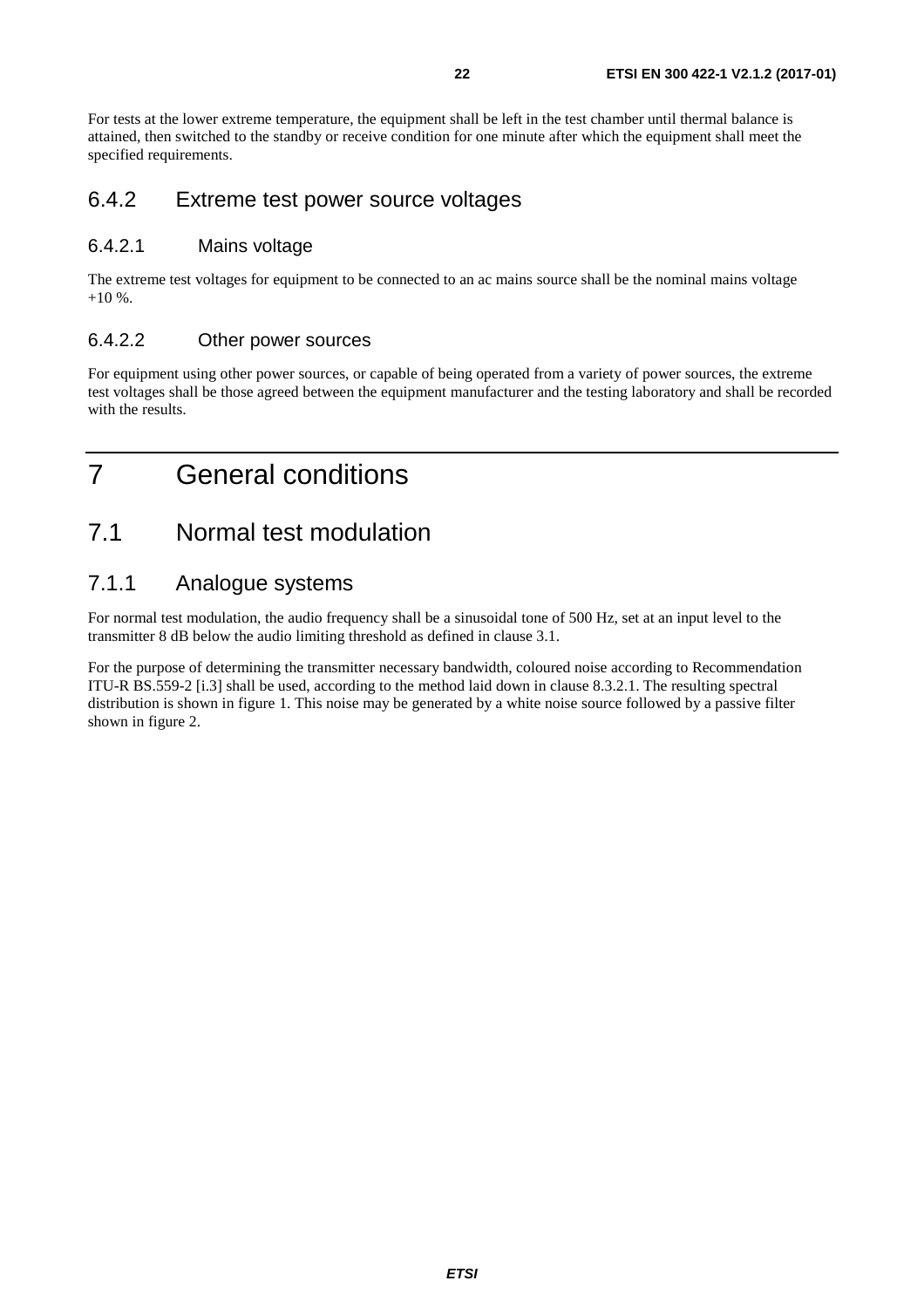<span id="page-21-0"></span>For tests at the lower extreme temperature, the equipment shall be left in the test chamber until thermal balance is attained, then switched to the standby or receive condition for one minute after which the equipment shall meet the specified requirements.

#### 6.4.2 Extreme test power source voltages

#### 6.4.2.1 Mains voltage

The extreme test voltages for equipment to be connected to an ac mains source shall be the nominal mains voltage  $+10\%$ .

#### 6.4.2.2 Other power sources

For equipment using other power sources, or capable of being operated from a variety of power sources, the extreme test voltages shall be those agreed between the equipment manufacturer and the testing laboratory and shall be recorded with the results.

## 7 General conditions

### 7.1 Normal test modulation

### 7.1.1 Analogue systems

For normal test modulation, the audio frequency shall be a sinusoidal tone of 500 Hz, set at an input level to the transmitter 8 dB below the audio limiting threshold as defined in clause 3.1.

For the purpose of determining the transmitter necessary bandwidth, coloured noise according to Recommendation ITU-R BS.559-2 [[i.3\]](#page-10-0) shall be used, according to the method laid down in clause 8.3.2.1. The resulting spectral distribution is shown in figure 1. This noise may be generated by a white noise source followed by a passive filter shown in figure 2.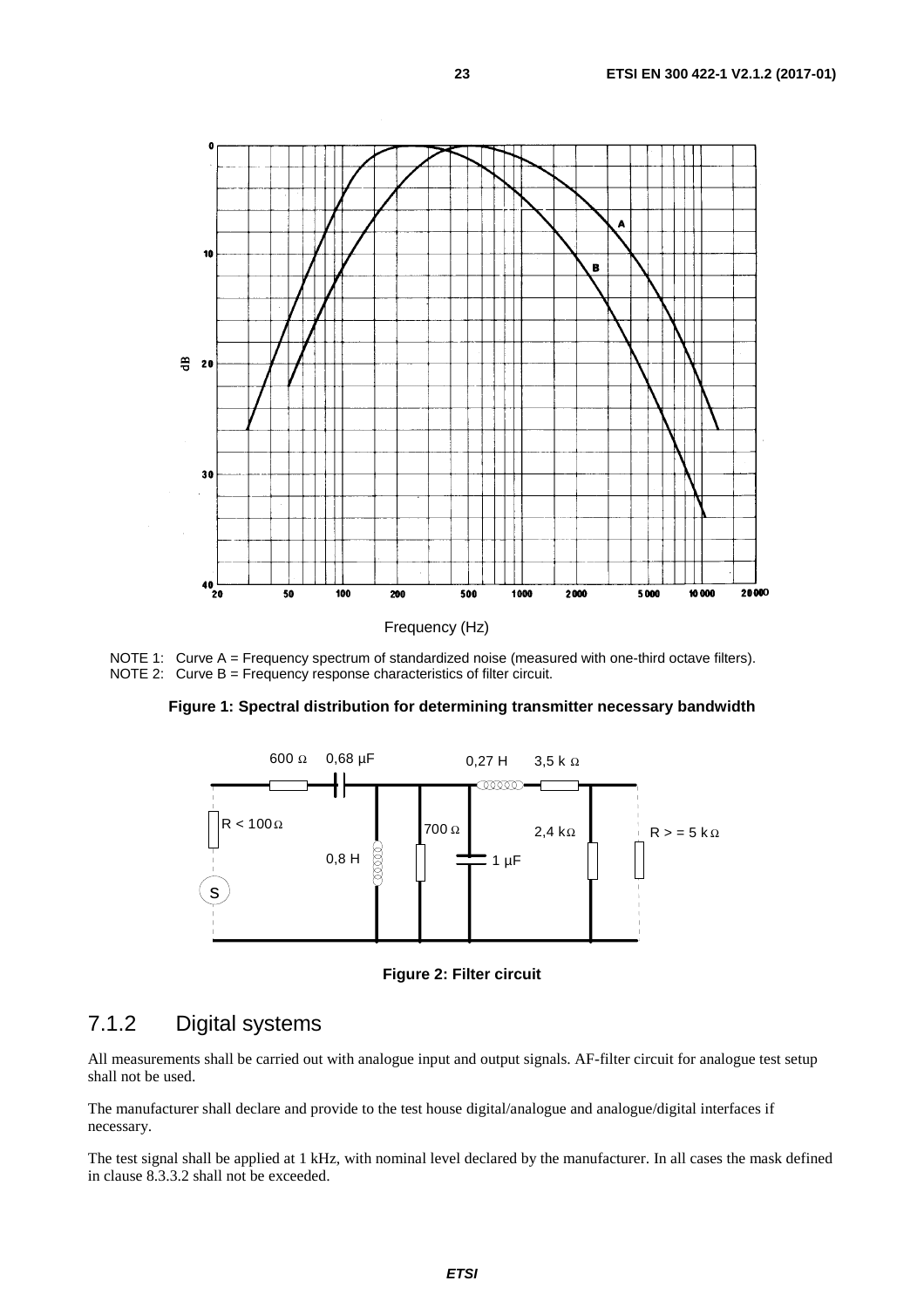<span id="page-22-0"></span>

NOTE 1: Curve A = Frequency spectrum of standardized noise (measured with one-third octave filters). NOTE 2: Curve B = Frequency response characteristics of filter circuit.

**Figure 1: Spectral distribution for determining transmitter necessary bandwidth** 



**Figure 2: Filter circuit** 

#### 7.1.2 Digital systems

All measurements shall be carried out with analogue input and output signals. AF-filter circuit for analogue test setup shall not be used.

The manufacturer shall declare and provide to the test house digital/analogue and analogue/digital interfaces if necessary.

The test signal shall be applied at 1 kHz, with nominal level declared by the manufacturer. In all cases the mask defined in clause 8.3.3.2 shall not be exceeded.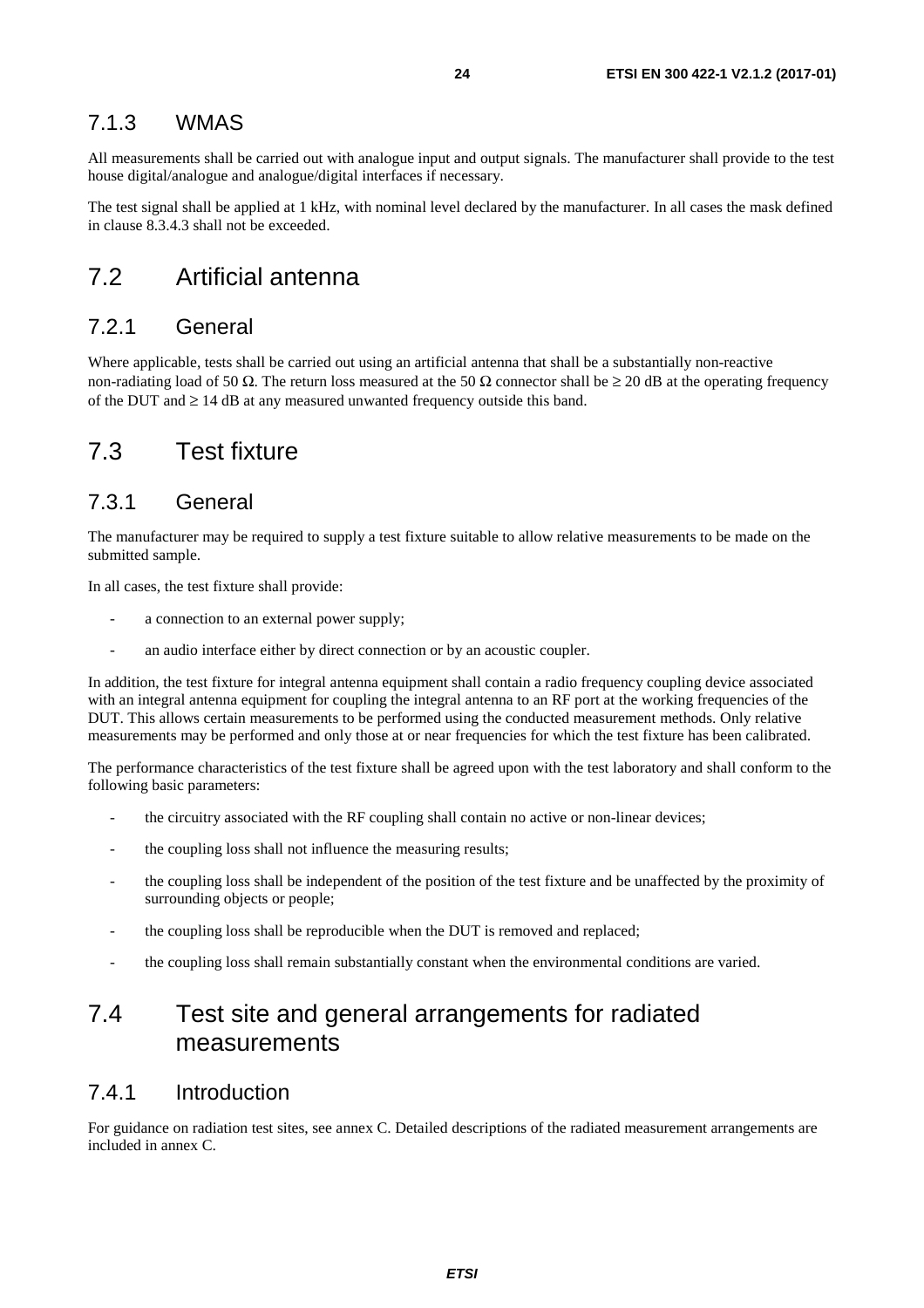#### <span id="page-23-0"></span>7.1.3 WMAS

All measurements shall be carried out with analogue input and output signals. The manufacturer shall provide to the test house digital/analogue and analogue/digital interfaces if necessary.

The test signal shall be applied at 1 kHz, with nominal level declared by the manufacturer. In all cases the mask defined in clause 8.3.4.3 shall not be exceeded.

### 7.2 Artificial antenna

#### 7.2.1 General

Where applicable, tests shall be carried out using an artificial antenna that shall be a substantially non-reactive non-radiating load of 50 Ω. The return loss measured at the 50 Ω connector shall be  $\geq$  20 dB at the operating frequency of the DUT and  $\geq 14$  dB at any measured unwanted frequency outside this band.

### 7.3 Test fixture

#### 7.3.1 General

The manufacturer may be required to supply a test fixture suitable to allow relative measurements to be made on the submitted sample.

In all cases, the test fixture shall provide:

- a connection to an external power supply;
- an audio interface either by direct connection or by an acoustic coupler.

In addition, the test fixture for integral antenna equipment shall contain a radio frequency coupling device associated with an integral antenna equipment for coupling the integral antenna to an RF port at the working frequencies of the DUT. This allows certain measurements to be performed using the conducted measurement methods. Only relative measurements may be performed and only those at or near frequencies for which the test fixture has been calibrated.

The performance characteristics of the test fixture shall be agreed upon with the test laboratory and shall conform to the following basic parameters:

- the circuitry associated with the RF coupling shall contain no active or non-linear devices;
- the coupling loss shall not influence the measuring results;
- the coupling loss shall be independent of the position of the test fixture and be unaffected by the proximity of surrounding objects or people;
- the coupling loss shall be reproducible when the DUT is removed and replaced;
- the coupling loss shall remain substantially constant when the environmental conditions are varied.

### 7.4 Test site and general arrangements for radiated measurements

#### 7.4.1 Introduction

For guidance on radiation test sites, see annex C. Detailed descriptions of the radiated measurement arrangements are included in annex C.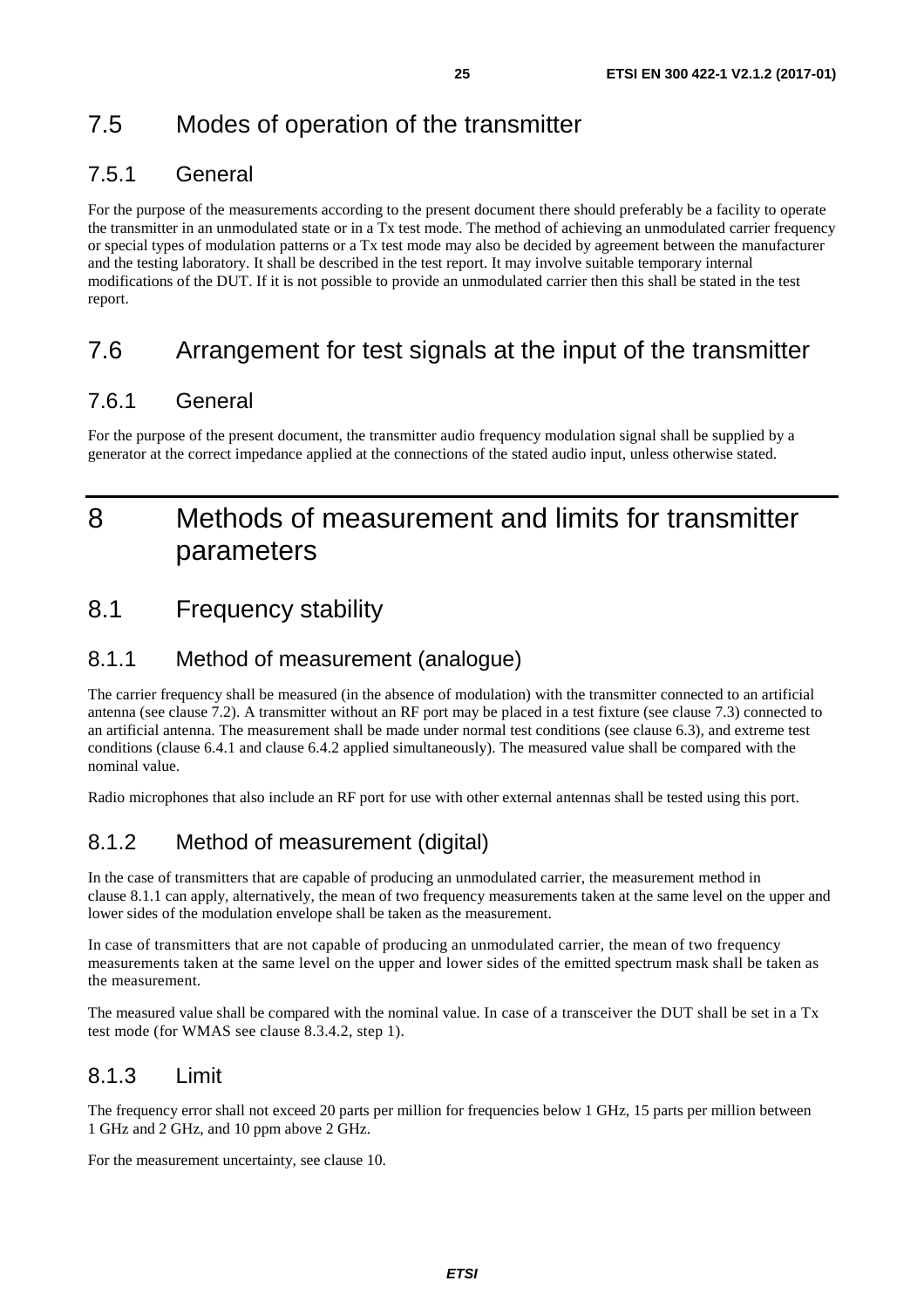### <span id="page-24-0"></span>7.5.1 General

For the purpose of the measurements according to the present document there should preferably be a facility to operate the transmitter in an unmodulated state or in a Tx test mode. The method of achieving an unmodulated carrier frequency or special types of modulation patterns or a Tx test mode may also be decided by agreement between the manufacturer and the testing laboratory. It shall be described in the test report. It may involve suitable temporary internal modifications of the DUT. If it is not possible to provide an unmodulated carrier then this shall be stated in the test report.

## 7.6 Arrangement for test signals at the input of the transmitter

### 7.6.1 General

For the purpose of the present document, the transmitter audio frequency modulation signal shall be supplied by a generator at the correct impedance applied at the connections of the stated audio input, unless otherwise stated.

## 8 Methods of measurement and limits for transmitter parameters

## 8.1 Frequency stability

### 8.1.1 Method of measurement (analogue)

The carrier frequency shall be measured (in the absence of modulation) with the transmitter connected to an artificial antenna (see clause 7.2). A transmitter without an RF port may be placed in a test fixture (see clause 7.3) connected to an artificial antenna. The measurement shall be made under normal test conditions (see clause 6.3), and extreme test conditions (clause 6.4.1 and clause 6.4.2 applied simultaneously). The measured value shall be compared with the nominal value.

Radio microphones that also include an RF port for use with other external antennas shall be tested using this port.

### 8.1.2 Method of measurement (digital)

In the case of transmitters that are capable of producing an unmodulated carrier, the measurement method in clause 8.1.1 can apply, alternatively, the mean of two frequency measurements taken at the same level on the upper and lower sides of the modulation envelope shall be taken as the measurement.

In case of transmitters that are not capable of producing an unmodulated carrier, the mean of two frequency measurements taken at the same level on the upper and lower sides of the emitted spectrum mask shall be taken as the measurement.

The measured value shall be compared with the nominal value. In case of a transceiver the DUT shall be set in a Tx test mode (for WMAS see clause 8.3.4.2, step 1).

### 8.1.3 Limit

The frequency error shall not exceed 20 parts per million for frequencies below 1 GHz, 15 parts per million between 1 GHz and 2 GHz, and 10 ppm above 2 GHz.

For the measurement uncertainty, see clause 10.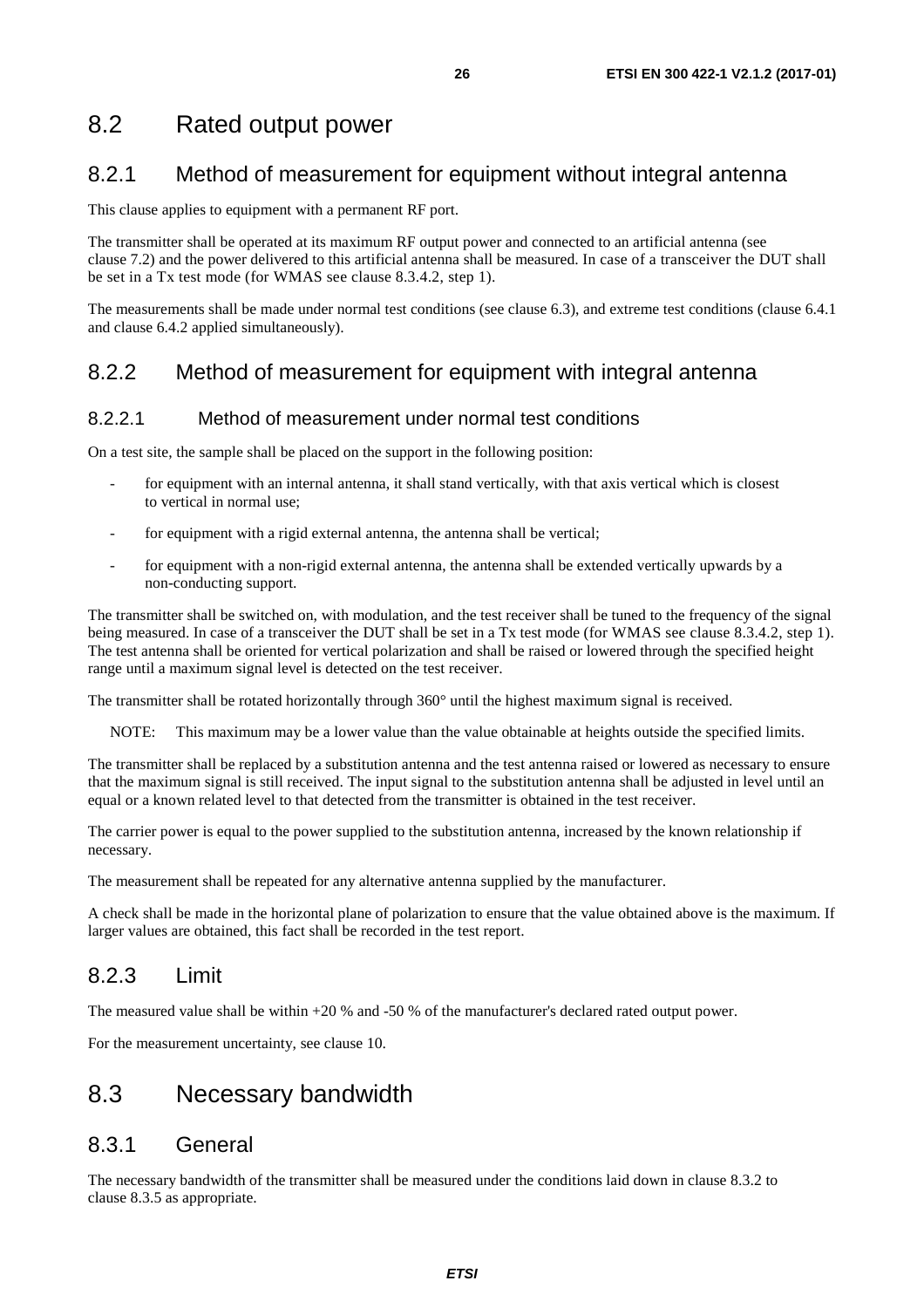### <span id="page-25-0"></span>8.2.1 Method of measurement for equipment without integral antenna

This clause applies to equipment with a permanent RF port.

The transmitter shall be operated at its maximum RF output power and connected to an artificial antenna (see clause 7.2) and the power delivered to this artificial antenna shall be measured. In case of a transceiver the DUT shall be set in a Tx test mode (for WMAS see clause 8.3.4.2, step 1).

The measurements shall be made under normal test conditions (see clause 6.3), and extreme test conditions (clause 6.4.1 and clause 6.4.2 applied simultaneously).

### 8.2.2 Method of measurement for equipment with integral antenna

#### 8.2.2.1 Method of measurement under normal test conditions

On a test site, the sample shall be placed on the support in the following position:

- for equipment with an internal antenna, it shall stand vertically, with that axis vertical which is closest to vertical in normal use;
- for equipment with a rigid external antenna, the antenna shall be vertical;
- for equipment with a non-rigid external antenna, the antenna shall be extended vertically upwards by a non-conducting support.

The transmitter shall be switched on, with modulation, and the test receiver shall be tuned to the frequency of the signal being measured. In case of a transceiver the DUT shall be set in a Tx test mode (for WMAS see clause 8.3.4.2, step 1). The test antenna shall be oriented for vertical polarization and shall be raised or lowered through the specified height range until a maximum signal level is detected on the test receiver.

The transmitter shall be rotated horizontally through 360° until the highest maximum signal is received.

NOTE: This maximum may be a lower value than the value obtainable at heights outside the specified limits.

The transmitter shall be replaced by a substitution antenna and the test antenna raised or lowered as necessary to ensure that the maximum signal is still received. The input signal to the substitution antenna shall be adjusted in level until an equal or a known related level to that detected from the transmitter is obtained in the test receiver.

The carrier power is equal to the power supplied to the substitution antenna, increased by the known relationship if necessary.

The measurement shall be repeated for any alternative antenna supplied by the manufacturer.

A check shall be made in the horizontal plane of polarization to ensure that the value obtained above is the maximum. If larger values are obtained, this fact shall be recorded in the test report.

### 8.2.3 Limit

The measured value shall be within +20 % and -50 % of the manufacturer's declared rated output power.

For the measurement uncertainty, see clause 10.

### 8.3 Necessary bandwidth

### 8.3.1 General

The necessary bandwidth of the transmitter shall be measured under the conditions laid down in clause 8.3.2 to clause 8.3.5 as appropriate.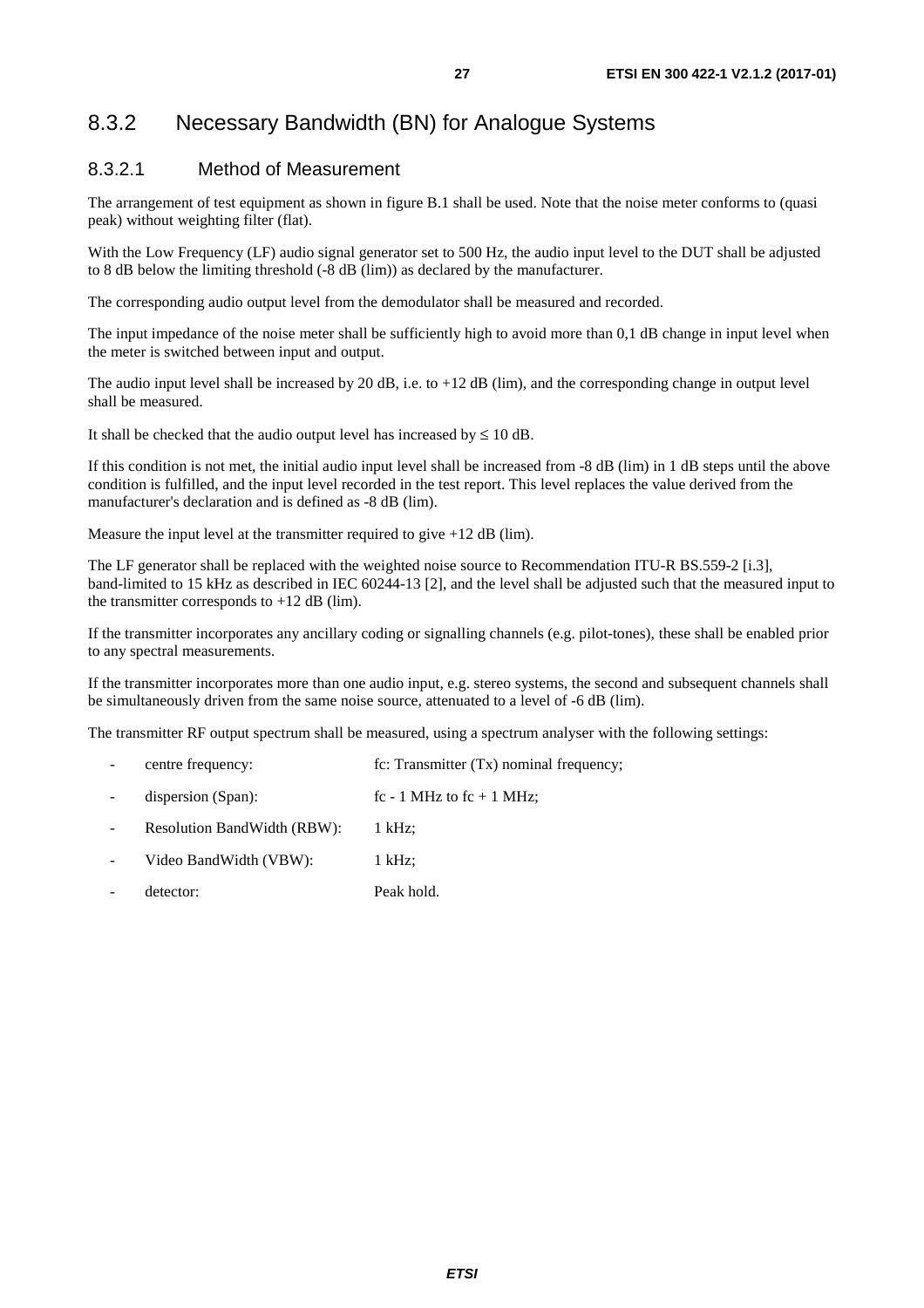#### <span id="page-26-0"></span>8.3.2.1 Method of Measurement

The arrangement of test equipment as shown in figure B.1 shall be used. Note that the noise meter conforms to (quasi peak) without weighting filter (flat).

With the Low Frequency (LF) audio signal generator set to 500 Hz, the audio input level to the DUT shall be adjusted to 8 dB below the limiting threshold (-8 dB (lim)) as declared by the manufacturer.

The corresponding audio output level from the demodulator shall be measured and recorded.

The input impedance of the noise meter shall be sufficiently high to avoid more than 0,1 dB change in input level when the meter is switched between input and output.

The audio input level shall be increased by 20 dB, i.e. to  $+12$  dB (lim), and the corresponding change in output level shall be measured.

It shall be checked that the audio output level has increased by  $\leq 10$  dB.

If this condition is not met, the initial audio input level shall be increased from -8 dB (lim) in 1 dB steps until the above condition is fulfilled, and the input level recorded in the test report. This level replaces the value derived from the manufacturer's declaration and is defined as -8 dB (lim).

Measure the input level at the transmitter required to give +12 dB (lim).

The LF generator shall be replaced with the weighted noise source to Recommendation ITU-R BS.559-2 [\[i.3\]](#page-10-0), band-limited to 15 kHz as described in IEC 60244-13 [[2\]](#page-10-0), and the level shall be adjusted such that the measured input to the transmitter corresponds to  $+12$  dB (lim).

If the transmitter incorporates any ancillary coding or signalling channels (e.g. pilot-tones), these shall be enabled prior to any spectral measurements.

If the transmitter incorporates more than one audio input, e.g. stereo systems, the second and subsequent channels shall be simultaneously driven from the same noise source, attenuated to a level of -6 dB (lim).

The transmitter RF output spectrum shall be measured, using a spectrum analyser with the following settings:

- centre frequency: fc: Transmitter (Tx) nominal frequency;
- dispersion (Span):  $\text{fc} 1 \text{ MHz}$  to  $\text{fc} + 1 \text{ MHz}$ ;
- Resolution BandWidth (RBW): 1 kHz;
- Video BandWidth (VBW): 1 kHz;
- detector: Peak hold.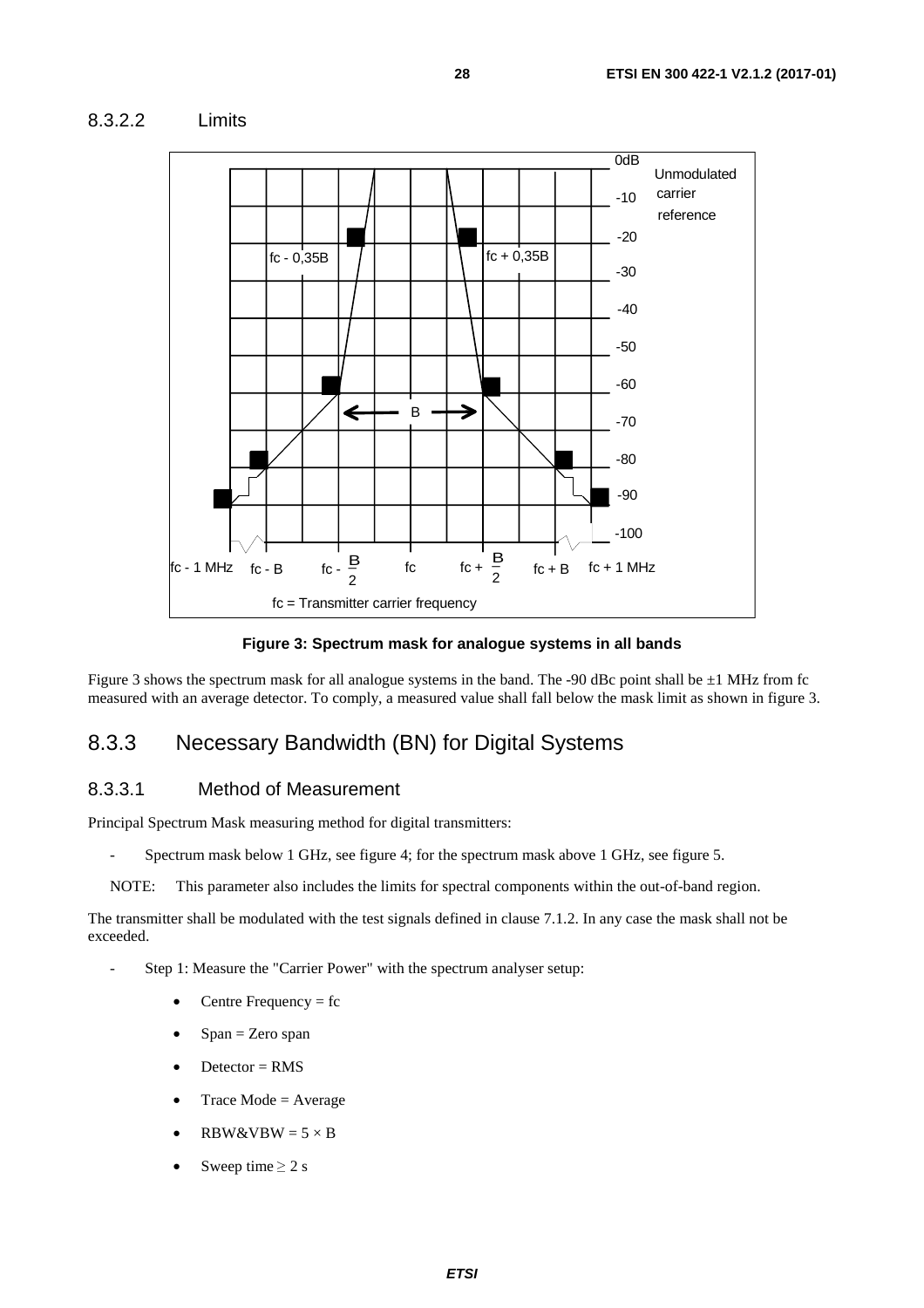<span id="page-27-0"></span>



**Figure 3: Spectrum mask for analogue systems in all bands** 

Figure 3 shows the spectrum mask for all analogue systems in the band. The -90 dBc point shall be  $\pm 1$  MHz from fc measured with an average detector. To comply, a measured value shall fall below the mask limit as shown in figure 3.

#### 8.3.3 Necessary Bandwidth (BN) for Digital Systems

#### 8.3.3.1 Method of Measurement

Principal Spectrum Mask measuring method for digital transmitters:

- Spectrum mask below 1 GHz, see figure 4; for the spectrum mask above 1 GHz, see figure 5.
- NOTE: This parameter also includes the limits for spectral components within the out-of-band region.

The transmitter shall be modulated with the test signals defined in clause 7.1.2. In any case the mask shall not be exceeded.

- Step 1: Measure the "Carrier Power" with the spectrum analyser setup:
	- Centre Frequency  $=$  fc
	- $Span = Zero$  span
	- $D \text{detector} = \text{RMS}$
	- $Trace Mode = Average$
	- $RBW&VBW = 5 \times B$
	- Sweep time  $\geq 2$  s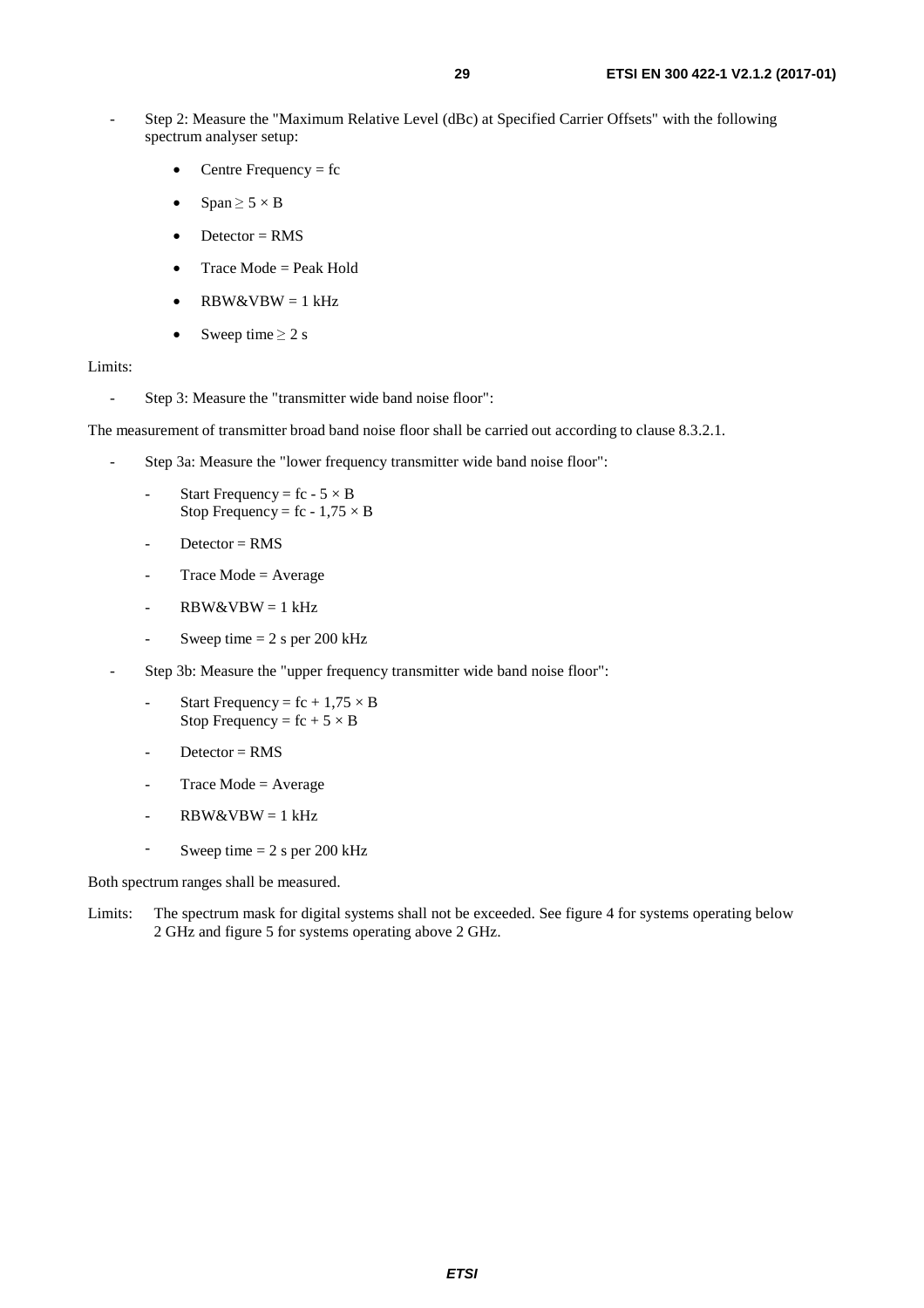- Step 2: Measure the "Maximum Relative Level (dBc) at Specified Carrier Offsets" with the following spectrum analyser setup:
	- Centre Frequency  $=$  fc
	- $Span \geq 5 \times B$
	- Detector  $=$  RMS
	- Trace Mode = Peak Hold
	- $RBW&VBW = 1 kHz$
	- Sweep time  $\geq 2$  s

#### Limits:

- Step 3: Measure the "transmitter wide band noise floor":

The measurement of transmitter broad band noise floor shall be carried out according to clause 8.3.2.1.

- Step 3a: Measure the "lower frequency transmitter wide band noise floor":
	- Start Frequency =  $fc 5 \times B$ Stop Frequency = fc -  $1,75 \times B$
	- $D \cdot \text{detector} = \text{RMS}$
	- $Trace Mode = Average$
	- RBW&VBW = 1 kHz
	- Sweep time  $= 2$  s per 200 kHz
- Step 3b: Measure the "upper frequency transmitter wide band noise floor":
	- Start Frequency =  $fc + 1,75 \times B$ Stop Frequency =  $fc + 5 \times B$
	- $D \text{detector} = \text{RMS}$
	- $Trace Mode = Average$
	- $RBW&VBW = 1 kHz$
	- Sweep time  $= 2$  s per 200 kHz

Both spectrum ranges shall be measured.

Limits: The spectrum mask for digital systems shall not be exceeded. See figure 4 for systems operating below 2 GHz and figure 5 for systems operating above 2 GHz.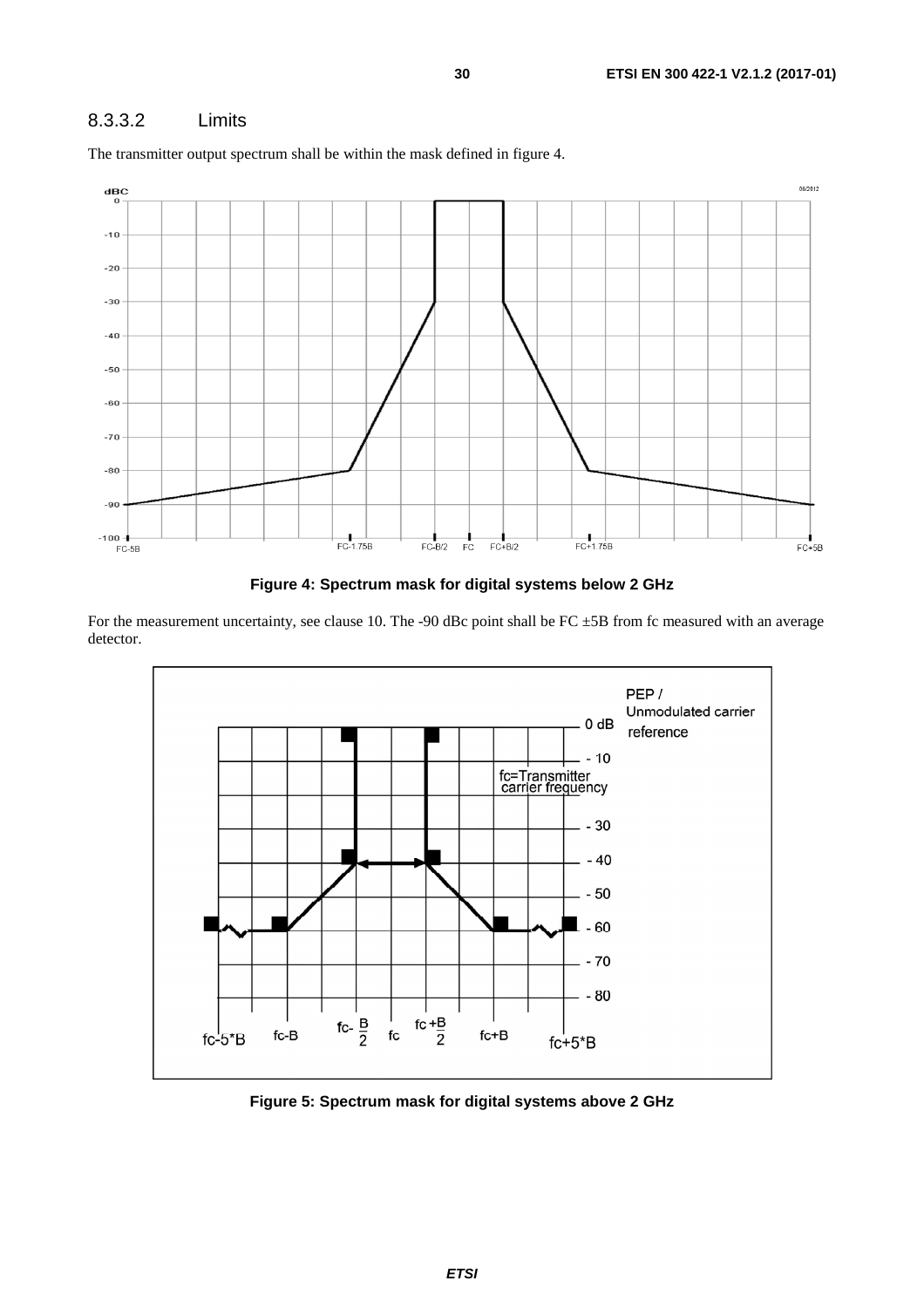#### <span id="page-29-0"></span>8.3.3.2 Limits



The transmitter output spectrum shall be within the mask defined in figure 4.

**Figure 4: Spectrum mask for digital systems below 2 GHz** 

For the measurement uncertainty, see clause 10. The -90 dBc point shall be FC  $\pm$ 5B from fc measured with an average detector.



**Figure 5: Spectrum mask for digital systems above 2 GHz**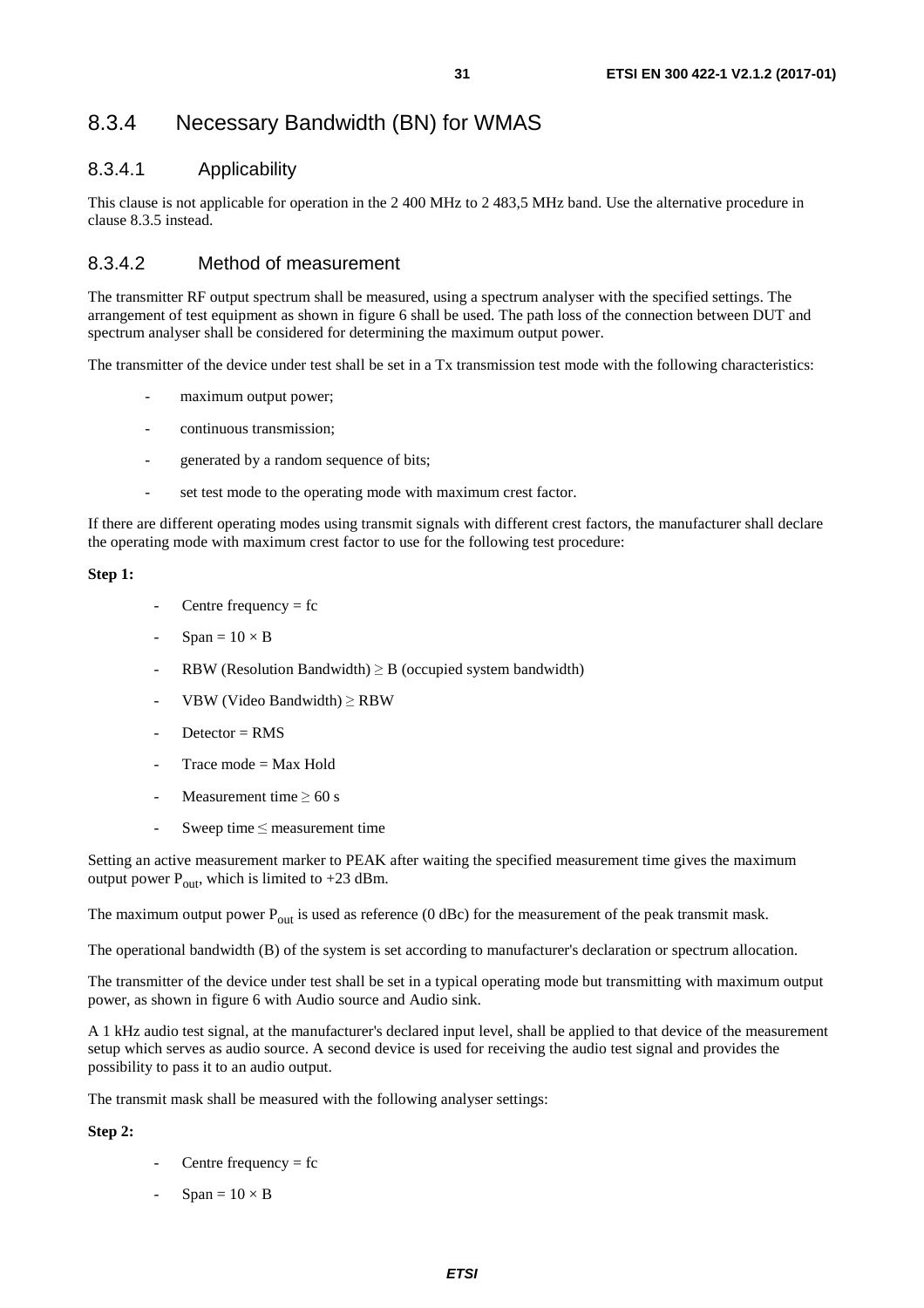### <span id="page-30-0"></span>8.3.4 Necessary Bandwidth (BN) for WMAS

#### 8.3.4.1 Applicability

This clause is not applicable for operation in the 2 400 MHz to 2 483,5 MHz band. Use the alternative procedure in clause 8.3.5 instead.

#### 8.3.4.2 Method of measurement

The transmitter RF output spectrum shall be measured, using a spectrum analyser with the specified settings. The arrangement of test equipment as shown in figure 6 shall be used. The path loss of the connection between DUT and spectrum analyser shall be considered for determining the maximum output power.

The transmitter of the device under test shall be set in a Tx transmission test mode with the following characteristics:

- maximum output power;
- continuous transmission;
- generated by a random sequence of bits;
- set test mode to the operating mode with maximum crest factor.

If there are different operating modes using transmit signals with different crest factors, the manufacturer shall declare the operating mode with maximum crest factor to use for the following test procedure:

#### **Step 1:**

- Centre frequency  $=$  fc
- $Span = 10 \times B$
- RBW (Resolution Bandwidth)  $\geq$  B (occupied system bandwidth)
- VBW (Video Bandwidth)  $\geq$  RBW
- $D \cdot \text{detector} = \text{RMS}$
- Trace mode  $=$  Max Hold
- Measurement time  $> 60$  s
- Sweep time  $\leq$  measurement time

Setting an active measurement marker to PEAK after waiting the specified measurement time gives the maximum output power  $P_{\text{out}}$ , which is limited to +23 dBm.

The maximum output power  $P_{out}$  is used as reference (0 dBc) for the measurement of the peak transmit mask.

The operational bandwidth (B) of the system is set according to manufacturer's declaration or spectrum allocation.

The transmitter of the device under test shall be set in a typical operating mode but transmitting with maximum output power, as shown in figure 6 with Audio source and Audio sink.

A 1 kHz audio test signal, at the manufacturer's declared input level, shall be applied to that device of the measurement setup which serves as audio source. A second device is used for receiving the audio test signal and provides the possibility to pass it to an audio output.

The transmit mask shall be measured with the following analyser settings:

#### **Step 2:**

- Centre frequency  $=$  fc
- $Span = 10 \times B$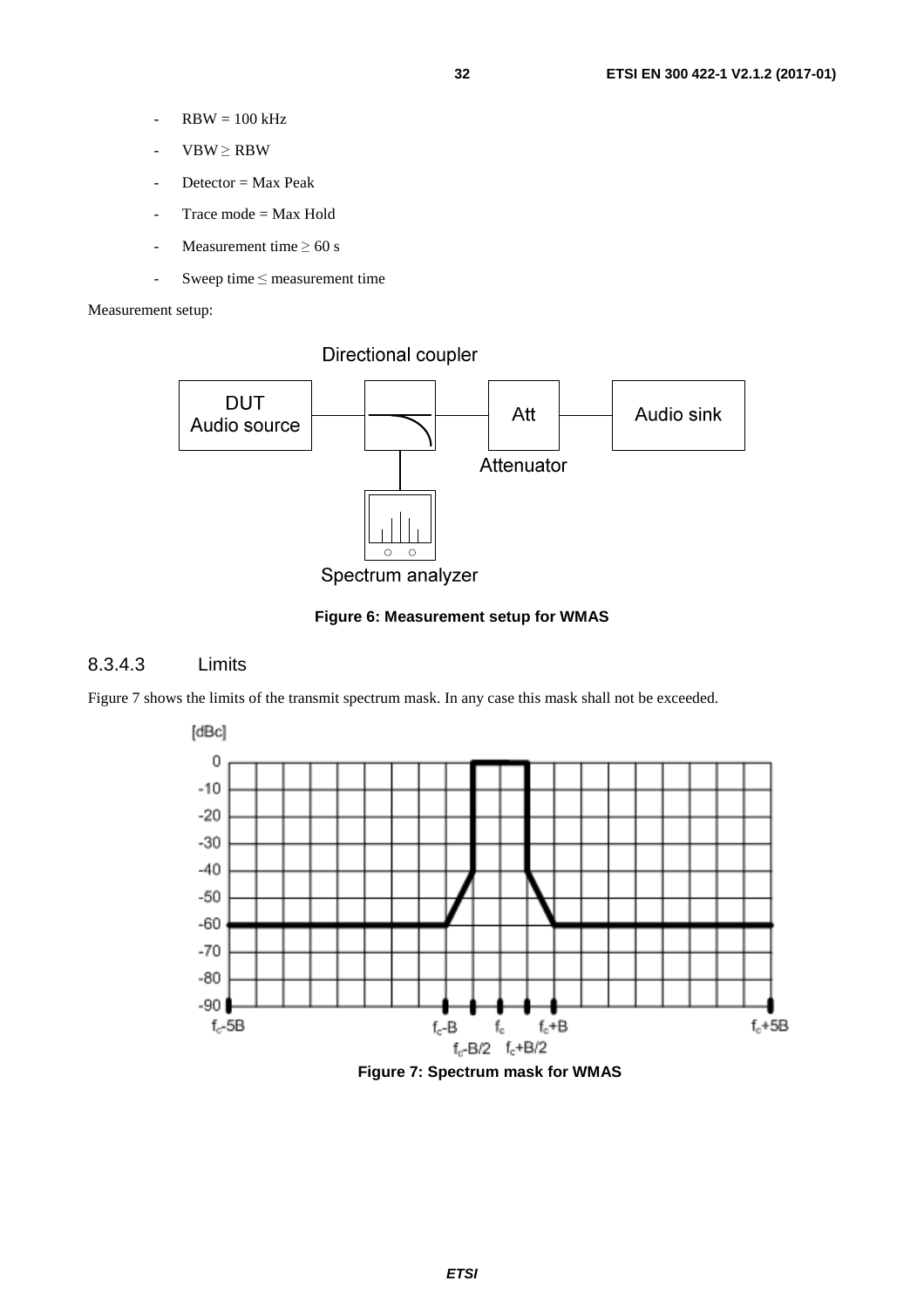- <span id="page-31-0"></span> $-RBW = 100 kHz$
- $VBW \ge RBW$
- $D \cdot \text{vector} = \text{Max Peak}$
- Trace mode  $=$  Max Hold
- Measurement time  $\geq 60$  s
- Sweep time ≤ measurement time

Measurement setup:

Directional coupler



#### **Figure 6: Measurement setup for WMAS**

#### 8.3.4.3 Limits

Figure 7 shows the limits of the transmit spectrum mask. In any case this mask shall not be exceeded.

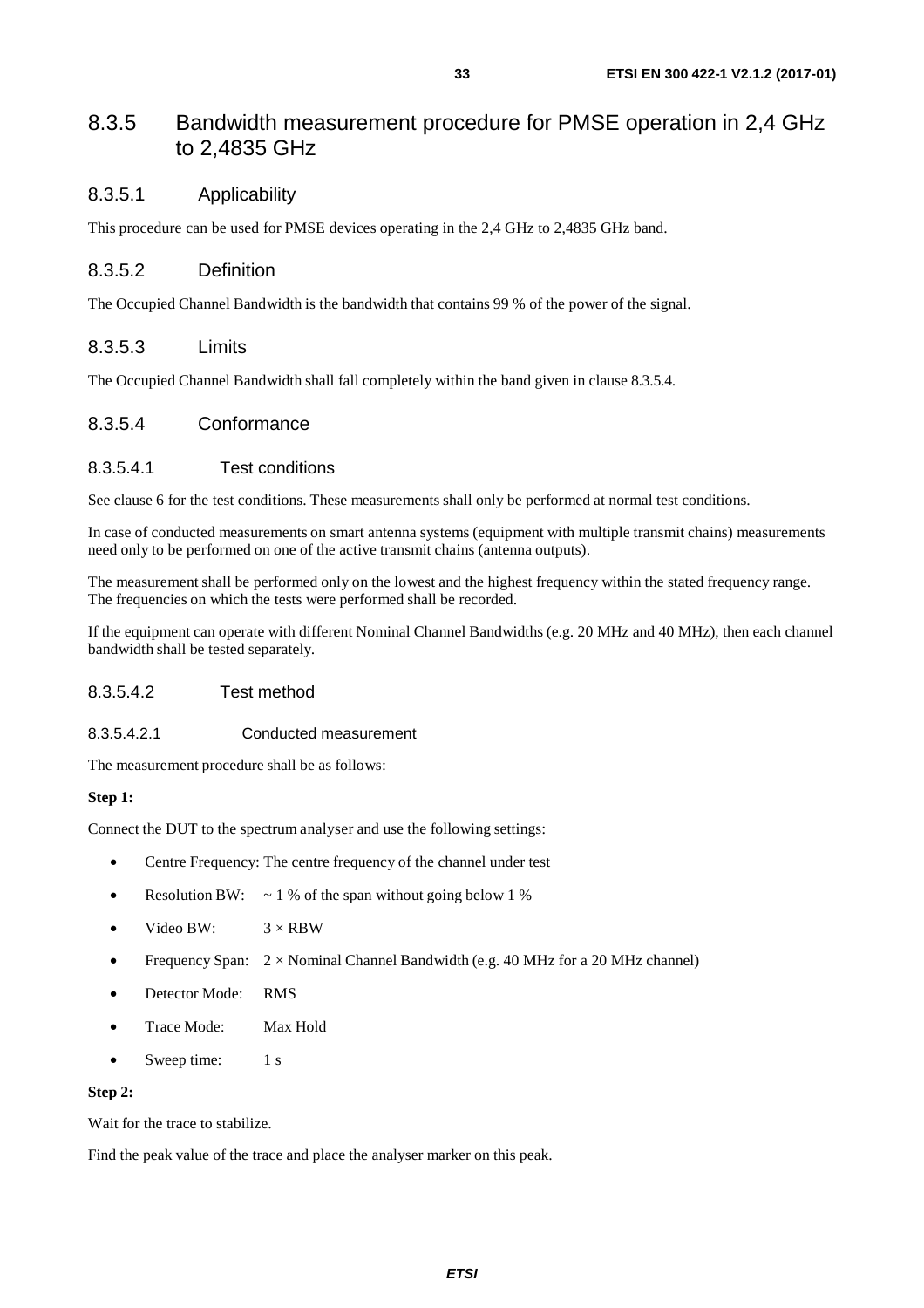#### <span id="page-32-0"></span>8.3.5 Bandwidth measurement procedure for PMSE operation in 2,4 GHz to 2,4835 GHz

#### 8.3.5.1 Applicability

This procedure can be used for PMSE devices operating in the 2,4 GHz to 2,4835 GHz band.

#### 8.3.5.2 Definition

The Occupied Channel Bandwidth is the bandwidth that contains 99 % of the power of the signal.

#### 8.3.5.3 Limits

The Occupied Channel Bandwidth shall fall completely within the band given in clause 8.3.5.4.

#### 8.3.5.4 Conformance

#### 8.3.5.4.1 Test conditions

See clause 6 for the test conditions. These measurements shall only be performed at normal test conditions.

In case of conducted measurements on smart antenna systems (equipment with multiple transmit chains) measurements need only to be performed on one of the active transmit chains (antenna outputs).

The measurement shall be performed only on the lowest and the highest frequency within the stated frequency range. The frequencies on which the tests were performed shall be recorded.

If the equipment can operate with different Nominal Channel Bandwidths (e.g. 20 MHz and 40 MHz), then each channel bandwidth shall be tested separately.

#### 8.3.5.4.2 Test method

#### 8.3.5.4.2.1 Conducted measurement

The measurement procedure shall be as follows:

#### **Step 1:**

Connect the DUT to the spectrum analyser and use the following settings:

- Centre Frequency: The centre frequency of the channel under test
- Resolution BW:  $\sim 1\%$  of the span without going below 1 %
- Video BW:  $3 \times RBW$
- Frequency Span:  $2 \times$  Nominal Channel Bandwidth (e.g. 40 MHz for a 20 MHz channel)
- Detector Mode: RMS
- Trace Mode: Max Hold
- Sweep time: 1 s

#### **Step 2:**

Wait for the trace to stabilize.

Find the peak value of the trace and place the analyser marker on this peak.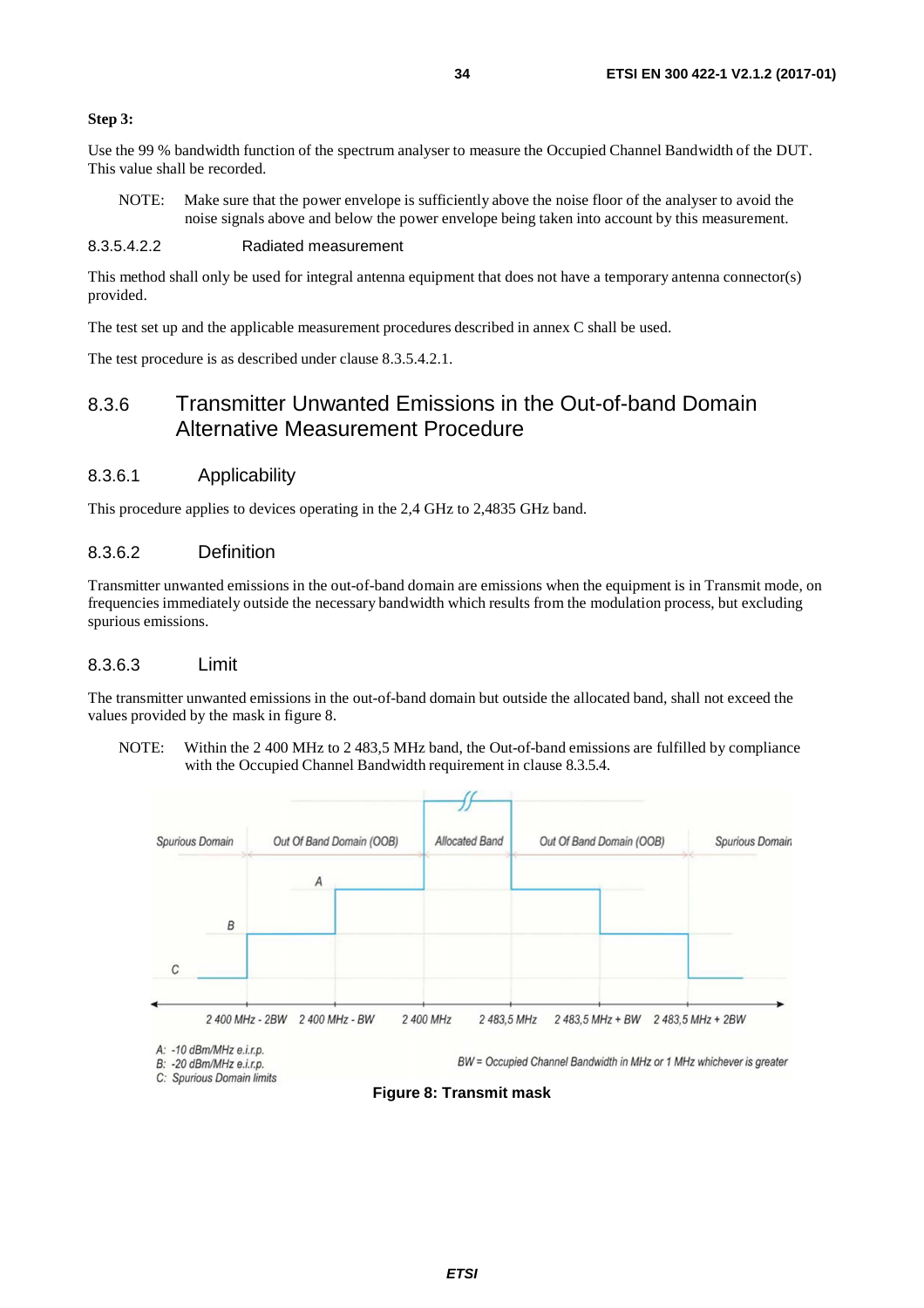#### <span id="page-33-0"></span>**Step 3:**

Use the 99 % bandwidth function of the spectrum analyser to measure the Occupied Channel Bandwidth of the DUT. This value shall be recorded.

NOTE: Make sure that the power envelope is sufficiently above the noise floor of the analyser to avoid the noise signals above and below the power envelope being taken into account by this measurement.

#### 8.3.5.4.2.2 Radiated measurement

This method shall only be used for integral antenna equipment that does not have a temporary antenna connector(s) provided.

The test set up and the applicable measurement procedures described in annex C shall be used.

The test procedure is as described under clause 8.3.5.4.2.1.

#### 8.3.6 Transmitter Unwanted Emissions in the Out-of-band Domain Alternative Measurement Procedure

#### 8.3.6.1 Applicability

This procedure applies to devices operating in the 2,4 GHz to 2,4835 GHz band.

#### 8.3.6.2 Definition

Transmitter unwanted emissions in the out-of-band domain are emissions when the equipment is in Transmit mode, on frequencies immediately outside the necessary bandwidth which results from the modulation process, but excluding spurious emissions.

#### 8.3.6.3 Limit

The transmitter unwanted emissions in the out-of-band domain but outside the allocated band, shall not exceed the values provided by the mask in figure 8.

NOTE: Within the 2 400 MHz to 2 483,5 MHz band, the Out-of-band emissions are fulfilled by compliance with the Occupied Channel Bandwidth requirement in clause 8.3.5.4.

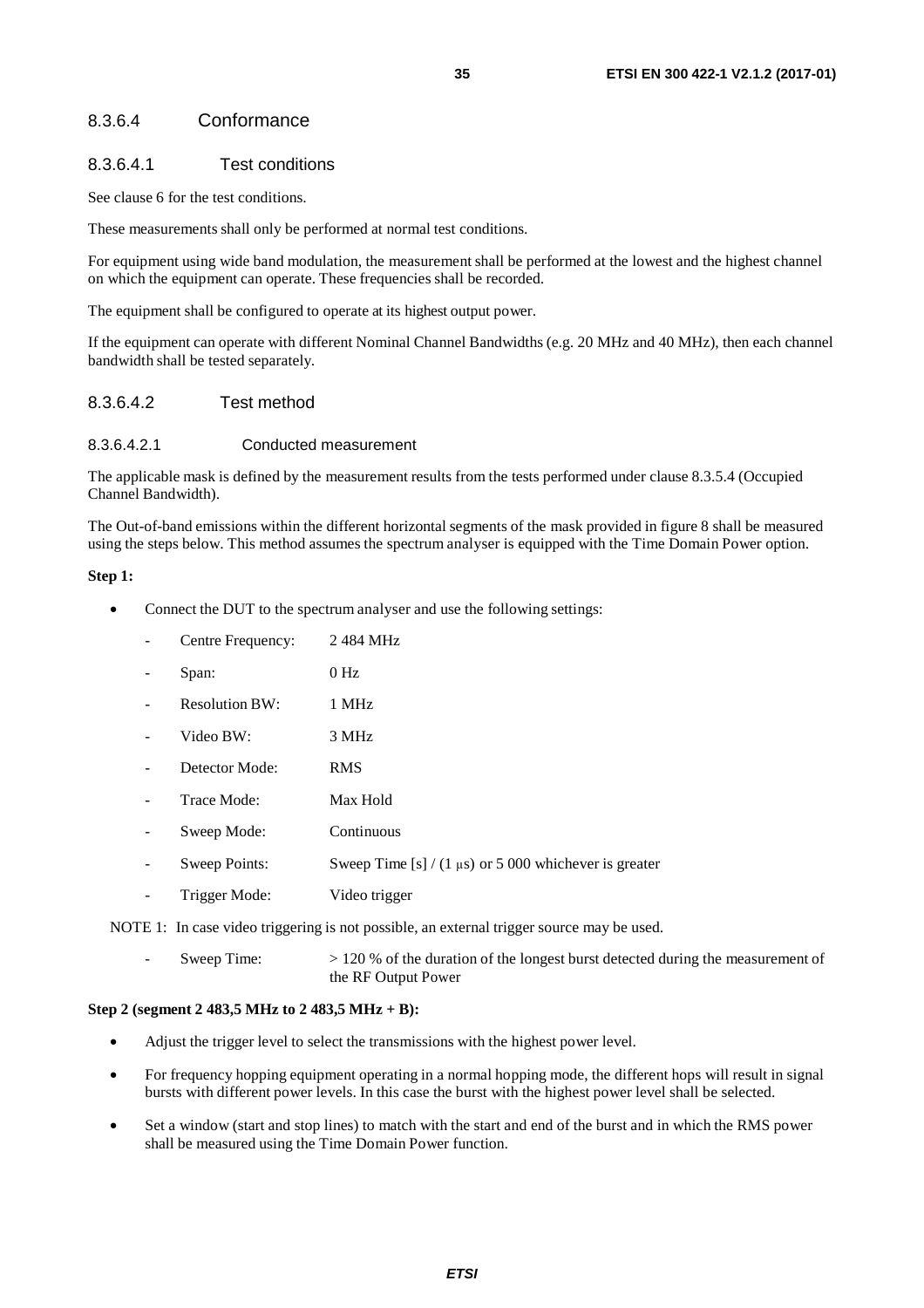#### <span id="page-34-0"></span>8.3.6.4 Conformance

#### 8.3.6.4.1 Test conditions

See clause 6 for the test conditions.

These measurements shall only be performed at normal test conditions.

For equipment using wide band modulation, the measurement shall be performed at the lowest and the highest channel on which the equipment can operate. These frequencies shall be recorded.

The equipment shall be configured to operate at its highest output power.

If the equipment can operate with different Nominal Channel Bandwidths (e.g. 20 MHz and 40 MHz), then each channel bandwidth shall be tested separately.

#### 8.3.6.4.2 Test method

#### 8.3.6.4.2.1 Conducted measurement

The applicable mask is defined by the measurement results from the tests performed under clause 8.3.5.4 (Occupied Channel Bandwidth).

The Out-of-band emissions within the different horizontal segments of the mask provided in figure 8 shall be measured using the steps below. This method assumes the spectrum analyser is equipped with the Time Domain Power option.

#### **Step 1:**

- Connect the DUT to the spectrum analyser and use the following settings:
	- Centre Frequency: 2 484 MHz
	- Span: 0 Hz
	- Resolution BW: 1 MHz
	- Video BW: 3 MHz
	- Detector Mode: RMS
	- Trace Mode: Max Hold
	- Sweep Mode: Continuous
	- Sweep Points: Sweep Time [s] / (1  $\mu$ s) or 5 000 whichever is greater
	- Trigger Mode: Video trigger

NOTE 1: In case video triggering is not possible, an external trigger source may be used.

Sweep Time:  $> 120 %$  of the duration of the longest burst detected during the measurement of the RF Output Power

#### **Step 2 (segment 2 483,5 MHz to 2 483,5 MHz + B):**

- Adjust the trigger level to select the transmissions with the highest power level.
- For frequency hopping equipment operating in a normal hopping mode, the different hops will result in signal bursts with different power levels. In this case the burst with the highest power level shall be selected.
- Set a window (start and stop lines) to match with the start and end of the burst and in which the RMS power shall be measured using the Time Domain Power function.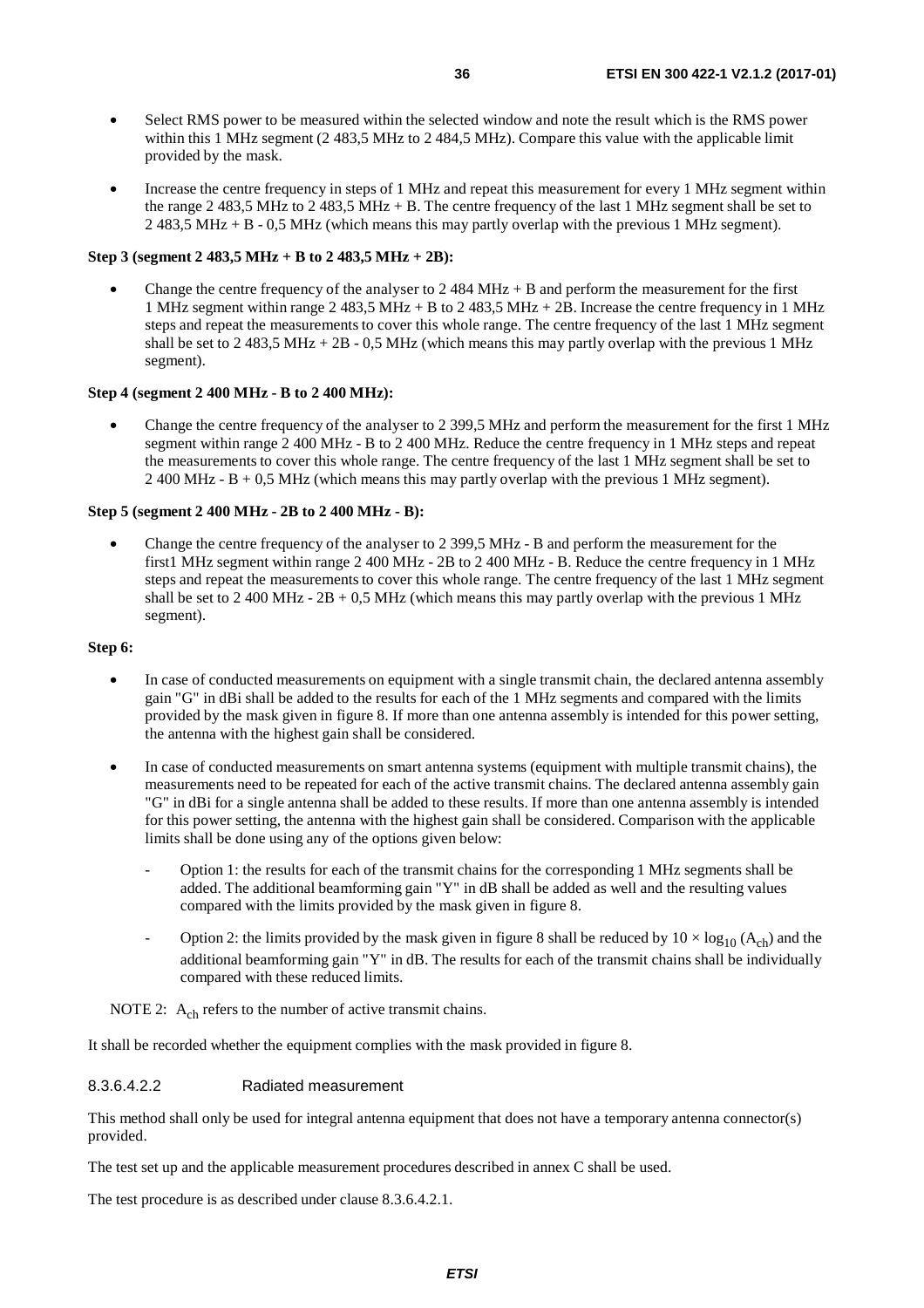- Select RMS power to be measured within the selected window and note the result which is the RMS power within this 1 MHz segment (2 483,5 MHz to 2 484,5 MHz). Compare this value with the applicable limit provided by the mask.
- Increase the centre frequency in steps of 1 MHz and repeat this measurement for every 1 MHz segment within the range 2 483,5 MHz to 2 483,5 MHz + B. The centre frequency of the last 1 MHz segment shall be set to 2 483,5 MHz + B - 0,5 MHz (which means this may partly overlap with the previous 1 MHz segment).

#### **Step 3 (segment 2 483,5 MHz + B to 2 483,5 MHz + 2B):**

Change the centre frequency of the analyser to  $2.484 \text{ MHz} + \text{B}$  and perform the measurement for the first 1 MHz segment within range 2 483,5 MHz + B to 2 483,5 MHz + 2B. Increase the centre frequency in 1 MHz steps and repeat the measurements to cover this whole range. The centre frequency of the last 1 MHz segment shall be set to 2 483,5 MHz + 2B - 0,5 MHz (which means this may partly overlap with the previous 1 MHz segment).

#### **Step 4 (segment 2 400 MHz - B to 2 400 MHz):**

• Change the centre frequency of the analyser to 2 399,5 MHz and perform the measurement for the first 1 MHz segment within range 2 400 MHz - B to 2 400 MHz. Reduce the centre frequency in 1 MHz steps and repeat the measurements to cover this whole range. The centre frequency of the last 1 MHz segment shall be set to 2 400 MHz - B + 0,5 MHz (which means this may partly overlap with the previous 1 MHz segment).

#### **Step 5 (segment 2 400 MHz - 2B to 2 400 MHz - B):**

• Change the centre frequency of the analyser to 2 399,5 MHz - B and perform the measurement for the first1 MHz segment within range 2 400 MHz - 2B to 2 400 MHz - B. Reduce the centre frequency in 1 MHz steps and repeat the measurements to cover this whole range. The centre frequency of the last 1 MHz segment shall be set to 2 400 MHz -  $2B + 0.5$  MHz (which means this may partly overlap with the previous 1 MHz segment).

#### **Step 6:**

- In case of conducted measurements on equipment with a single transmit chain, the declared antenna assembly gain "G" in dBi shall be added to the results for each of the 1 MHz segments and compared with the limits provided by the mask given in figure 8. If more than one antenna assembly is intended for this power setting, the antenna with the highest gain shall be considered.
- In case of conducted measurements on smart antenna systems (equipment with multiple transmit chains), the measurements need to be repeated for each of the active transmit chains. The declared antenna assembly gain "G" in dBi for a single antenna shall be added to these results. If more than one antenna assembly is intended for this power setting, the antenna with the highest gain shall be considered. Comparison with the applicable limits shall be done using any of the options given below:
	- Option 1: the results for each of the transmit chains for the corresponding 1 MHz segments shall be added. The additional beamforming gain "Y" in dB shall be added as well and the resulting values compared with the limits provided by the mask given in figure 8.
	- Option 2: the limits provided by the mask given in figure 8 shall be reduced by  $10 \times \log_{10} (A_{ch})$  and the additional beamforming gain "Y" in dB. The results for each of the transmit chains shall be individually compared with these reduced limits.

NOTE 2:  $A_{ch}$  refers to the number of active transmit chains.

It shall be recorded whether the equipment complies with the mask provided in figure 8.

#### 8.3.6.4.2.2 Radiated measurement

This method shall only be used for integral antenna equipment that does not have a temporary antenna connector(s) provided.

The test set up and the applicable measurement procedures described in annex C shall be used.

The test procedure is as described under clause 8.3.6.4.2.1.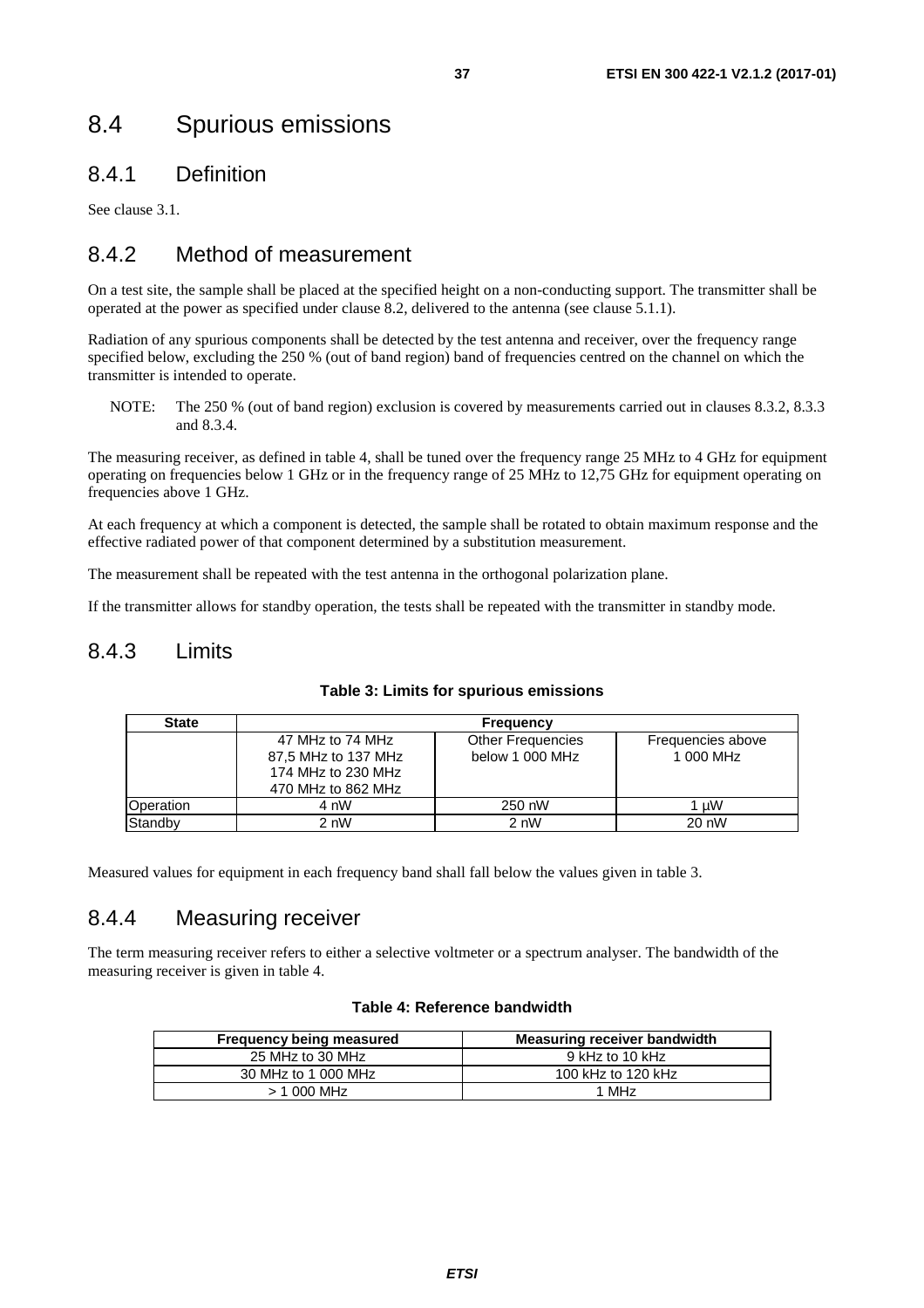## <span id="page-36-0"></span>8.4 Spurious emissions

### 8.4.1 Definition

See clause 3.1.

### 8.4.2 Method of measurement

On a test site, the sample shall be placed at the specified height on a non-conducting support. The transmitter shall be operated at the power as specified under clause 8.2, delivered to the antenna (see clause 5.1.1).

Radiation of any spurious components shall be detected by the test antenna and receiver, over the frequency range specified below, excluding the 250 % (out of band region) band of frequencies centred on the channel on which the transmitter is intended to operate.

NOTE: The 250 % (out of band region) exclusion is covered by measurements carried out in clauses 8.3.2, 8.3.3 and 8.3.4.

The measuring receiver, as defined in table 4, shall be tuned over the frequency range 25 MHz to 4 GHz for equipment operating on frequencies below 1 GHz or in the frequency range of 25 MHz to 12,75 GHz for equipment operating on frequencies above 1 GHz.

At each frequency at which a component is detected, the sample shall be rotated to obtain maximum response and the effective radiated power of that component determined by a substitution measurement.

The measurement shall be repeated with the test antenna in the orthogonal polarization plane.

If the transmitter allows for standby operation, the tests shall be repeated with the transmitter in standby mode.

#### 8.4.3 Limits

| <b>State</b>     | <b>Frequency</b>                                                                    |                                             |                                |  |
|------------------|-------------------------------------------------------------------------------------|---------------------------------------------|--------------------------------|--|
|                  | 47 MHz to 74 MHz<br>87,5 MHz to 137 MHz<br>174 MHz to 230 MHz<br>470 MHz to 862 MHz | <b>Other Frequencies</b><br>below 1 000 MHz | Frequencies above<br>1 000 MHz |  |
| <b>Operation</b> | 4 nW                                                                                | 250 nW                                      | 1 uW                           |  |
| Standby          | 2 nW                                                                                | 2 nW                                        | 20 nW                          |  |

#### **Table 3: Limits for spurious emissions**

Measured values for equipment in each frequency band shall fall below the values given in table 3.

### 8.4.4 Measuring receiver

The term measuring receiver refers to either a selective voltmeter or a spectrum analyser. The bandwidth of the measuring receiver is given in table 4.

#### **Table 4: Reference bandwidth**

| <b>Frequency being measured</b> | <b>Measuring receiver bandwidth</b> |
|---------------------------------|-------------------------------------|
| 25 MHz to 30 MHz                | 9 kHz to 10 kHz                     |
| 30 MHz to 1 000 MHz             | 100 kHz to 120 kHz                  |
| $> 1000$ MHz                    | 1 MH <sub>z</sub>                   |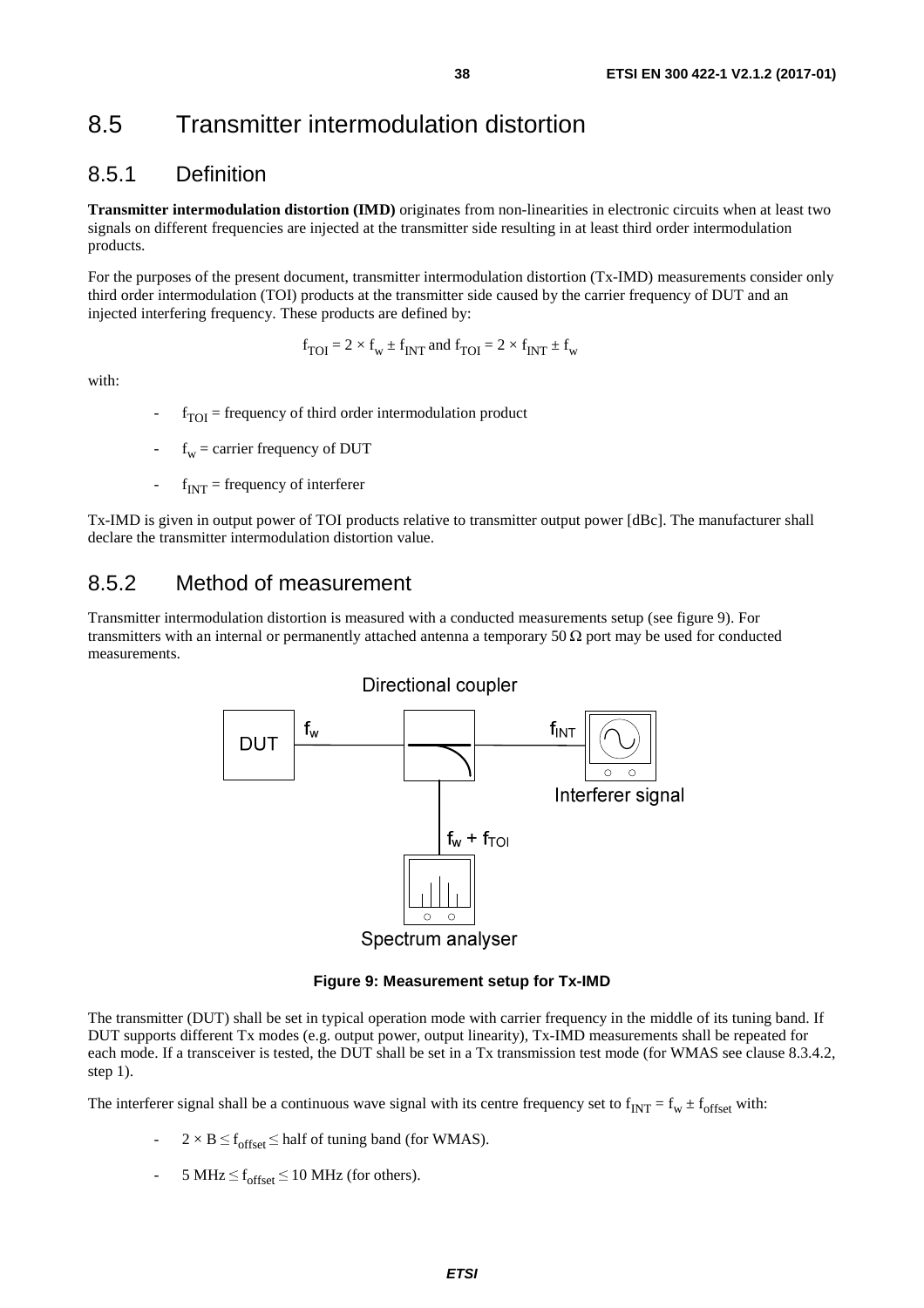### <span id="page-37-0"></span>8.5 Transmitter intermodulation distortion

#### 8.5.1 Definition

**Transmitter intermodulation distortion (IMD)** originates from non-linearities in electronic circuits when at least two signals on different frequencies are injected at the transmitter side resulting in at least third order intermodulation products.

For the purposes of the present document, transmitter intermodulation distortion (Tx-IMD) measurements consider only third order intermodulation (TOI) products at the transmitter side caused by the carrier frequency of DUT and an injected interfering frequency. These products are defined by:

$$
f_{\text{TOI}} = 2 \times f_w \pm f_{\text{INT}}
$$
 and  $f_{\text{TOI}} = 2 \times f_{\text{INT}} \pm f_w$ 

with:

- $f_{\text{TOI}}$  = frequency of third order intermodulation product
- $f_w$  = carrier frequency of DUT
- $-f_{\text{INT}}$  = frequency of interferer

Tx-IMD is given in output power of TOI products relative to transmitter output power [dBc]. The manufacturer shall declare the transmitter intermodulation distortion value.

#### 8.5.2 Method of measurement

Transmitter intermodulation distortion is measured with a conducted measurements setup (see figure 9). For transmitters with an internal or permanently attached antenna a temporary 50  $\Omega$  port may be used for conducted measurements.



**Figure 9: Measurement setup for Tx-IMD** 

The transmitter (DUT) shall be set in typical operation mode with carrier frequency in the middle of its tuning band. If DUT supports different Tx modes (e.g. output power, output linearity), Tx-IMD measurements shall be repeated for each mode. If a transceiver is tested, the DUT shall be set in a Tx transmission test mode (for WMAS see clause 8.3.4.2, step 1).

The interferer signal shall be a continuous wave signal with its centre frequency set to  $f_{INT} = f_w \pm f_{offset}$  with:

- $2 \times B \leq f_{\text{offset}} \leq$  half of tuning band (for WMAS).
- 5 MHz  $\leq$  f<sub>offset</sub>  $\leq$  10 MHz (for others).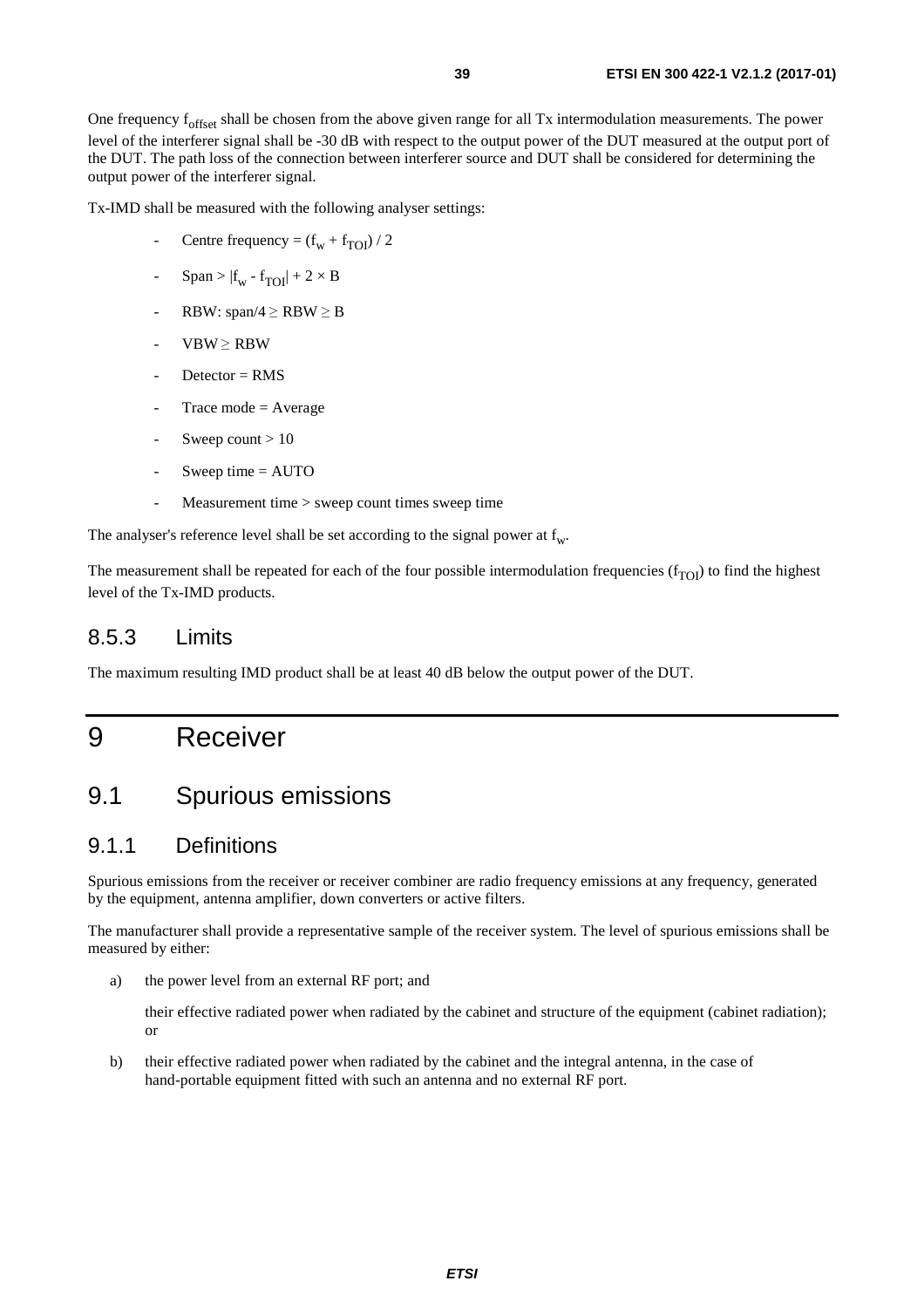<span id="page-38-0"></span>Tx-IMD shall be measured with the following analyser settings:

- Centre frequency =  $(f_w + f_{TOI})/2$
- $Span > |f_w f_{TOI}| + 2 \times B$
- RBW: span/4  $\ge$  RBW  $\ge$  B
- $VBW \geq RBW$
- $D \cdot \text{detector} = \text{RMS}$
- Trace mode  $=$  Average
- Sweep count  $> 10$
- Sweep time  $=$  AUTO
- Measurement time > sweep count times sweep time

The analyser's reference level shall be set according to the signal power at  $f_w$ .

The measurement shall be repeated for each of the four possible intermodulation frequencies  $(f_{TOI})$  to find the highest level of the Tx-IMD products.

### 8.5.3 Limits

The maximum resulting IMD product shall be at least 40 dB below the output power of the DUT.

## 9 Receiver

## 9.1 Spurious emissions

#### 9.1.1 Definitions

Spurious emissions from the receiver or receiver combiner are radio frequency emissions at any frequency, generated by the equipment, antenna amplifier, down converters or active filters.

The manufacturer shall provide a representative sample of the receiver system. The level of spurious emissions shall be measured by either:

a) the power level from an external RF port; and

 their effective radiated power when radiated by the cabinet and structure of the equipment (cabinet radiation); or

b) their effective radiated power when radiated by the cabinet and the integral antenna, in the case of hand-portable equipment fitted with such an antenna and no external RF port.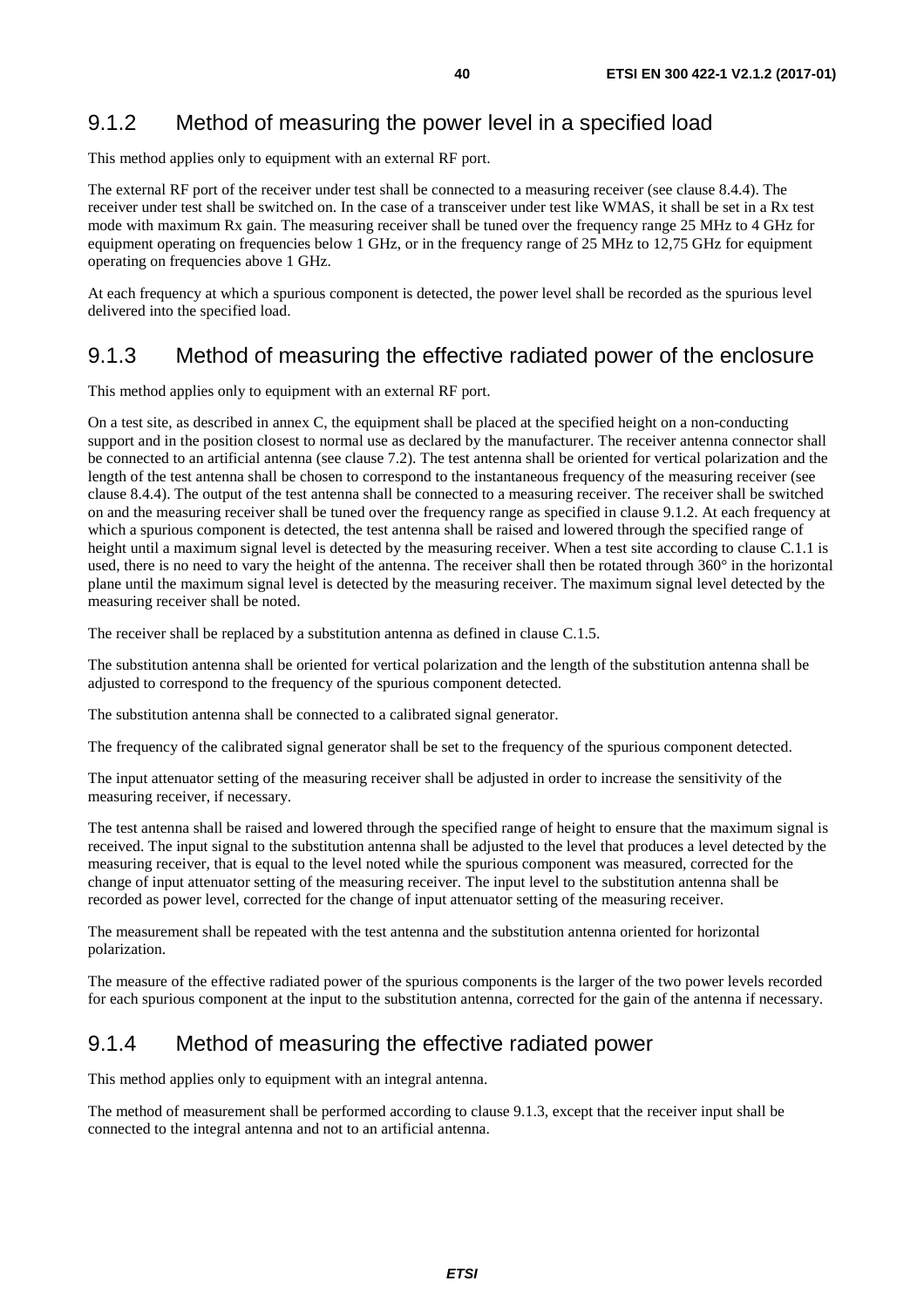### <span id="page-39-0"></span>9.1.2 Method of measuring the power level in a specified load

This method applies only to equipment with an external RF port.

The external RF port of the receiver under test shall be connected to a measuring receiver (see clause 8.4.4). The receiver under test shall be switched on. In the case of a transceiver under test like WMAS, it shall be set in a Rx test mode with maximum Rx gain. The measuring receiver shall be tuned over the frequency range 25 MHz to 4 GHz for equipment operating on frequencies below 1 GHz, or in the frequency range of 25 MHz to 12,75 GHz for equipment operating on frequencies above 1 GHz.

At each frequency at which a spurious component is detected, the power level shall be recorded as the spurious level delivered into the specified load.

### 9.1.3 Method of measuring the effective radiated power of the enclosure

This method applies only to equipment with an external RF port.

On a test site, as described in annex C, the equipment shall be placed at the specified height on a non-conducting support and in the position closest to normal use as declared by the manufacturer. The receiver antenna connector shall be connected to an artificial antenna (see clause 7.2). The test antenna shall be oriented for vertical polarization and the length of the test antenna shall be chosen to correspond to the instantaneous frequency of the measuring receiver (see clause 8.4.4). The output of the test antenna shall be connected to a measuring receiver. The receiver shall be switched on and the measuring receiver shall be tuned over the frequency range as specified in clause 9.1.2. At each frequency at which a spurious component is detected, the test antenna shall be raised and lowered through the specified range of height until a maximum signal level is detected by the measuring receiver. When a test site according to clause C.1.1 is used, there is no need to vary the height of the antenna. The receiver shall then be rotated through 360° in the horizontal plane until the maximum signal level is detected by the measuring receiver. The maximum signal level detected by the measuring receiver shall be noted.

The receiver shall be replaced by a substitution antenna as defined in clause C.1.5.

The substitution antenna shall be oriented for vertical polarization and the length of the substitution antenna shall be adjusted to correspond to the frequency of the spurious component detected.

The substitution antenna shall be connected to a calibrated signal generator.

The frequency of the calibrated signal generator shall be set to the frequency of the spurious component detected.

The input attenuator setting of the measuring receiver shall be adjusted in order to increase the sensitivity of the measuring receiver, if necessary.

The test antenna shall be raised and lowered through the specified range of height to ensure that the maximum signal is received. The input signal to the substitution antenna shall be adjusted to the level that produces a level detected by the measuring receiver, that is equal to the level noted while the spurious component was measured, corrected for the change of input attenuator setting of the measuring receiver. The input level to the substitution antenna shall be recorded as power level, corrected for the change of input attenuator setting of the measuring receiver.

The measurement shall be repeated with the test antenna and the substitution antenna oriented for horizontal polarization.

The measure of the effective radiated power of the spurious components is the larger of the two power levels recorded for each spurious component at the input to the substitution antenna, corrected for the gain of the antenna if necessary.

### 9.1.4 Method of measuring the effective radiated power

This method applies only to equipment with an integral antenna.

The method of measurement shall be performed according to clause 9.1.3, except that the receiver input shall be connected to the integral antenna and not to an artificial antenna.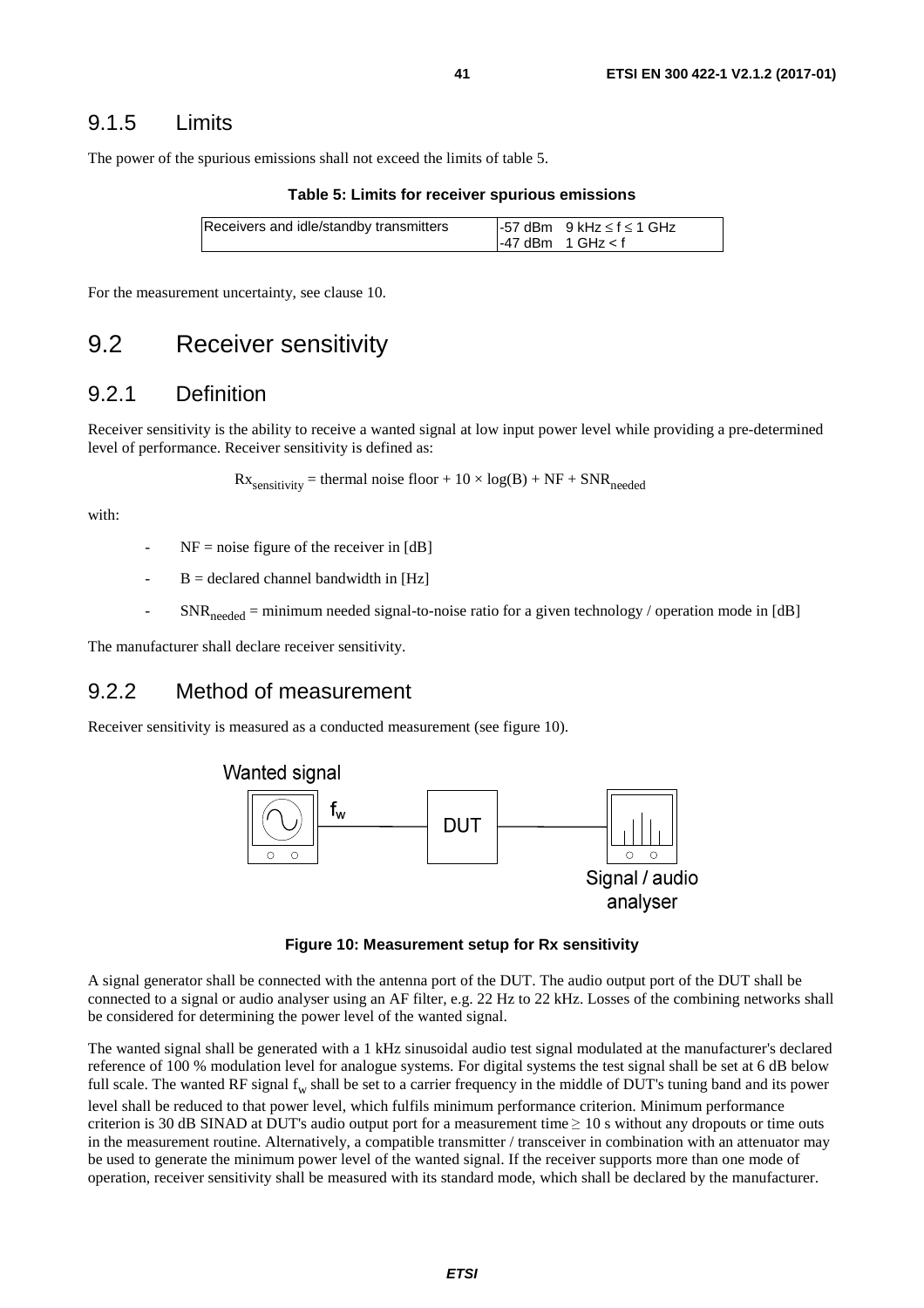<span id="page-40-0"></span>The power of the spurious emissions shall not exceed the limits of table 5.

**Table 5: Limits for receiver spurious emissions** 

| Receivers and idle/standby transmitters | $-57$ dBm 9 kHz $\leq$ f $\leq$ 1 GHz |  |
|-----------------------------------------|---------------------------------------|--|
|                                         | $-47$ dBm 1 GHz $<$ f                 |  |

For the measurement uncertainty, see clause 10.

### 9.2 Receiver sensitivity

#### 9.2.1 Definition

Receiver sensitivity is the ability to receive a wanted signal at low input power level while providing a pre-determined level of performance. Receiver sensitivity is defined as:

$$
Rx_{\text{sensitivity}} = \text{thermal noise floor} + 10 \times \log(B) + NF + SNR_{\text{needed}}
$$

with:

- $NF = noise$  figure of the receiver in [dB]
- $B =$  declared channel bandwidth in [Hz]
- $SNR_{needed}$  = minimum needed signal-to-noise ratio for a given technology / operation mode in [dB]

The manufacturer shall declare receiver sensitivity.

#### 9.2.2 Method of measurement

Receiver sensitivity is measured as a conducted measurement (see figure 10).



**Figure 10: Measurement setup for Rx sensitivity** 

A signal generator shall be connected with the antenna port of the DUT. The audio output port of the DUT shall be connected to a signal or audio analyser using an AF filter, e.g. 22 Hz to 22 kHz. Losses of the combining networks shall be considered for determining the power level of the wanted signal.

The wanted signal shall be generated with a 1 kHz sinusoidal audio test signal modulated at the manufacturer's declared reference of 100 % modulation level for analogue systems. For digital systems the test signal shall be set at 6 dB below full scale. The wanted RF signal  $f_w$  shall be set to a carrier frequency in the middle of DUT's tuning band and its power level shall be reduced to that power level, which fulfils minimum performance criterion. Minimum performance criterion is 30 dB SINAD at DUT's audio output port for a measurement time  $\geq 10$  s without any dropouts or time outs in the measurement routine. Alternatively, a compatible transmitter / transceiver in combination with an attenuator may be used to generate the minimum power level of the wanted signal. If the receiver supports more than one mode of operation, receiver sensitivity shall be measured with its standard mode, which shall be declared by the manufacturer.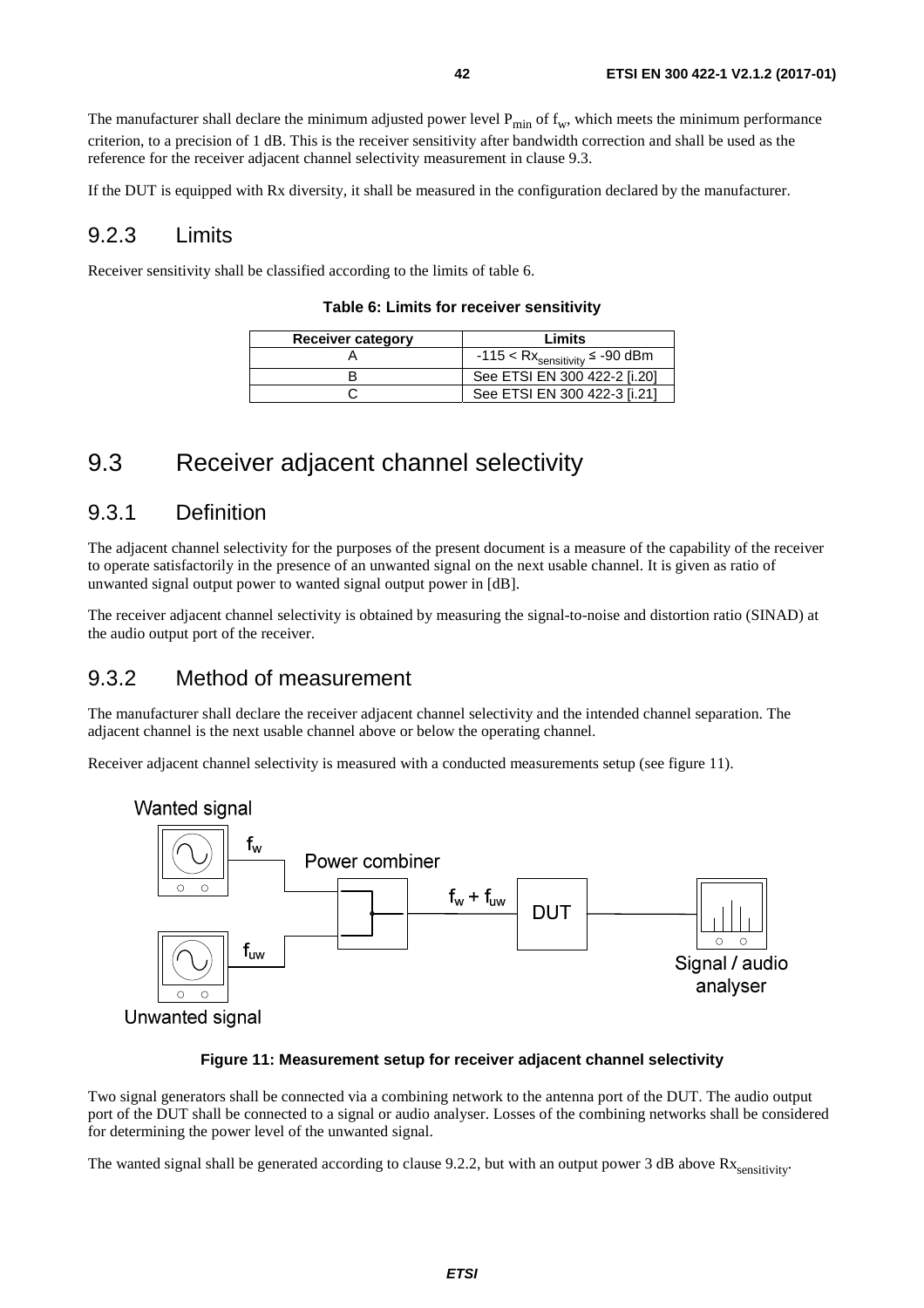<span id="page-41-0"></span>The manufacturer shall declare the minimum adjusted power level  $P_{min}$  of  $f_w$ , which meets the minimum performance criterion, to a precision of 1 dB. This is the receiver sensitivity after bandwidth correction and shall be used as the reference for the receiver adjacent channel selectivity measurement in clause 9.3.

If the DUT is equipped with Rx diversity, it shall be measured in the configuration declared by the manufacturer.

#### 9.2.3 Limits

Receiver sensitivity shall be classified according to the limits of table 6.

#### **Table 6: Limits for receiver sensitivity**

| <b>Receiver category</b> | Limits                                                |
|--------------------------|-------------------------------------------------------|
|                          | -115 < $\mathsf{Rx}_{\mathsf{sensitivity}}$ ≤ -90 dBm |
|                          | See ETSI EN 300 422-2 [i.20]                          |
|                          | See ETSI EN 300 422-3 [i.21]                          |

### 9.3 Receiver adjacent channel selectivity

#### 9.3.1 Definition

The adjacent channel selectivity for the purposes of the present document is a measure of the capability of the receiver to operate satisfactorily in the presence of an unwanted signal on the next usable channel. It is given as ratio of unwanted signal output power to wanted signal output power in [dB].

The receiver adjacent channel selectivity is obtained by measuring the signal-to-noise and distortion ratio (SINAD) at the audio output port of the receiver.

### 9.3.2 Method of measurement

The manufacturer shall declare the receiver adjacent channel selectivity and the intended channel separation. The adjacent channel is the next usable channel above or below the operating channel.

Receiver adjacent channel selectivity is measured with a conducted measurements setup (see figure 11).



#### **Figure 11: Measurement setup for receiver adjacent channel selectivity**

Two signal generators shall be connected via a combining network to the antenna port of the DUT. The audio output port of the DUT shall be connected to a signal or audio analyser. Losses of the combining networks shall be considered for determining the power level of the unwanted signal.

The wanted signal shall be generated according to clause 9.2.2, but with an output power 3 dB above  $Rx$ <sub>sensitivity</sub>.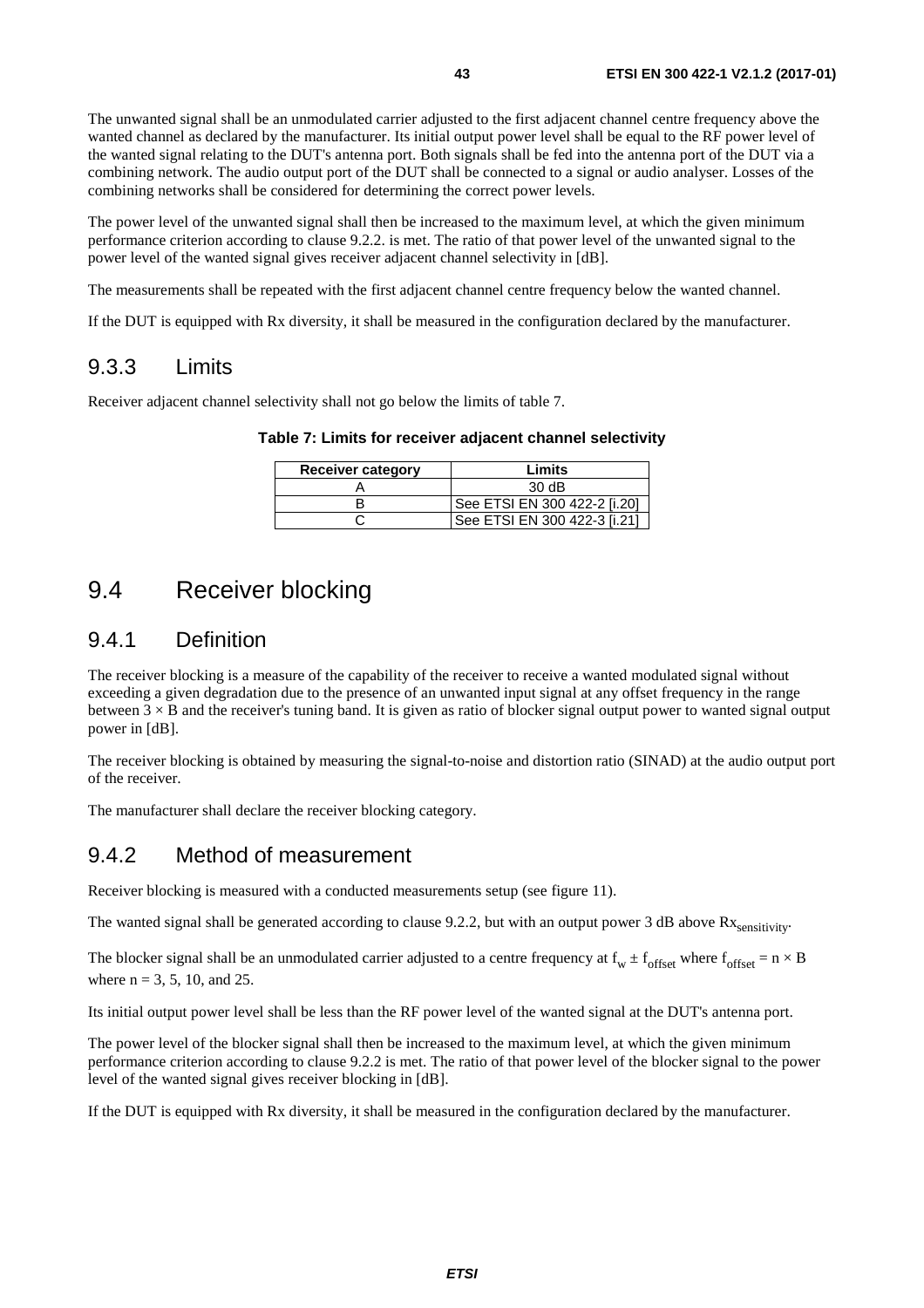<span id="page-42-0"></span>The unwanted signal shall be an unmodulated carrier adjusted to the first adjacent channel centre frequency above the wanted channel as declared by the manufacturer. Its initial output power level shall be equal to the RF power level of the wanted signal relating to the DUT's antenna port. Both signals shall be fed into the antenna port of the DUT via a combining network. The audio output port of the DUT shall be connected to a signal or audio analyser. Losses of the combining networks shall be considered for determining the correct power levels.

The power level of the unwanted signal shall then be increased to the maximum level, at which the given minimum performance criterion according to clause 9.2.2. is met. The ratio of that power level of the unwanted signal to the power level of the wanted signal gives receiver adjacent channel selectivity in [dB].

The measurements shall be repeated with the first adjacent channel centre frequency below the wanted channel.

If the DUT is equipped with Rx diversity, it shall be measured in the configuration declared by the manufacturer.

#### 9.3.3 Limits

Receiver adjacent channel selectivity shall not go below the limits of table 7.

**Table 7: Limits for receiver adjacent channel selectivity** 

| <b>Receiver category</b> | Limits                       |
|--------------------------|------------------------------|
|                          | 30dB                         |
|                          | See ETSI EN 300 422-2 [i.20] |
|                          | See ETSI EN 300 422-3 [i.21] |

## 9.4 Receiver blocking

#### 9.4.1 Definition

The receiver blocking is a measure of the capability of the receiver to receive a wanted modulated signal without exceeding a given degradation due to the presence of an unwanted input signal at any offset frequency in the range between  $3 \times B$  and the receiver's tuning band. It is given as ratio of blocker signal output power to wanted signal output power in [dB].

The receiver blocking is obtained by measuring the signal-to-noise and distortion ratio (SINAD) at the audio output port of the receiver.

The manufacturer shall declare the receiver blocking category.

#### 9.4.2 Method of measurement

Receiver blocking is measured with a conducted measurements setup (see figure 11).

The wanted signal shall be generated according to clause 9.2.2, but with an output power 3 dB above  $Rx_{\text{sensitivity}}$ .

The blocker signal shall be an unmodulated carrier adjusted to a centre frequency at  $f_w \pm f_{offset}$  where  $f_{offset} = n \times B$ where  $n = 3, 5, 10,$  and 25.

Its initial output power level shall be less than the RF power level of the wanted signal at the DUT's antenna port.

The power level of the blocker signal shall then be increased to the maximum level, at which the given minimum performance criterion according to clause 9.2.2 is met. The ratio of that power level of the blocker signal to the power level of the wanted signal gives receiver blocking in [dB].

If the DUT is equipped with Rx diversity, it shall be measured in the configuration declared by the manufacturer.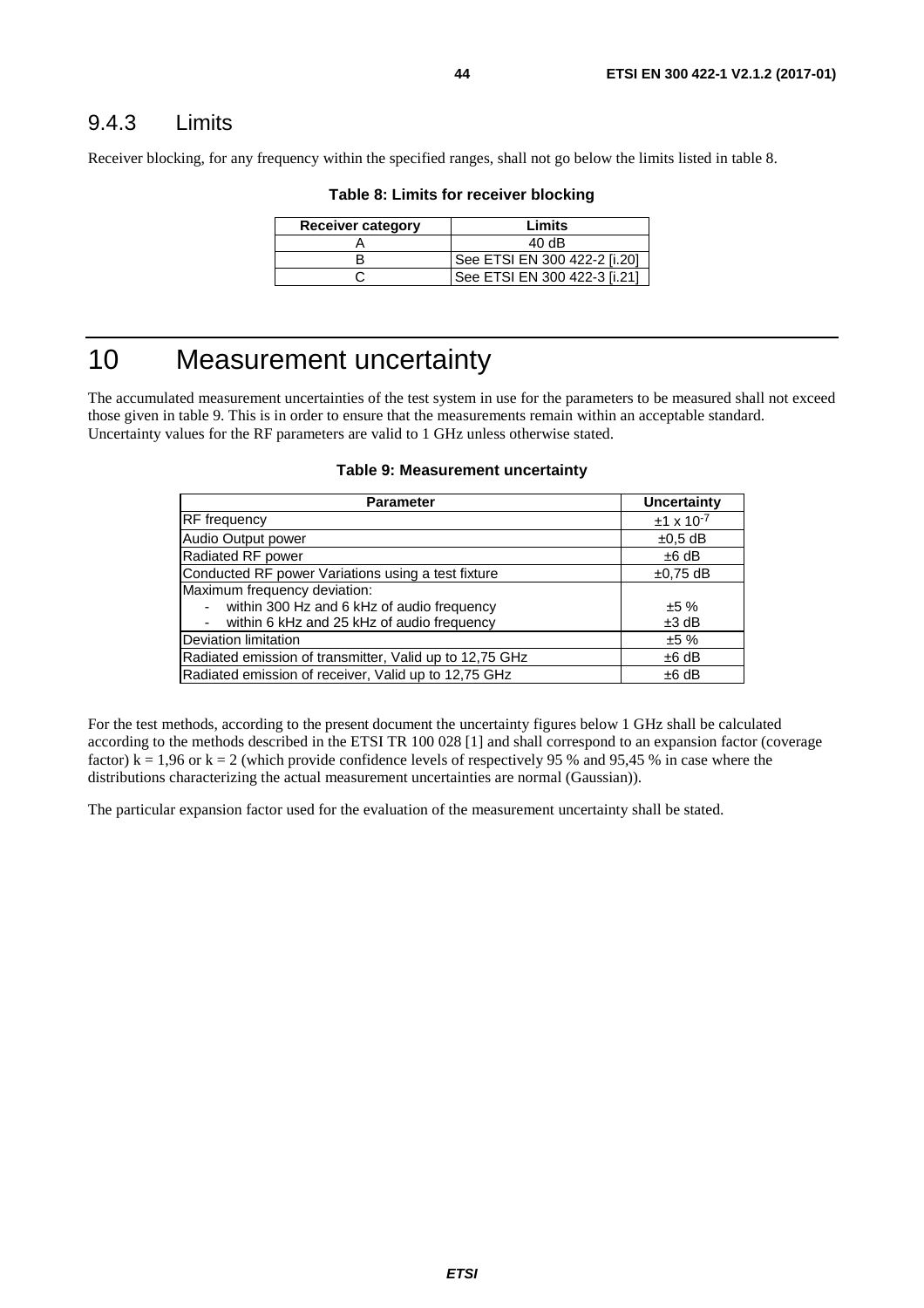### <span id="page-43-0"></span>9.4.3 Limits

Receiver blocking, for any frequency within the specified ranges, shall not go below the limits listed in table 8.

| <b>Receiver category</b> | Limits                       |
|--------------------------|------------------------------|
|                          | 40dB                         |
|                          | See ETSI EN 300 422-2 [i.20] |
|                          | See ETSI EN 300 422-3 [i.21] |

#### **Table 8: Limits for receiver blocking**

## 10 Measurement uncertainty

The accumulated measurement uncertainties of the test system in use for the parameters to be measured shall not exceed those given in table 9. This is in order to ensure that the measurements remain within an acceptable standard. Uncertainty values for the RF parameters are valid to 1 GHz unless otherwise stated.

#### **Table 9: Measurement uncertainty**

| <b>Parameter</b>                                        | Uncertainty         |
|---------------------------------------------------------|---------------------|
| <b>RF</b> frequency                                     | $±1 \times 10^{-7}$ |
| Audio Output power                                      | $\pm 0.5$ dB        |
| Radiated RF power                                       | $±6$ dB             |
| Conducted RF power Variations using a test fixture      | $±0,75$ dB          |
| Maximum frequency deviation:                            |                     |
| within 300 Hz and 6 kHz of audio frequency              | ±5%                 |
| within 6 kHz and 25 kHz of audio frequency              | $±3$ dB             |
| Deviation limitation                                    | ±5%                 |
| Radiated emission of transmitter, Valid up to 12,75 GHz | $±6$ dB             |
| Radiated emission of receiver, Valid up to 12,75 GHz    | $±6$ dB             |

For the test methods, according to the present document the uncertainty figures below 1 GHz shall be calculated according to the methods described in the ETSI TR 100 028 [[1\]](#page-10-0) and shall correspond to an expansion factor (coverage factor)  $k = 1,96$  or  $k = 2$  (which provide confidence levels of respectively 95 % and 95,45 % in case where the distributions characterizing the actual measurement uncertainties are normal (Gaussian)).

The particular expansion factor used for the evaluation of the measurement uncertainty shall be stated.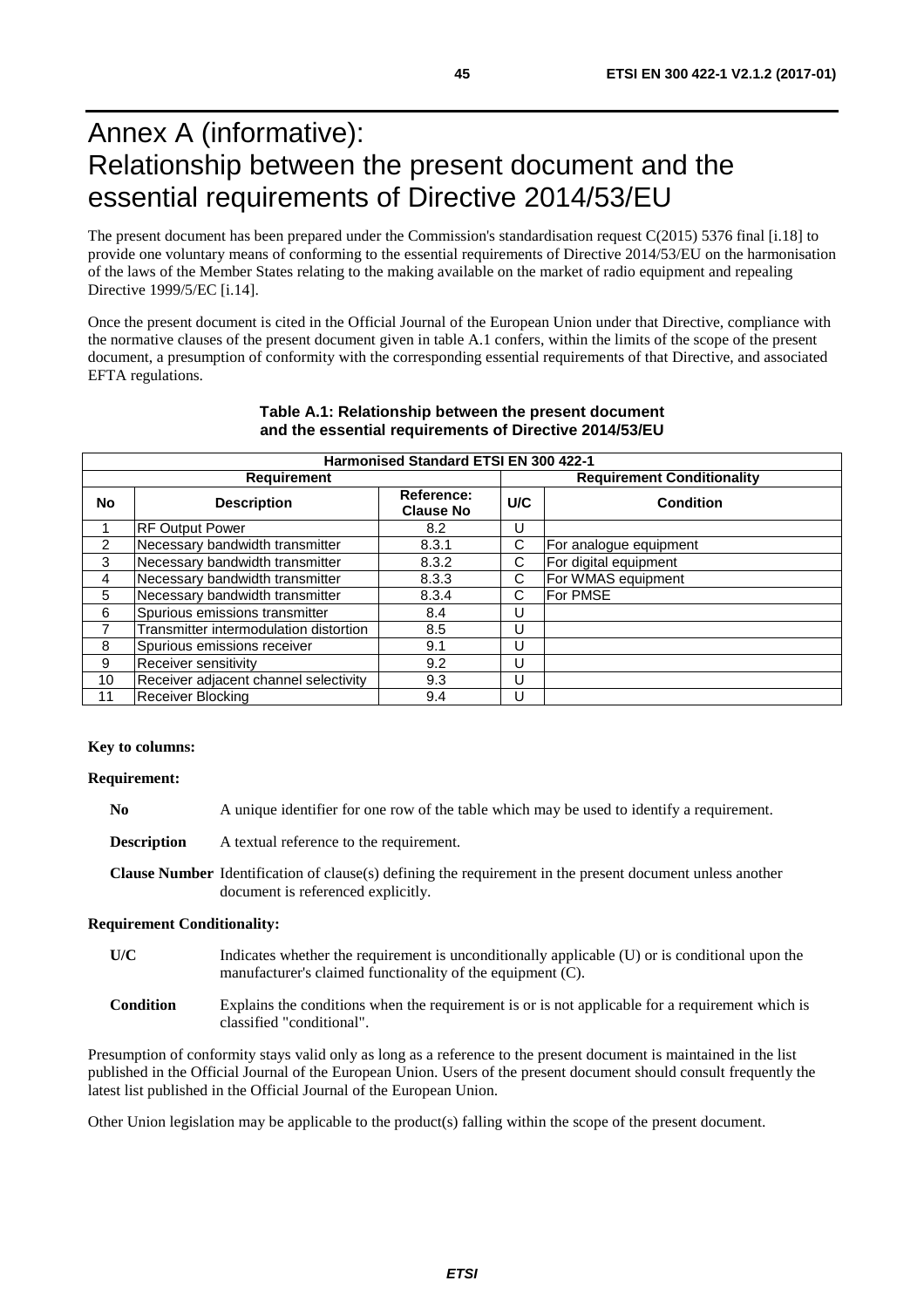## <span id="page-44-0"></span>Annex A (informative): Relationship between the present document and the essential requirements of Directive 2014/53/EU

The present document has been prepared under the Commission's standardisation request C(2015) 5376 final [\[i.18](#page-11-0)] to provide one voluntary means of conforming to the essential requirements of Directive 2014/53/EU on the harmonisation of the laws of the Member States relating to the making available on the market of radio equipment and repealing Directive 1999/5/EC [\[i.14\]](#page-11-0).

Once the present document is cited in the Official Journal of the European Union under that Directive, compliance with the normative clauses of the present document given in table A.1 confers, within the limits of the scope of the present document, a presumption of conformity with the corresponding essential requirements of that Directive, and associated EFTA regulations.

| <b>Harmonised Standard ETSI EN 300 422-1</b> |                                        |                                |                                   |                        |
|----------------------------------------------|----------------------------------------|--------------------------------|-----------------------------------|------------------------|
| <b>Requirement</b>                           |                                        |                                | <b>Requirement Conditionality</b> |                        |
| No                                           | <b>Description</b>                     | Reference:<br><b>Clause No</b> | U/C                               | <b>Condition</b>       |
|                                              | <b>RF Output Power</b>                 | 8.2                            | U                                 |                        |
| $\mathcal{P}$                                | Necessary bandwidth transmitter        | 8.3.1                          | C.                                | For analogue equipment |
| 3                                            | Necessary bandwidth transmitter        | 8.3.2                          | C                                 | For digital equipment  |
| 4                                            | Necessary bandwidth transmitter        | 8.3.3                          | C                                 | For WMAS equipment     |
| 5                                            | Necessary bandwidth transmitter        | 8.3.4                          | C                                 | <b>For PMSE</b>        |
| 6                                            | Spurious emissions transmitter         | 8.4                            | U                                 |                        |
|                                              | Transmitter intermodulation distortion | 8.5                            | U                                 |                        |
| 8                                            | Spurious emissions receiver            | 9.1                            | U                                 |                        |
| 9                                            | Receiver sensitivity                   | 9.2                            | U                                 |                        |
| 10                                           | Receiver adjacent channel selectivity  | 9.3                            | U                                 |                        |
| 11                                           | Receiver Blocking                      | 9.4                            | U                                 |                        |

#### **Table A.1: Relationship between the present document and the essential requirements of Directive 2014/53/EU**

#### **Key to columns:**

#### **Requirement:**

- **No** A unique identifier for one row of the table which may be used to identify a requirement.
- **Description** A textual reference to the requirement.
- **Clause Number** Identification of clause(s) defining the requirement in the present document unless another document is referenced explicitly.

#### **Requirement Conditionality:**

- **U/C** Indicates whether the requirement is unconditionally applicable (U) or is conditional upon the manufacturer's claimed functionality of the equipment (C).
- **Condition** Explains the conditions when the requirement is or is not applicable for a requirement which is classified "conditional".

Presumption of conformity stays valid only as long as a reference to the present document is maintained in the list published in the Official Journal of the European Union. Users of the present document should consult frequently the latest list published in the Official Journal of the European Union.

Other Union legislation may be applicable to the product(s) falling within the scope of the present document.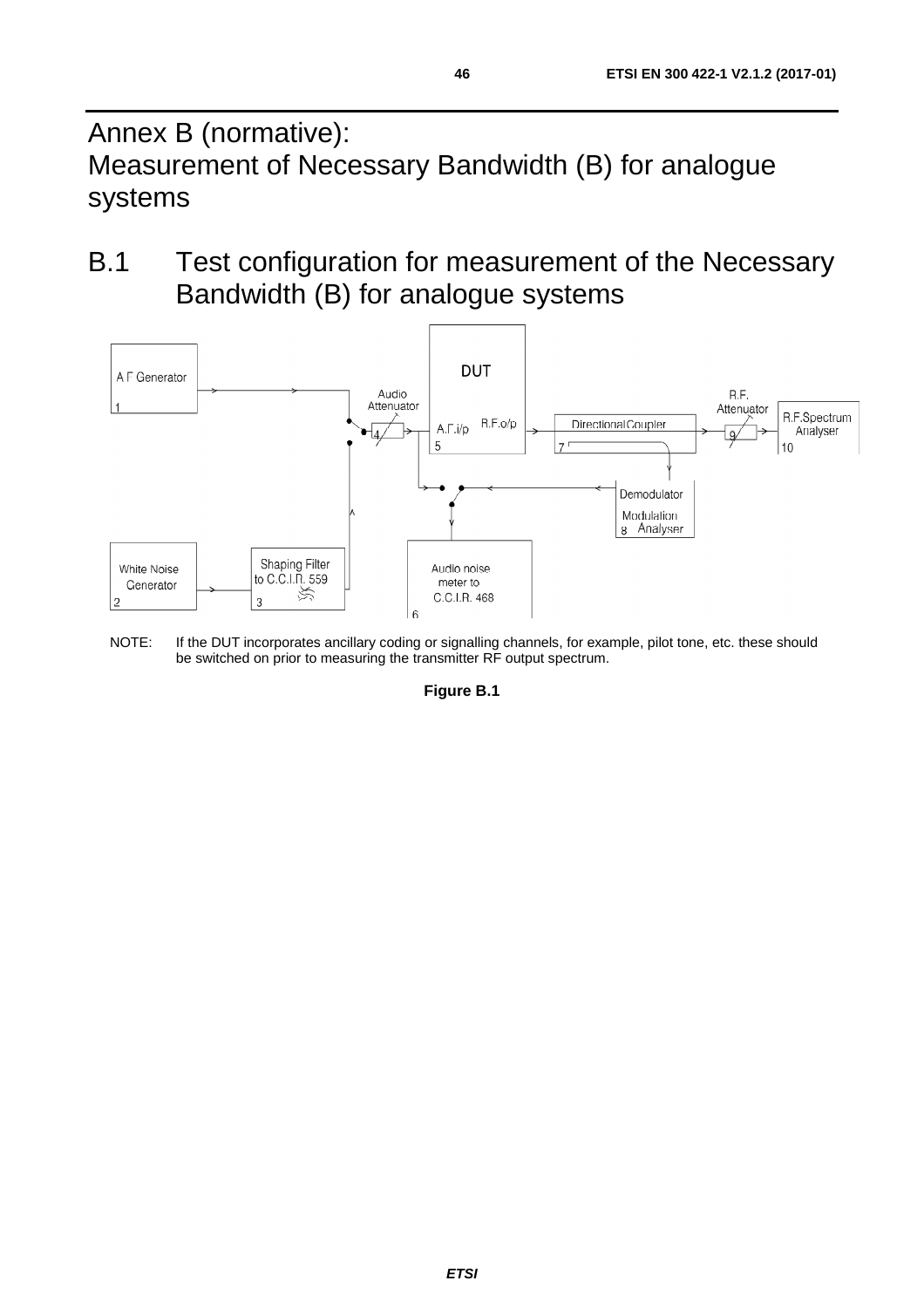<span id="page-45-0"></span>Annex B (normative): Measurement of Necessary Bandwidth (B) for analogue systems

B.1 Test configuration for measurement of the Necessary Bandwidth (B) for analogue systems



NOTE: If the DUT incorporates ancillary coding or signalling channels, for example, pilot tone, etc. these should be switched on prior to measuring the transmitter RF output spectrum.

**Figure B.1**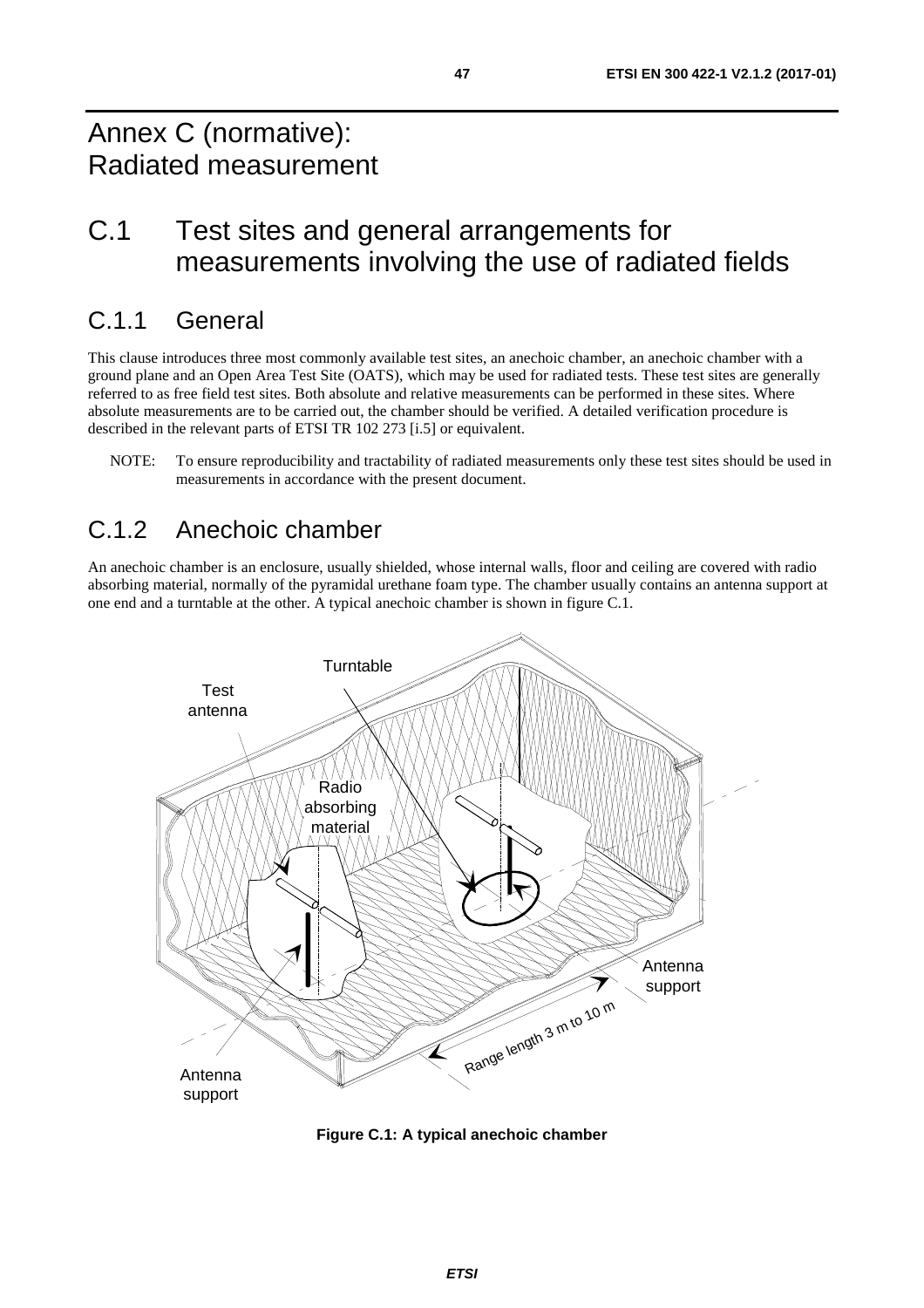## <span id="page-46-0"></span>Annex C (normative): Radiated measurement

## C.1 Test sites and general arrangements for measurements involving the use of radiated fields

## C.1.1 General

This clause introduces three most commonly available test sites, an anechoic chamber, an anechoic chamber with a ground plane and an Open Area Test Site (OATS), which may be used for radiated tests. These test sites are generally referred to as free field test sites. Both absolute and relative measurements can be performed in these sites. Where absolute measurements are to be carried out, the chamber should be verified. A detailed verification procedure is described in the relevant parts of ETSI TR 102 273 [\[i.5](#page-10-0)] or equivalent.

NOTE: To ensure reproducibility and tractability of radiated measurements only these test sites should be used in measurements in accordance with the present document.

### C.1.2 Anechoic chamber

An anechoic chamber is an enclosure, usually shielded, whose internal walls, floor and ceiling are covered with radio absorbing material, normally of the pyramidal urethane foam type. The chamber usually contains an antenna support at one end and a turntable at the other. A typical anechoic chamber is shown in figure C.1.



**Figure C.1: A typical anechoic chamber**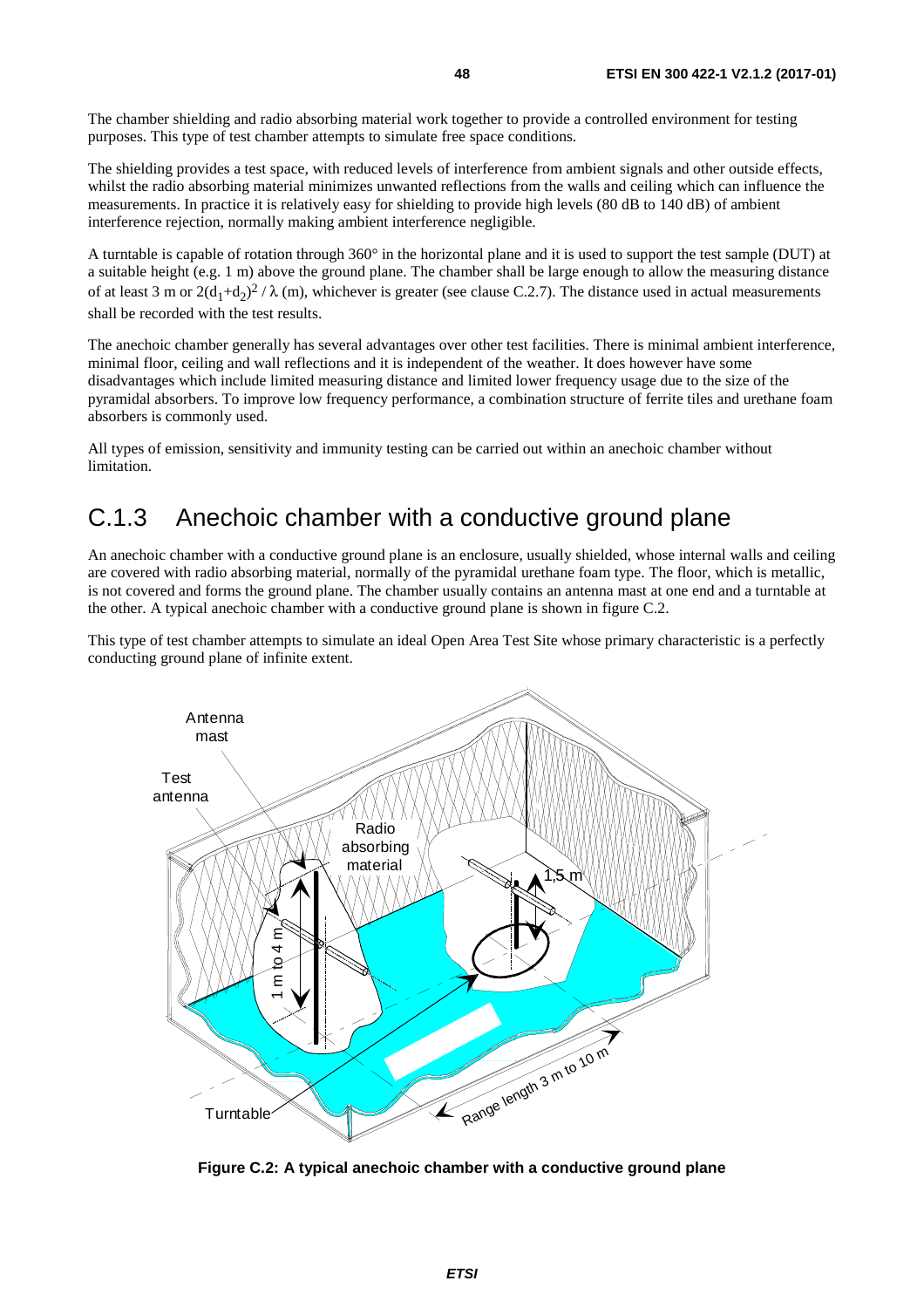<span id="page-47-0"></span>The chamber shielding and radio absorbing material work together to provide a controlled environment for testing purposes. This type of test chamber attempts to simulate free space conditions.

The shielding provides a test space, with reduced levels of interference from ambient signals and other outside effects, whilst the radio absorbing material minimizes unwanted reflections from the walls and ceiling which can influence the measurements. In practice it is relatively easy for shielding to provide high levels (80 dB to 140 dB) of ambient interference rejection, normally making ambient interference negligible.

A turntable is capable of rotation through 360° in the horizontal plane and it is used to support the test sample (DUT) at a suitable height (e.g. 1 m) above the ground plane. The chamber shall be large enough to allow the measuring distance of at least 3 m or  $2(d_1+d_2)^2/\lambda$  (m), whichever is greater (see clause C.2.7). The distance used in actual measurements shall be recorded with the test results.

The anechoic chamber generally has several advantages over other test facilities. There is minimal ambient interference, minimal floor, ceiling and wall reflections and it is independent of the weather. It does however have some disadvantages which include limited measuring distance and limited lower frequency usage due to the size of the pyramidal absorbers. To improve low frequency performance, a combination structure of ferrite tiles and urethane foam absorbers is commonly used.

All types of emission, sensitivity and immunity testing can be carried out within an anechoic chamber without limitation.

### C.1.3 Anechoic chamber with a conductive ground plane

An anechoic chamber with a conductive ground plane is an enclosure, usually shielded, whose internal walls and ceiling are covered with radio absorbing material, normally of the pyramidal urethane foam type. The floor, which is metallic, is not covered and forms the ground plane. The chamber usually contains an antenna mast at one end and a turntable at the other. A typical anechoic chamber with a conductive ground plane is shown in figure C.2.

This type of test chamber attempts to simulate an ideal Open Area Test Site whose primary characteristic is a perfectly conducting ground plane of infinite extent.



**Figure C.2: A typical anechoic chamber with a conductive ground plane**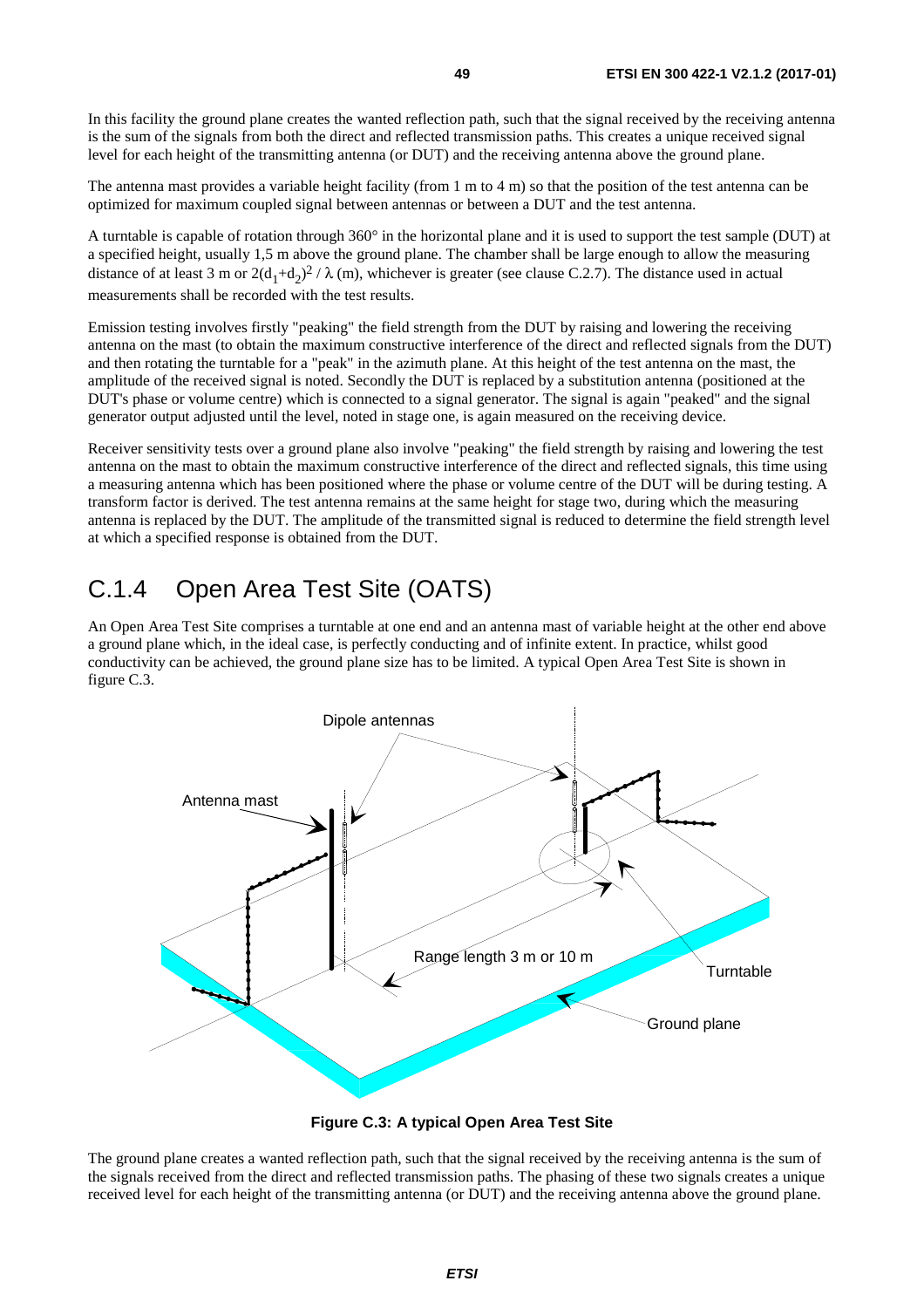<span id="page-48-0"></span>In this facility the ground plane creates the wanted reflection path, such that the signal received by the receiving antenna is the sum of the signals from both the direct and reflected transmission paths. This creates a unique received signal level for each height of the transmitting antenna (or DUT) and the receiving antenna above the ground plane.

The antenna mast provides a variable height facility (from 1 m to 4 m) so that the position of the test antenna can be optimized for maximum coupled signal between antennas or between a DUT and the test antenna.

A turntable is capable of rotation through 360° in the horizontal plane and it is used to support the test sample (DUT) at a specified height, usually 1,5 m above the ground plane. The chamber shall be large enough to allow the measuring distance of at least 3 m or  $2(d_1+d_2)^2/\lambda$  (m), whichever is greater (see clause C.2.7). The distance used in actual measurements shall be recorded with the test results.

Emission testing involves firstly "peaking" the field strength from the DUT by raising and lowering the receiving antenna on the mast (to obtain the maximum constructive interference of the direct and reflected signals from the DUT) and then rotating the turntable for a "peak" in the azimuth plane. At this height of the test antenna on the mast, the amplitude of the received signal is noted. Secondly the DUT is replaced by a substitution antenna (positioned at the DUT's phase or volume centre) which is connected to a signal generator. The signal is again "peaked" and the signal generator output adjusted until the level, noted in stage one, is again measured on the receiving device.

Receiver sensitivity tests over a ground plane also involve "peaking" the field strength by raising and lowering the test antenna on the mast to obtain the maximum constructive interference of the direct and reflected signals, this time using a measuring antenna which has been positioned where the phase or volume centre of the DUT will be during testing. A transform factor is derived. The test antenna remains at the same height for stage two, during which the measuring antenna is replaced by the DUT. The amplitude of the transmitted signal is reduced to determine the field strength level at which a specified response is obtained from the DUT.

## C.1.4 Open Area Test Site (OATS)

An Open Area Test Site comprises a turntable at one end and an antenna mast of variable height at the other end above a ground plane which, in the ideal case, is perfectly conducting and of infinite extent. In practice, whilst good conductivity can be achieved, the ground plane size has to be limited. A typical Open Area Test Site is shown in figure C.3.



**Figure C.3: A typical Open Area Test Site** 

The ground plane creates a wanted reflection path, such that the signal received by the receiving antenna is the sum of the signals received from the direct and reflected transmission paths. The phasing of these two signals creates a unique received level for each height of the transmitting antenna (or DUT) and the receiving antenna above the ground plane.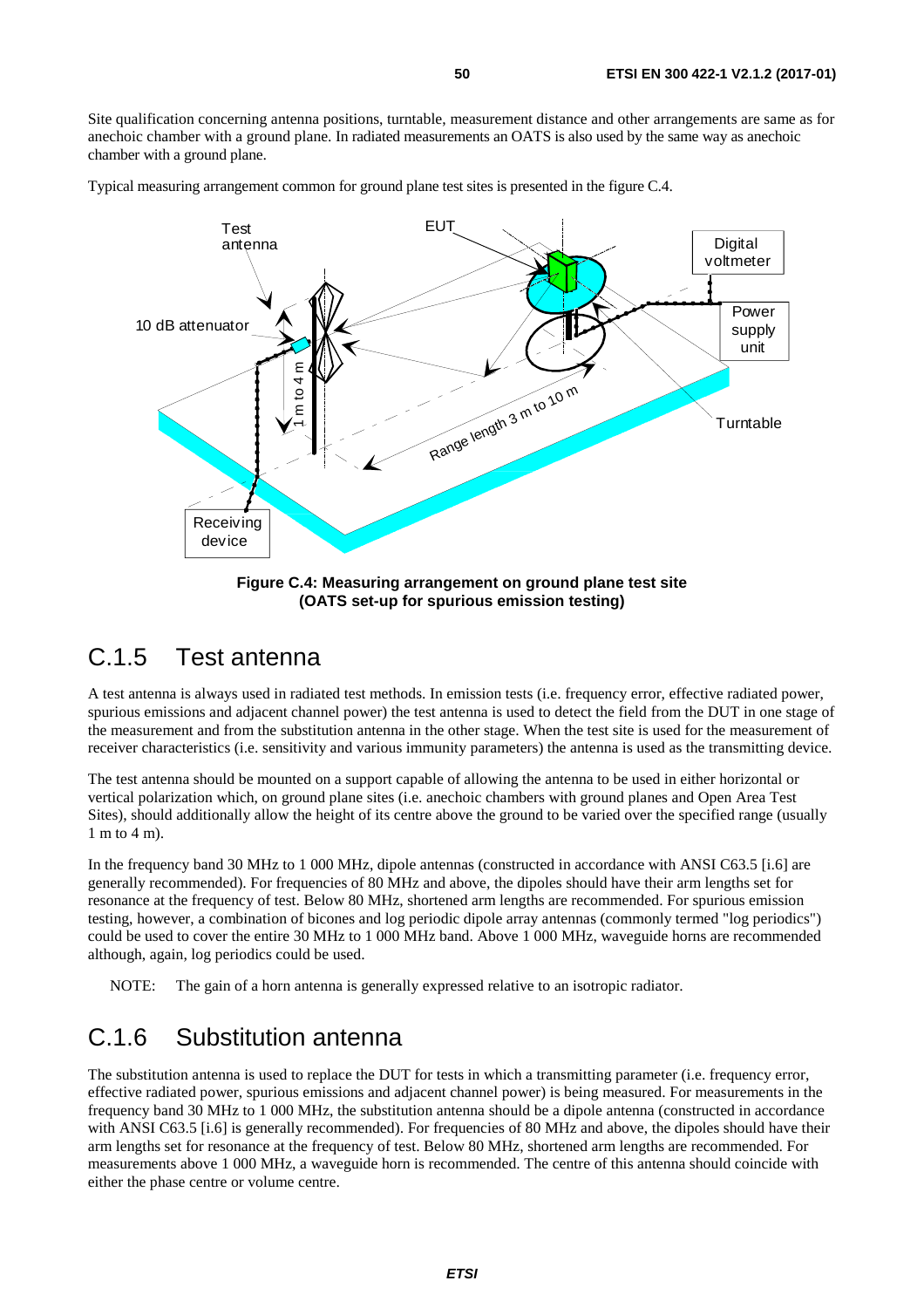<span id="page-49-0"></span>Site qualification concerning antenna positions, turntable, measurement distance and other arrangements are same as for anechoic chamber with a ground plane. In radiated measurements an OATS is also used by the same way as anechoic chamber with a ground plane.

Typical measuring arrangement common for ground plane test sites is presented in the figure C.4.



**Figure C.4: Measuring arrangement on ground plane test site (OATS set-up for spurious emission testing)** 

### C.1.5 Test antenna

A test antenna is always used in radiated test methods. In emission tests (i.e. frequency error, effective radiated power, spurious emissions and adjacent channel power) the test antenna is used to detect the field from the DUT in one stage of the measurement and from the substitution antenna in the other stage. When the test site is used for the measurement of receiver characteristics (i.e. sensitivity and various immunity parameters) the antenna is used as the transmitting device.

The test antenna should be mounted on a support capable of allowing the antenna to be used in either horizontal or vertical polarization which, on ground plane sites (i.e. anechoic chambers with ground planes and Open Area Test Sites), should additionally allow the height of its centre above the ground to be varied over the specified range (usually 1 m to 4 m).

In the frequency band 30 MHz to 1 000 MHz, dipole antennas (constructed in accordance with ANSI C63.5 [\[i.6](#page-10-0)] are generally recommended). For frequencies of 80 MHz and above, the dipoles should have their arm lengths set for resonance at the frequency of test. Below 80 MHz, shortened arm lengths are recommended. For spurious emission testing, however, a combination of bicones and log periodic dipole array antennas (commonly termed "log periodics") could be used to cover the entire 30 MHz to 1 000 MHz band. Above 1 000 MHz, waveguide horns are recommended although, again, log periodics could be used.

NOTE: The gain of a horn antenna is generally expressed relative to an isotropic radiator.

### C.1.6 Substitution antenna

The substitution antenna is used to replace the DUT for tests in which a transmitting parameter (i.e. frequency error, effective radiated power, spurious emissions and adjacent channel power) is being measured. For measurements in the frequency band 30 MHz to 1 000 MHz, the substitution antenna should be a dipole antenna (constructed in accordance with ANSI C63.5 [[i.6](#page-10-0)] is generally recommended). For frequencies of 80 MHz and above, the dipoles should have their arm lengths set for resonance at the frequency of test. Below 80 MHz, shortened arm lengths are recommended. For measurements above 1 000 MHz, a waveguide horn is recommended. The centre of this antenna should coincide with either the phase centre or volume centre.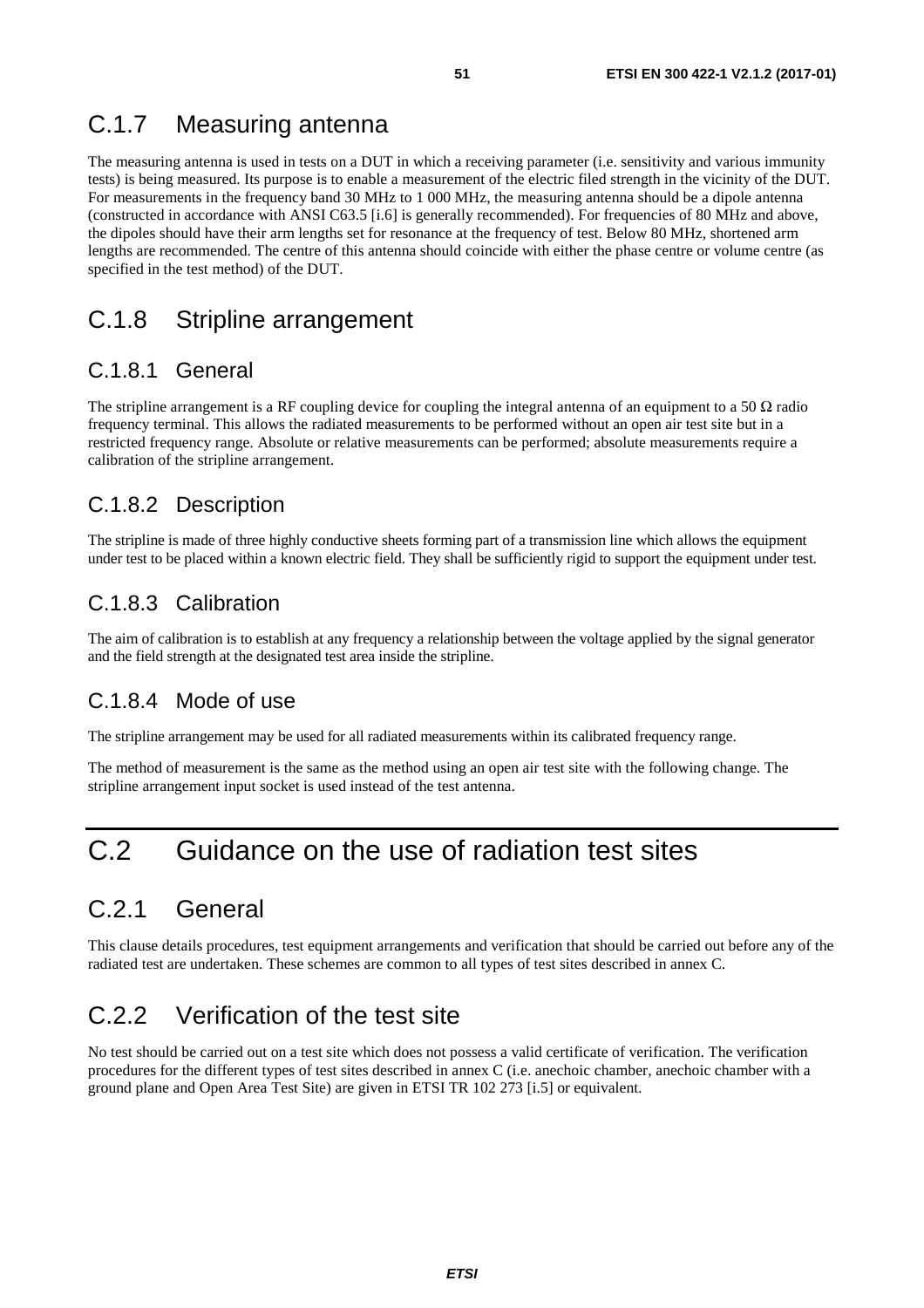### <span id="page-50-0"></span>C.1.7 Measuring antenna

The measuring antenna is used in tests on a DUT in which a receiving parameter (i.e. sensitivity and various immunity tests) is being measured. Its purpose is to enable a measurement of the electric filed strength in the vicinity of the DUT. For measurements in the frequency band 30 MHz to 1 000 MHz, the measuring antenna should be a dipole antenna (constructed in accordance with ANSI C63.5 [\[i.6\]](#page-10-0) is generally recommended). For frequencies of 80 MHz and above, the dipoles should have their arm lengths set for resonance at the frequency of test. Below 80 MHz, shortened arm lengths are recommended. The centre of this antenna should coincide with either the phase centre or volume centre (as specified in the test method) of the DUT.

### C.1.8 Stripline arrangement

#### C.1.8.1 General

The stripline arrangement is a RF coupling device for coupling the integral antenna of an equipment to a 50  $\Omega$  radio frequency terminal. This allows the radiated measurements to be performed without an open air test site but in a restricted frequency range. Absolute or relative measurements can be performed; absolute measurements require a calibration of the stripline arrangement.

#### C.1.8.2 Description

The stripline is made of three highly conductive sheets forming part of a transmission line which allows the equipment under test to be placed within a known electric field. They shall be sufficiently rigid to support the equipment under test.

### C.1.8.3 Calibration

The aim of calibration is to establish at any frequency a relationship between the voltage applied by the signal generator and the field strength at the designated test area inside the stripline.

#### C.1.8.4 Mode of use

The stripline arrangement may be used for all radiated measurements within its calibrated frequency range.

The method of measurement is the same as the method using an open air test site with the following change. The stripline arrangement input socket is used instead of the test antenna.

## C.2 Guidance on the use of radiation test sites

## C.2.1 General

This clause details procedures, test equipment arrangements and verification that should be carried out before any of the radiated test are undertaken. These schemes are common to all types of test sites described in annex C.

## C.2.2 Verification of the test site

No test should be carried out on a test site which does not possess a valid certificate of verification. The verification procedures for the different types of test sites described in annex C (i.e. anechoic chamber, anechoic chamber with a ground plane and Open Area Test Site) are given in ETSI TR 102 273 [\[i.5\]](#page-10-0) or equivalent.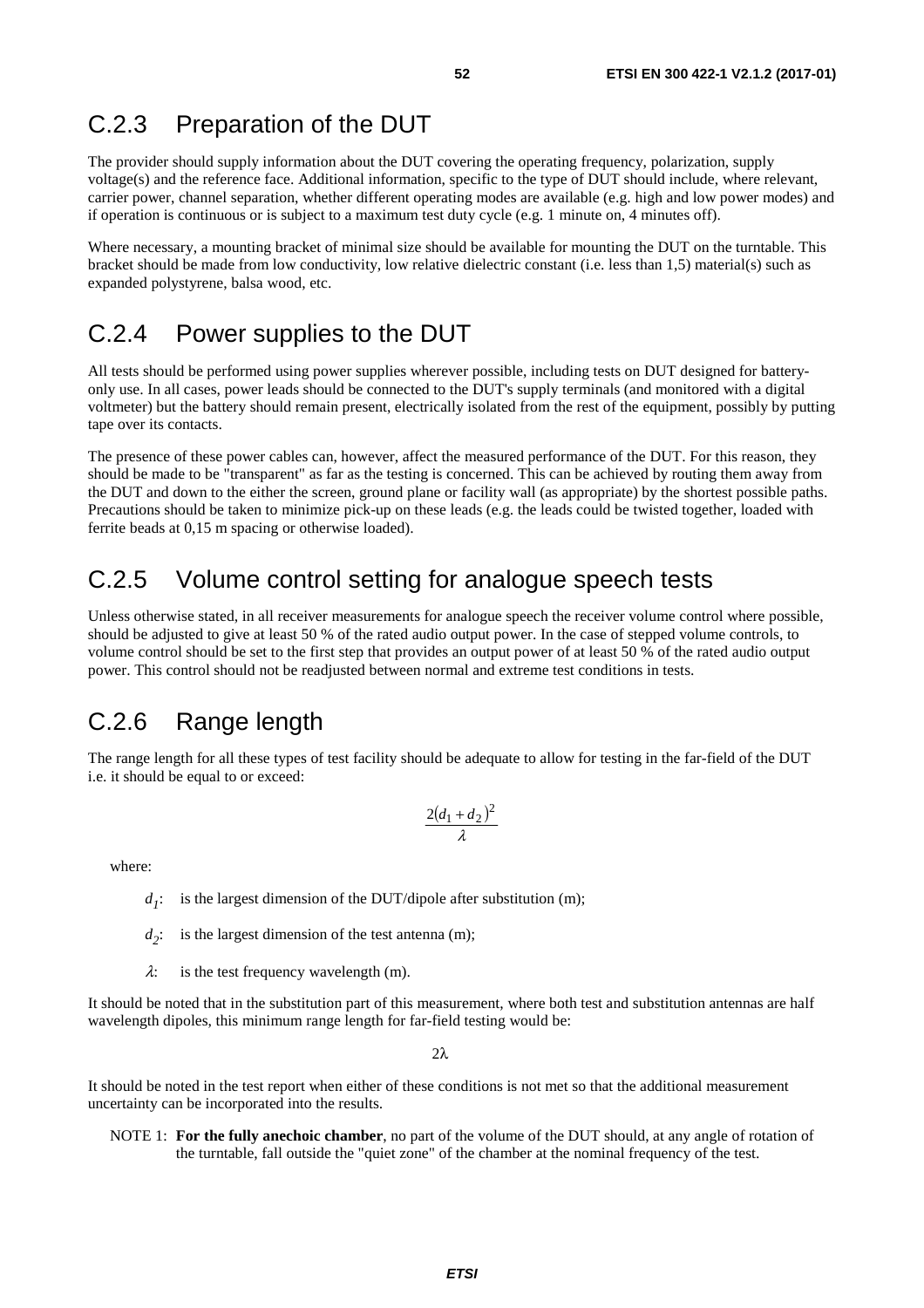### <span id="page-51-0"></span>C.2.3 Preparation of the DUT

The provider should supply information about the DUT covering the operating frequency, polarization, supply voltage(s) and the reference face. Additional information, specific to the type of DUT should include, where relevant, carrier power, channel separation, whether different operating modes are available (e.g. high and low power modes) and if operation is continuous or is subject to a maximum test duty cycle (e.g. 1 minute on, 4 minutes off).

Where necessary, a mounting bracket of minimal size should be available for mounting the DUT on the turntable. This bracket should be made from low conductivity, low relative dielectric constant (i.e. less than 1,5) material(s) such as expanded polystyrene, balsa wood, etc.

### C.2.4 Power supplies to the DUT

All tests should be performed using power supplies wherever possible, including tests on DUT designed for batteryonly use. In all cases, power leads should be connected to the DUT's supply terminals (and monitored with a digital voltmeter) but the battery should remain present, electrically isolated from the rest of the equipment, possibly by putting tape over its contacts.

The presence of these power cables can, however, affect the measured performance of the DUT. For this reason, they should be made to be "transparent" as far as the testing is concerned. This can be achieved by routing them away from the DUT and down to the either the screen, ground plane or facility wall (as appropriate) by the shortest possible paths. Precautions should be taken to minimize pick-up on these leads (e.g. the leads could be twisted together, loaded with ferrite beads at 0,15 m spacing or otherwise loaded).

### C.2.5 Volume control setting for analogue speech tests

Unless otherwise stated, in all receiver measurements for analogue speech the receiver volume control where possible, should be adjusted to give at least 50 % of the rated audio output power. In the case of stepped volume controls, to volume control should be set to the first step that provides an output power of at least 50 % of the rated audio output power. This control should not be readjusted between normal and extreme test conditions in tests.

### C.2.6 Range length

The range length for all these types of test facility should be adequate to allow for testing in the far-field of the DUT i.e. it should be equal to or exceed:

$$
\frac{2(d_1+d_2)^2}{\lambda}
$$

where:

 $d_1$ : is the largest dimension of the DUT/dipole after substitution (m);

 $d_2$ : is the largest dimension of the test antenna (m);

 $\lambda$ : is the test frequency wavelength (m).

It should be noted that in the substitution part of this measurement, where both test and substitution antennas are half wavelength dipoles, this minimum range length for far-field testing would be:

 $2λ$ 

It should be noted in the test report when either of these conditions is not met so that the additional measurement uncertainty can be incorporated into the results.

NOTE 1: **For the fully anechoic chamber**, no part of the volume of the DUT should, at any angle of rotation of the turntable, fall outside the "quiet zone" of the chamber at the nominal frequency of the test.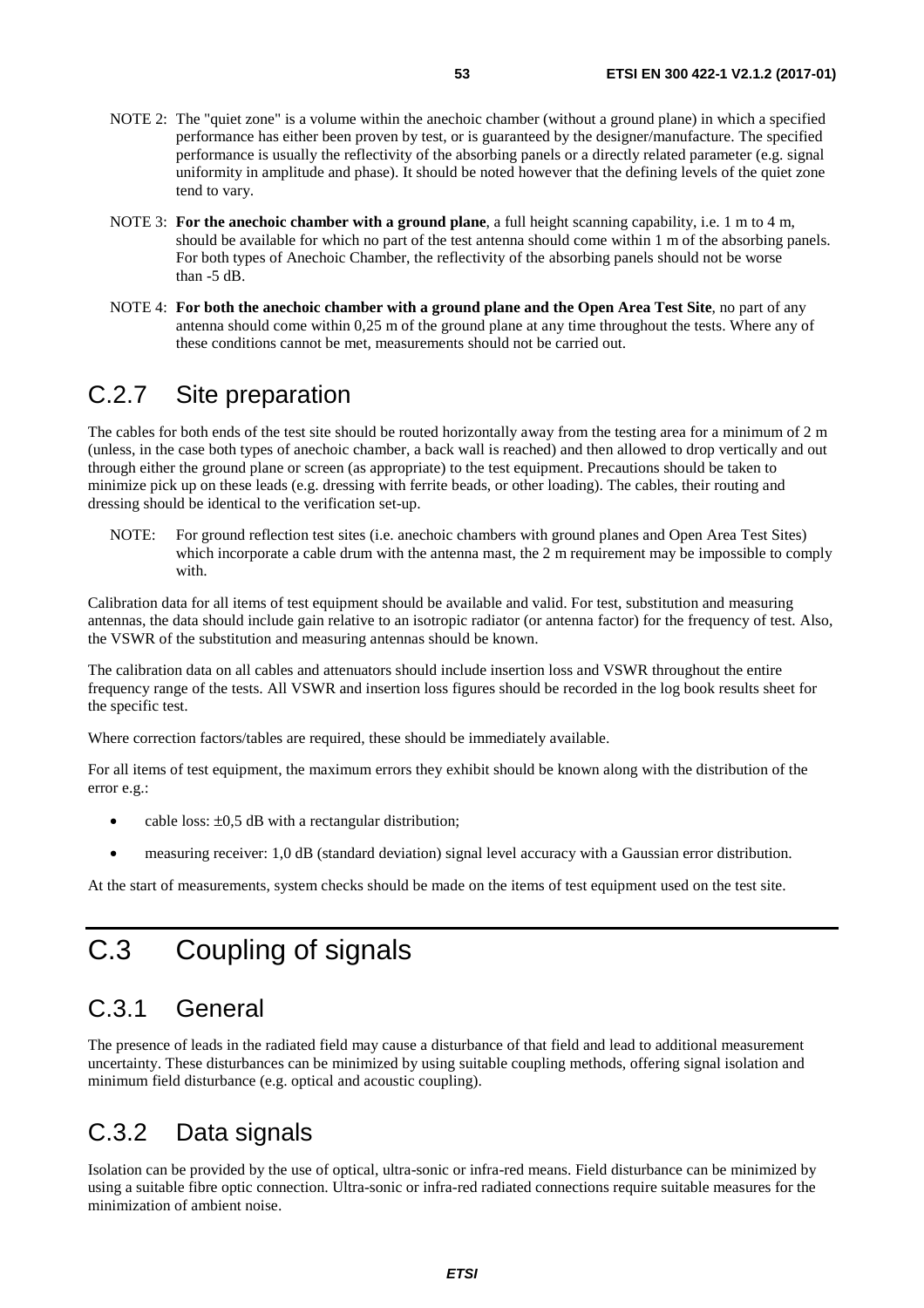- <span id="page-52-0"></span>NOTE 2: The "quiet zone" is a volume within the anechoic chamber (without a ground plane) in which a specified performance has either been proven by test, or is guaranteed by the designer/manufacture. The specified performance is usually the reflectivity of the absorbing panels or a directly related parameter (e.g. signal uniformity in amplitude and phase). It should be noted however that the defining levels of the quiet zone tend to vary.
- NOTE 3: **For the anechoic chamber with a ground plane**, a full height scanning capability, i.e. 1 m to 4 m, should be available for which no part of the test antenna should come within 1 m of the absorbing panels. For both types of Anechoic Chamber, the reflectivity of the absorbing panels should not be worse than -5 dB.
- NOTE 4: **For both the anechoic chamber with a ground plane and the Open Area Test Site**, no part of any antenna should come within 0,25 m of the ground plane at any time throughout the tests. Where any of these conditions cannot be met, measurements should not be carried out.

### C.2.7 Site preparation

The cables for both ends of the test site should be routed horizontally away from the testing area for a minimum of 2 m (unless, in the case both types of anechoic chamber, a back wall is reached) and then allowed to drop vertically and out through either the ground plane or screen (as appropriate) to the test equipment. Precautions should be taken to minimize pick up on these leads (e.g. dressing with ferrite beads, or other loading). The cables, their routing and dressing should be identical to the verification set-up.

NOTE: For ground reflection test sites (i.e. anechoic chambers with ground planes and Open Area Test Sites) which incorporate a cable drum with the antenna mast, the 2 m requirement may be impossible to comply with.

Calibration data for all items of test equipment should be available and valid. For test, substitution and measuring antennas, the data should include gain relative to an isotropic radiator (or antenna factor) for the frequency of test. Also, the VSWR of the substitution and measuring antennas should be known.

The calibration data on all cables and attenuators should include insertion loss and VSWR throughout the entire frequency range of the tests. All VSWR and insertion loss figures should be recorded in the log book results sheet for the specific test.

Where correction factors/tables are required, these should be immediately available.

For all items of test equipment, the maximum errors they exhibit should be known along with the distribution of the error e.g.:

- cable loss:  $\pm 0.5$  dB with a rectangular distribution;
- measuring receiver: 1,0 dB (standard deviation) signal level accuracy with a Gaussian error distribution.

At the start of measurements, system checks should be made on the items of test equipment used on the test site.

## C.3 Coupling of signals

### C.3.1 General

The presence of leads in the radiated field may cause a disturbance of that field and lead to additional measurement uncertainty. These disturbances can be minimized by using suitable coupling methods, offering signal isolation and minimum field disturbance (e.g. optical and acoustic coupling).

### C.3.2 Data signals

Isolation can be provided by the use of optical, ultra-sonic or infra-red means. Field disturbance can be minimized by using a suitable fibre optic connection. Ultra-sonic or infra-red radiated connections require suitable measures for the minimization of ambient noise.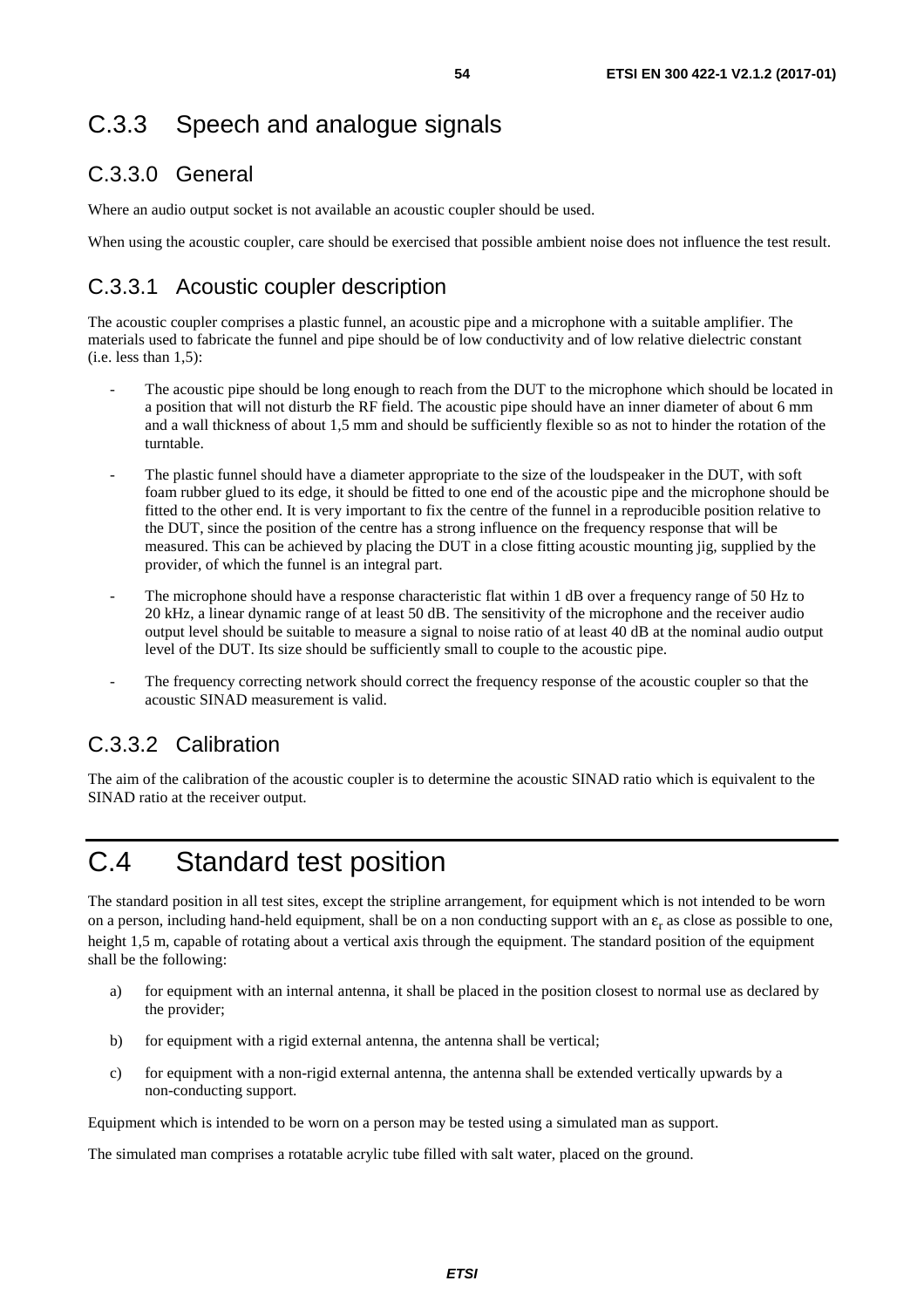### <span id="page-53-0"></span>C.3.3.0 General

Where an audio output socket is not available an acoustic coupler should be used.

When using the acoustic coupler, care should be exercised that possible ambient noise does not influence the test result.

### C.3.3.1 Acoustic coupler description

The acoustic coupler comprises a plastic funnel, an acoustic pipe and a microphone with a suitable amplifier. The materials used to fabricate the funnel and pipe should be of low conductivity and of low relative dielectric constant  $(i.e.$  less than  $1,5$ ):

- The acoustic pipe should be long enough to reach from the DUT to the microphone which should be located in a position that will not disturb the RF field. The acoustic pipe should have an inner diameter of about 6 mm and a wall thickness of about 1,5 mm and should be sufficiently flexible so as not to hinder the rotation of the turntable.
- The plastic funnel should have a diameter appropriate to the size of the loudspeaker in the DUT, with soft foam rubber glued to its edge, it should be fitted to one end of the acoustic pipe and the microphone should be fitted to the other end. It is very important to fix the centre of the funnel in a reproducible position relative to the DUT, since the position of the centre has a strong influence on the frequency response that will be measured. This can be achieved by placing the DUT in a close fitting acoustic mounting jig, supplied by the provider, of which the funnel is an integral part.
- The microphone should have a response characteristic flat within 1 dB over a frequency range of 50 Hz to 20 kHz, a linear dynamic range of at least 50 dB. The sensitivity of the microphone and the receiver audio output level should be suitable to measure a signal to noise ratio of at least 40 dB at the nominal audio output level of the DUT. Its size should be sufficiently small to couple to the acoustic pipe.
- The frequency correcting network should correct the frequency response of the acoustic coupler so that the acoustic SINAD measurement is valid.

### C.3.3.2 Calibration

The aim of the calibration of the acoustic coupler is to determine the acoustic SINAD ratio which is equivalent to the SINAD ratio at the receiver output.

## C.4 Standard test position

The standard position in all test sites, except the stripline arrangement, for equipment which is not intended to be worn on a person, including hand-held equipment, shall be on a non conducting support with an  $\varepsilon_r$  as close as possible to one, height 1,5 m, capable of rotating about a vertical axis through the equipment. The standard position of the equipment shall be the following:

- a) for equipment with an internal antenna, it shall be placed in the position closest to normal use as declared by the provider;
- b) for equipment with a rigid external antenna, the antenna shall be vertical;
- c) for equipment with a non-rigid external antenna, the antenna shall be extended vertically upwards by a non-conducting support.

Equipment which is intended to be worn on a person may be tested using a simulated man as support.

The simulated man comprises a rotatable acrylic tube filled with salt water, placed on the ground.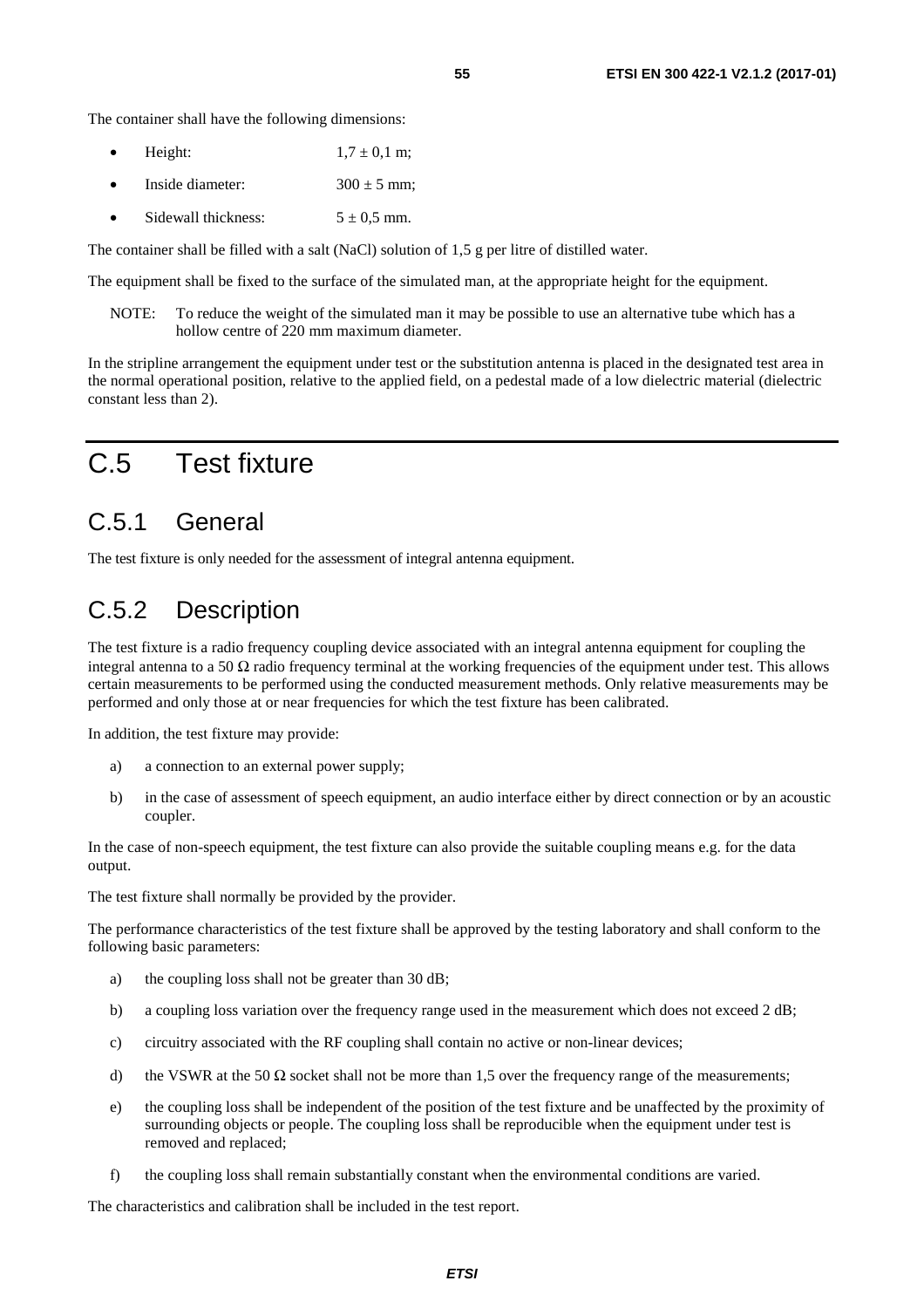<span id="page-54-0"></span>The container shall have the following dimensions:

- Height:  $1.7 \pm 0.1 \text{ m}$ ;
- Inside diameter:  $300 \pm 5$  mm;
- Sidewall thickness:  $5 \pm 0.5$  mm.

The container shall be filled with a salt (NaCl) solution of 1,5 g per litre of distilled water.

The equipment shall be fixed to the surface of the simulated man, at the appropriate height for the equipment.

NOTE: To reduce the weight of the simulated man it may be possible to use an alternative tube which has a hollow centre of 220 mm maximum diameter.

In the stripline arrangement the equipment under test or the substitution antenna is placed in the designated test area in the normal operational position, relative to the applied field, on a pedestal made of a low dielectric material (dielectric constant less than 2).

## C.5 Test fixture

### C.5.1 General

The test fixture is only needed for the assessment of integral antenna equipment.

### C.5.2 Description

The test fixture is a radio frequency coupling device associated with an integral antenna equipment for coupling the integral antenna to a 50  $\Omega$  radio frequency terminal at the working frequencies of the equipment under test. This allows certain measurements to be performed using the conducted measurement methods. Only relative measurements may be performed and only those at or near frequencies for which the test fixture has been calibrated.

In addition, the test fixture may provide:

- a) a connection to an external power supply;
- b) in the case of assessment of speech equipment, an audio interface either by direct connection or by an acoustic coupler.

In the case of non-speech equipment, the test fixture can also provide the suitable coupling means e.g. for the data output.

The test fixture shall normally be provided by the provider.

The performance characteristics of the test fixture shall be approved by the testing laboratory and shall conform to the following basic parameters:

- a) the coupling loss shall not be greater than 30 dB;
- b) a coupling loss variation over the frequency range used in the measurement which does not exceed 2 dB;
- c) circuitry associated with the RF coupling shall contain no active or non-linear devices;
- d) the VSWR at the 50  $\Omega$  socket shall not be more than 1,5 over the frequency range of the measurements;
- e) the coupling loss shall be independent of the position of the test fixture and be unaffected by the proximity of surrounding objects or people. The coupling loss shall be reproducible when the equipment under test is removed and replaced;
- f) the coupling loss shall remain substantially constant when the environmental conditions are varied.

The characteristics and calibration shall be included in the test report.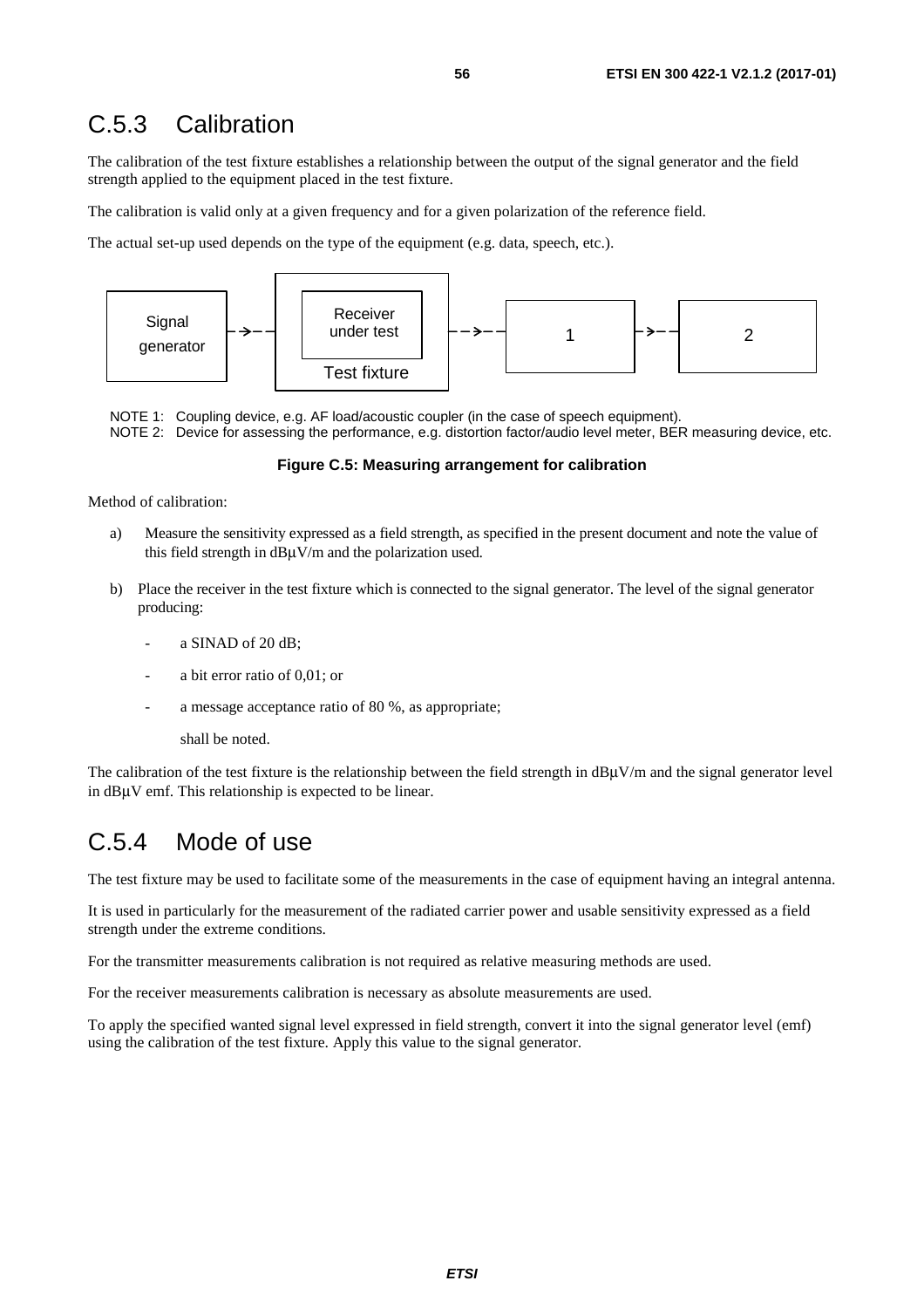### <span id="page-55-0"></span>C.5.3 Calibration

The calibration of the test fixture establishes a relationship between the output of the signal generator and the field strength applied to the equipment placed in the test fixture.

The calibration is valid only at a given frequency and for a given polarization of the reference field.

The actual set-up used depends on the type of the equipment (e.g. data, speech, etc.).



NOTE 1: Coupling device, e.g. AF load/acoustic coupler (in the case of speech equipment). NOTE 2: Device for assessing the performance, e.g. distortion factor/audio level meter, BER measuring device, etc.

#### **Figure C.5: Measuring arrangement for calibration**

Method of calibration:

- a) Measure the sensitivity expressed as a field strength, as specified in the present document and note the value of this field strength in  $dB\mu V/m$  and the polarization used.
- b) Place the receiver in the test fixture which is connected to the signal generator. The level of the signal generator producing:
	- a SINAD of 20 dB;
	- a bit error ratio of 0,01; or
	- a message acceptance ratio of 80 %, as appropriate;

shall be noted.

The calibration of the test fixture is the relationship between the field strength in  $dB\mu V/m$  and the signal generator level in dBμV emf. This relationship is expected to be linear.

### C.5.4 Mode of use

The test fixture may be used to facilitate some of the measurements in the case of equipment having an integral antenna.

It is used in particularly for the measurement of the radiated carrier power and usable sensitivity expressed as a field strength under the extreme conditions.

For the transmitter measurements calibration is not required as relative measuring methods are used.

For the receiver measurements calibration is necessary as absolute measurements are used.

To apply the specified wanted signal level expressed in field strength, convert it into the signal generator level (emf) using the calibration of the test fixture. Apply this value to the signal generator.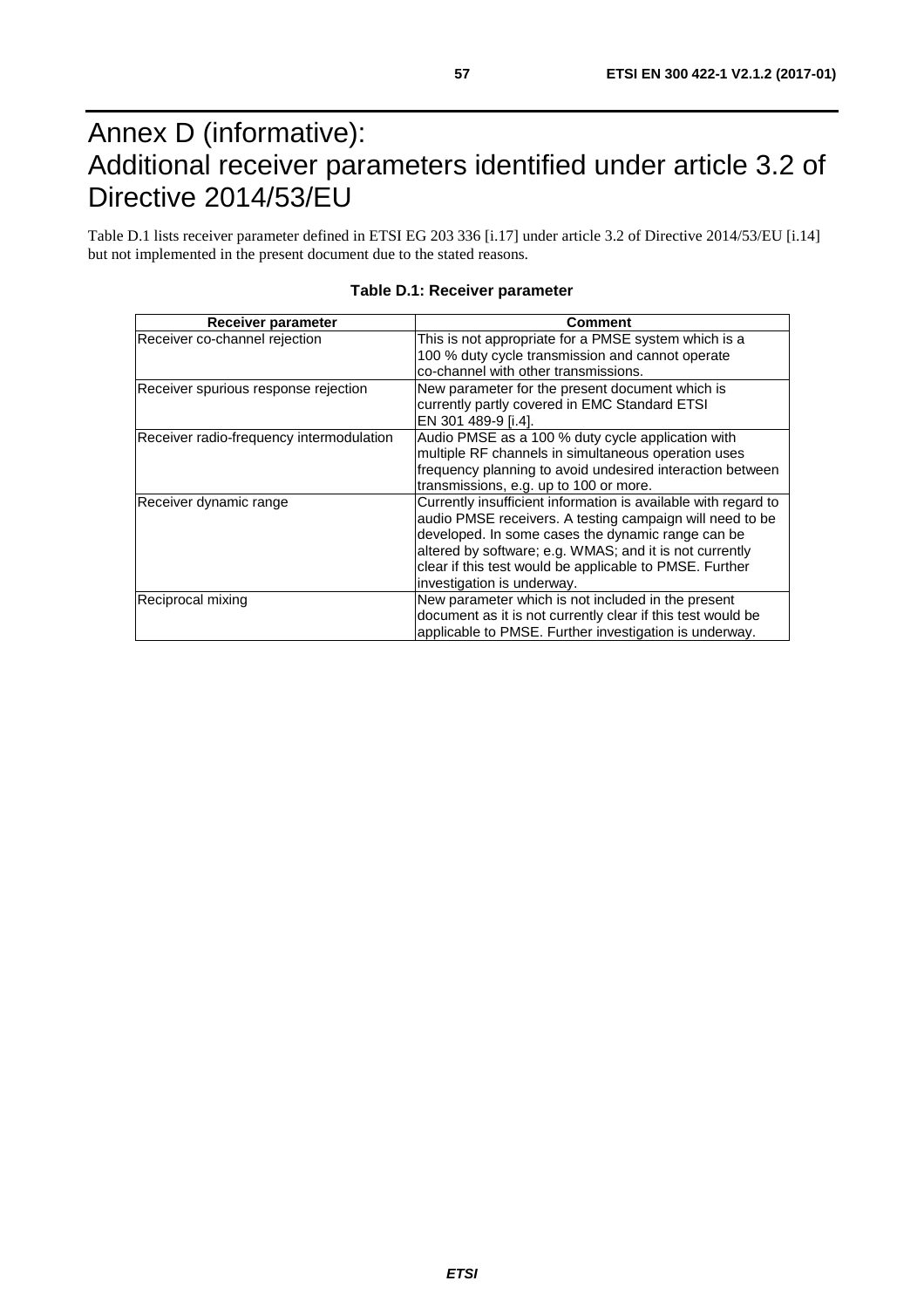## <span id="page-56-0"></span>Annex D (informative): Additional receiver parameters identified under article 3.2 of Directive 2014/53/EU

Table D.1 lists receiver parameter defined in ETSI EG 203 336 [\[i.17\]](#page-11-0) under article 3.2 of Directive 2014/53/EU [\[i.14](#page-11-0)] but not implemented in the present document due to the stated reasons.

| Receiver parameter                       | <b>Comment</b>                                                                                                                                                                                                                                                                                                                      |
|------------------------------------------|-------------------------------------------------------------------------------------------------------------------------------------------------------------------------------------------------------------------------------------------------------------------------------------------------------------------------------------|
| Receiver co-channel rejection            | This is not appropriate for a PMSE system which is a<br>100 % duty cycle transmission and cannot operate<br>co-channel with other transmissions.                                                                                                                                                                                    |
| Receiver spurious response rejection     | New parameter for the present document which is<br>currently partly covered in EMC Standard ETSI<br>EN 301 489-9 [i.4].                                                                                                                                                                                                             |
| Receiver radio-frequency intermodulation | Audio PMSE as a 100 % duty cycle application with<br>multiple RF channels in simultaneous operation uses<br>frequency planning to avoid undesired interaction between<br>transmissions, e.g. up to 100 or more.                                                                                                                     |
| Receiver dynamic range                   | Currently insufficient information is available with regard to<br>audio PMSE receivers. A testing campaign will need to be<br>developed. In some cases the dynamic range can be<br>altered by software; e.g. WMAS; and it is not currently<br>clear if this test would be applicable to PMSE. Further<br>investigation is underway. |
| Reciprocal mixing                        | New parameter which is not included in the present<br>document as it is not currently clear if this test would be<br>applicable to PMSE. Further investigation is underway.                                                                                                                                                         |

#### **Table D.1: Receiver parameter**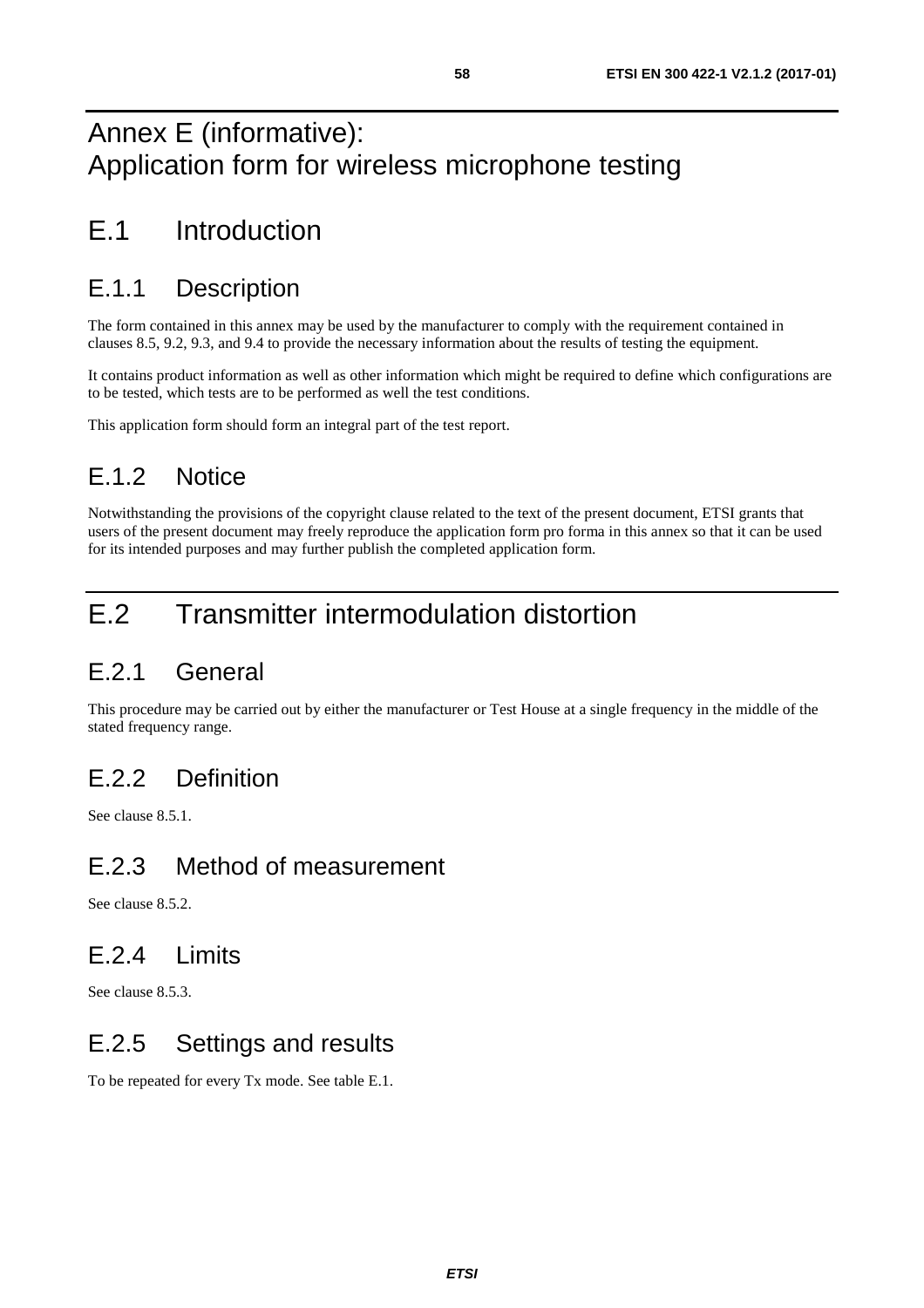## <span id="page-57-0"></span>Annex E (informative): Application form for wireless microphone testing

## E.1 Introduction

## E.1.1 Description

The form contained in this annex may be used by the manufacturer to comply with the requirement contained in clauses 8.5, 9.2, 9.3, and 9.4 to provide the necessary information about the results of testing the equipment.

It contains product information as well as other information which might be required to define which configurations are to be tested, which tests are to be performed as well the test conditions.

This application form should form an integral part of the test report.

## E.1.2 Notice

Notwithstanding the provisions of the copyright clause related to the text of the present document, ETSI grants that users of the present document may freely reproduce the application form pro forma in this annex so that it can be used for its intended purposes and may further publish the completed application form.

## E.2 Transmitter intermodulation distortion

## E.2.1 General

This procedure may be carried out by either the manufacturer or Test House at a single frequency in the middle of the stated frequency range.

## E.2.2 Definition

See clause 8.5.1.

## E.2.3 Method of measurement

See clause 8.5.2.

## E.2.4 Limits

See clause 8.5.3.

## E.2.5 Settings and results

To be repeated for every Tx mode. See table E.1.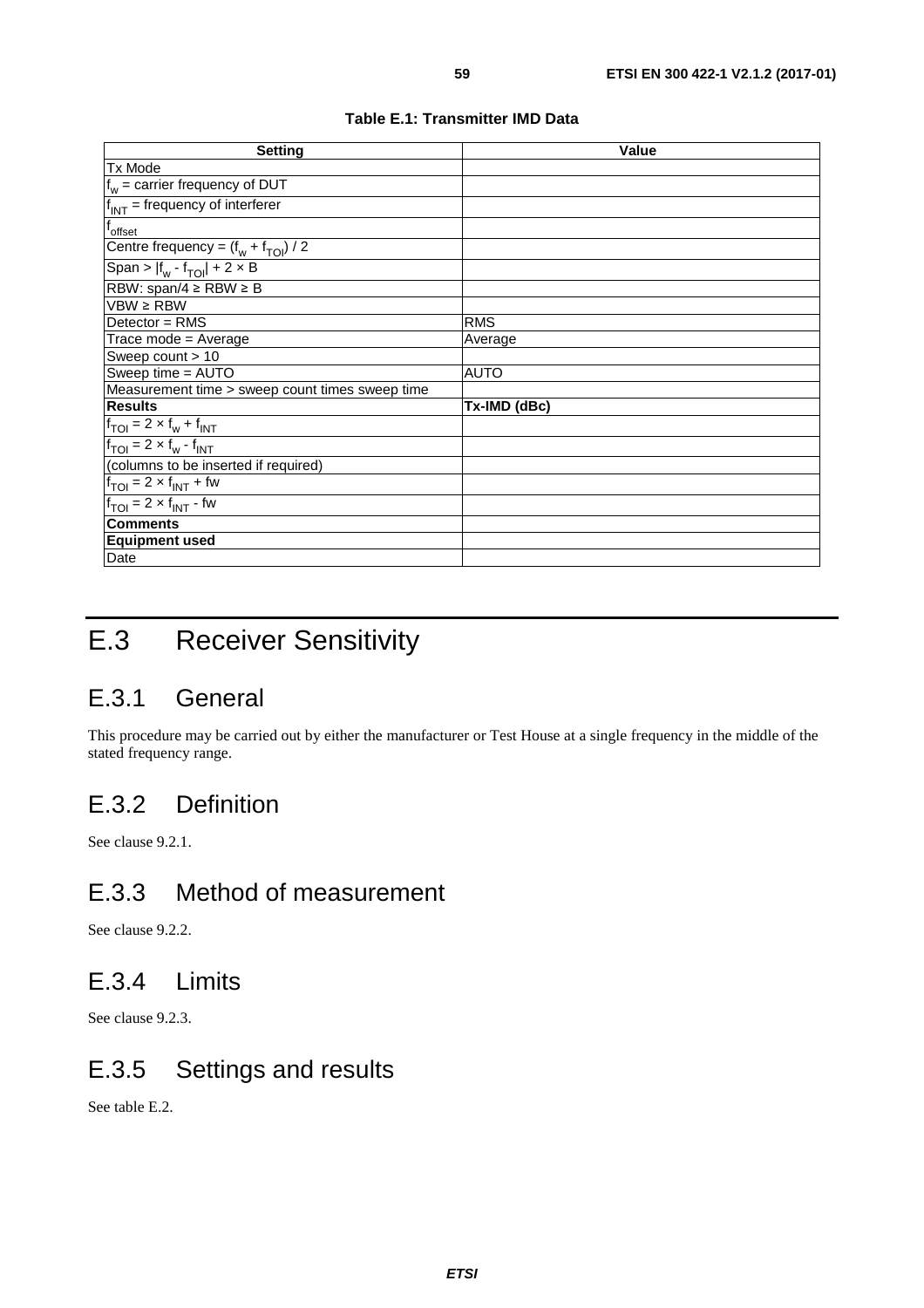| Table E.1: Transmitter IMD Data |  |
|---------------------------------|--|
|---------------------------------|--|

<span id="page-58-0"></span>

| <b>Setting</b>                                            | <b>Value</b> |
|-----------------------------------------------------------|--------------|
| <b>Tx Mode</b>                                            |              |
| $f_w$ = carrier frequency of DUT                          |              |
| $f_{INT}$ = frequency of interferer                       |              |
| f <sub>offset</sub>                                       |              |
| Centre frequency = $(f_w + f_{TOI}) / 2$                  |              |
| Span > $ f_w - f_{TOI} $ + 2 × B                          |              |
| RBW: span/4 $\ge$ RBW $\ge$ B                             |              |
| $VBW \ge RBW$                                             |              |
| Detector = RMS                                            | <b>RMS</b>   |
| Trace mode = Average                                      | Average      |
| Sweep count $> 10$                                        |              |
| Sweep time = AUTO                                         | AUTO         |
| Measurement time > sweep count times sweep time           |              |
| <b>Results</b>                                            | Tx-IMD (dBc) |
| $f_{TOI}$ = 2 × $f_w$ + $f_{INT}$                         |              |
| $f_{\text{TOI}} = 2 \times f_{\text{w}} - f_{\text{INT}}$ |              |
| (columns to be inserted if required)                      |              |
| $f_{TOI}$ = 2 $\times$ $f_{INT}$ + fw                     |              |
| $f_{TOI} = 2 \times f_{INT}$ - fw                         |              |
| <b>Comments</b>                                           |              |
| <b>Equipment used</b>                                     |              |
| Date                                                      |              |

## E.3 Receiver Sensitivity

### E.3.1 General

This procedure may be carried out by either the manufacturer or Test House at a single frequency in the middle of the stated frequency range.

## E.3.2 Definition

See clause 9.2.1.

## E.3.3 Method of measurement

See clause 9.2.2.

## E.3.4 Limits

See clause 9.2.3.

## E.3.5 Settings and results

See table E.2.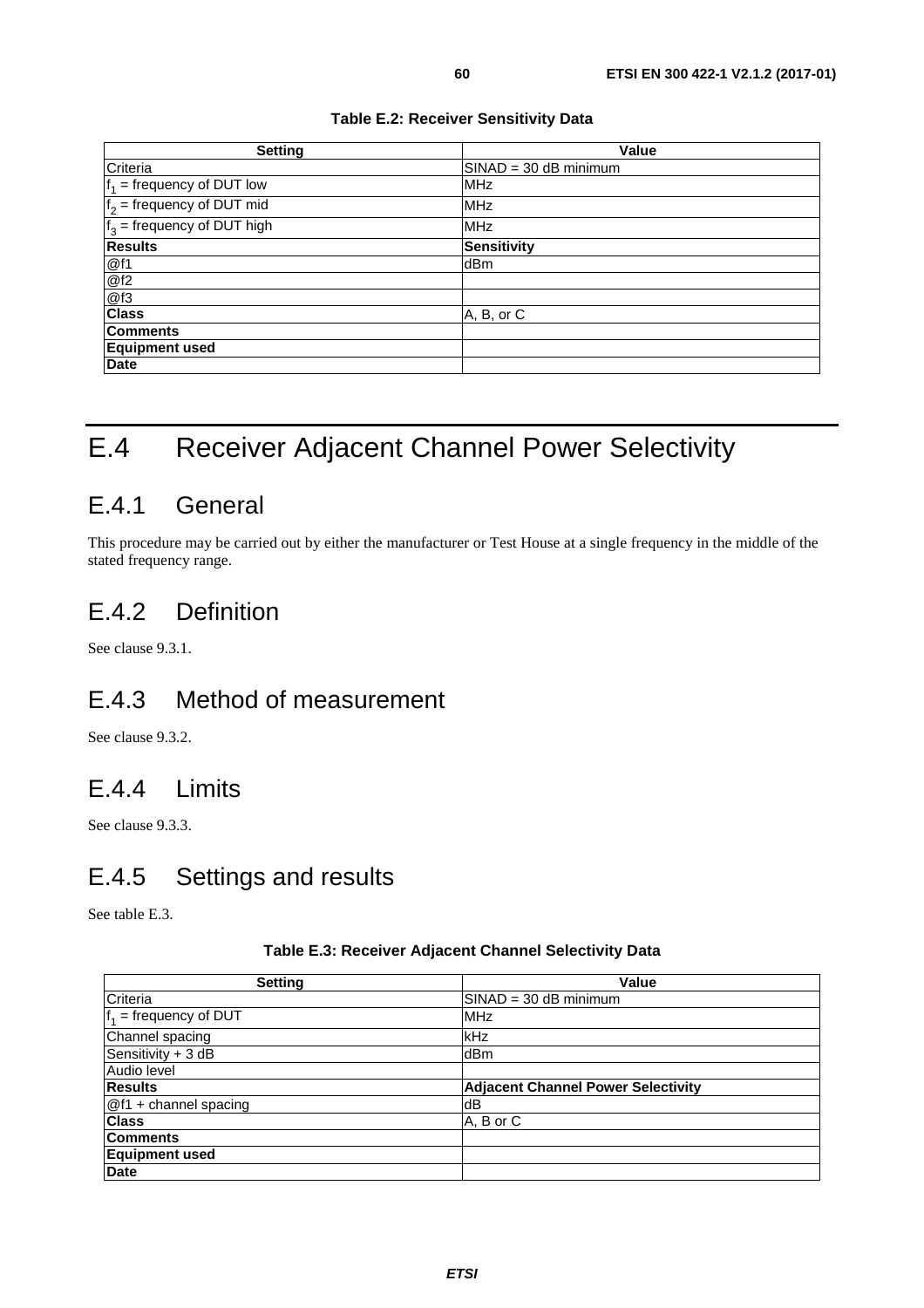<span id="page-59-0"></span>

| <b>Setting</b>                | <b>Value</b>            |
|-------------------------------|-------------------------|
| Criteria                      | $SINAD = 30$ dB minimum |
| $f_1$ = frequency of DUT low  | <b>MHz</b>              |
| $f2$ = frequency of DUT mid   | <b>MHz</b>              |
| $f_3$ = frequency of DUT high | <b>MHz</b>              |
| <b>Results</b>                | <b>Sensitivity</b>      |
| @f1                           | dBm                     |
| @f2                           |                         |
| @f3                           |                         |
| <b>Class</b>                  | A, B, or C              |
| <b>Comments</b>               |                         |
| <b>Equipment used</b>         |                         |
| <b>Date</b>                   |                         |

## E.4 Receiver Adjacent Channel Power Selectivity

### E.4.1 General

This procedure may be carried out by either the manufacturer or Test House at a single frequency in the middle of the stated frequency range.

## E.4.2 Definition

See clause 9.3.1.

## E.4.3 Method of measurement

See clause 9.3.2.

### E.4.4 Limits

See clause 9.3.3.

### E.4.5 Settings and results

See table E.3.

#### **Table E.3: Receiver Adjacent Channel Selectivity Data**

| <b>Setting</b>           | Value                                     |
|--------------------------|-------------------------------------------|
| Criteria                 | $SINAD = 30$ dB minimum                   |
| $f_1$ = frequency of DUT | <b>MHz</b>                                |
| Channel spacing          | kHz                                       |
| Sensitivity + 3 dB       | dBm                                       |
| Audio level              |                                           |
| <b>Results</b>           | <b>Adjacent Channel Power Selectivity</b> |
| @f1 + channel spacing    | dB                                        |
| <b>Class</b>             | A, B or C                                 |
| <b>Comments</b>          |                                           |
| <b>Equipment used</b>    |                                           |
| <b>Date</b>              |                                           |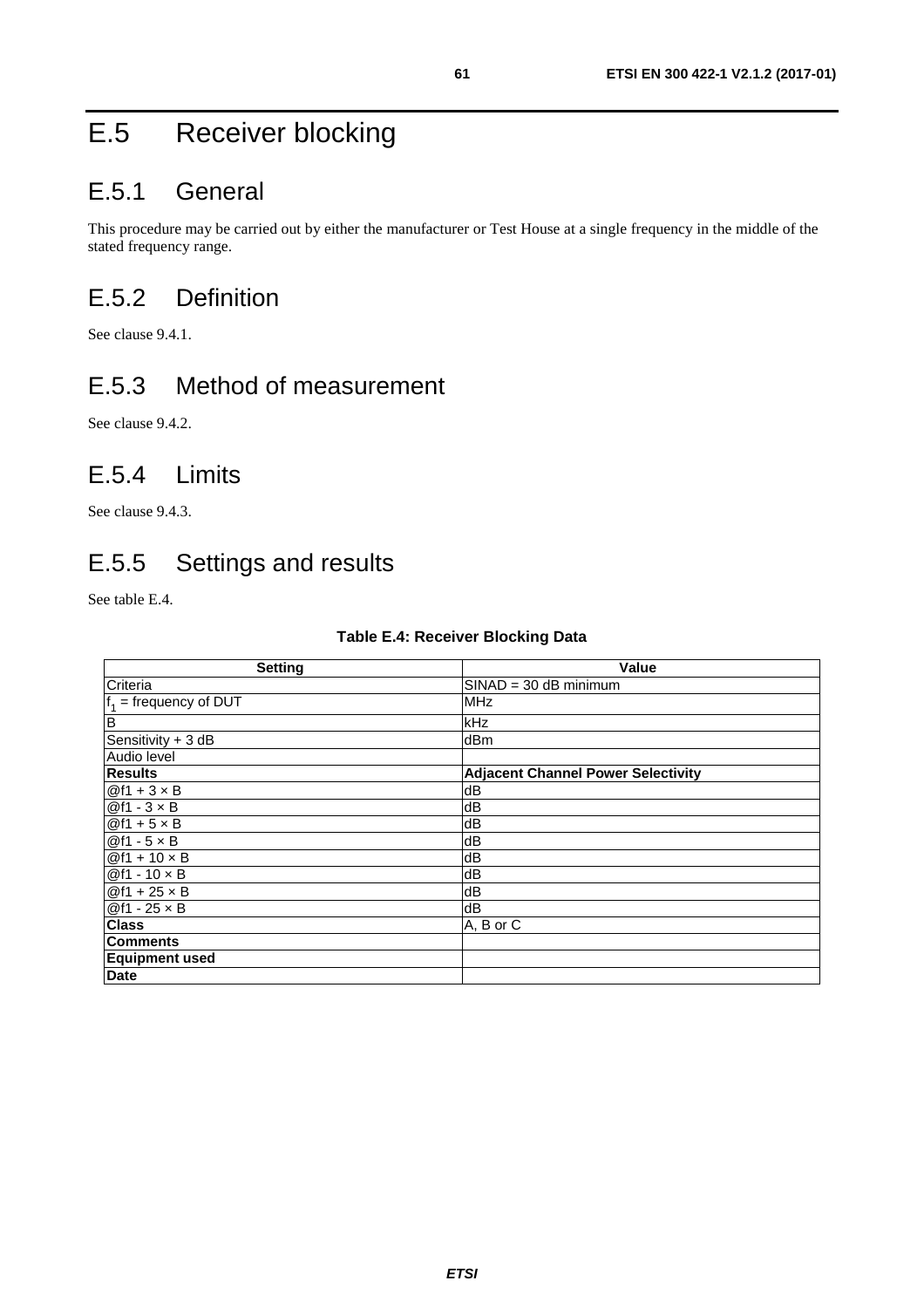## <span id="page-60-0"></span>E.5 Receiver blocking

## E.5.1 General

This procedure may be carried out by either the manufacturer or Test House at a single frequency in the middle of the stated frequency range.

## E.5.2 Definition

See clause 9.4.1.

## E.5.3 Method of measurement

See clause 9.4.2.

## E.5.4 Limits

See clause 9.4.3.

## E.5.5 Settings and results

See table E.4.

| <b>Table E.4: Receiver Blocking Data</b> |  |
|------------------------------------------|--|
|------------------------------------------|--|

| <b>Setting</b>           | <b>Value</b>                              |
|--------------------------|-------------------------------------------|
| Criteria                 | $SINAD = 30$ dB minimum                   |
| $f_1$ = frequency of DUT | <b>MHz</b>                                |
| B                        | kHz                                       |
| Sensitivity + 3 dB       | dBm                                       |
| Audio level              |                                           |
| <b>Results</b>           | <b>Adjacent Channel Power Selectivity</b> |
| $@f1 + 3 \times B$       | dB                                        |
| $@f1 - 3 \times B$       | dB                                        |
| $@f1 + 5 \times B$       | dB                                        |
| $@f1 - 5 \times B$       | dB                                        |
| $@f1 + 10 \times B$      | dB                                        |
| $@f1 - 10 \times B$      | dB                                        |
| $@f1 + 25 \times B$      | dB                                        |
| $@f1 - 25 \times B$      | ldΒ                                       |
| <b>Class</b>             | A, B or C                                 |
| <b>Comments</b>          |                                           |
| <b>Equipment used</b>    |                                           |
| Date                     |                                           |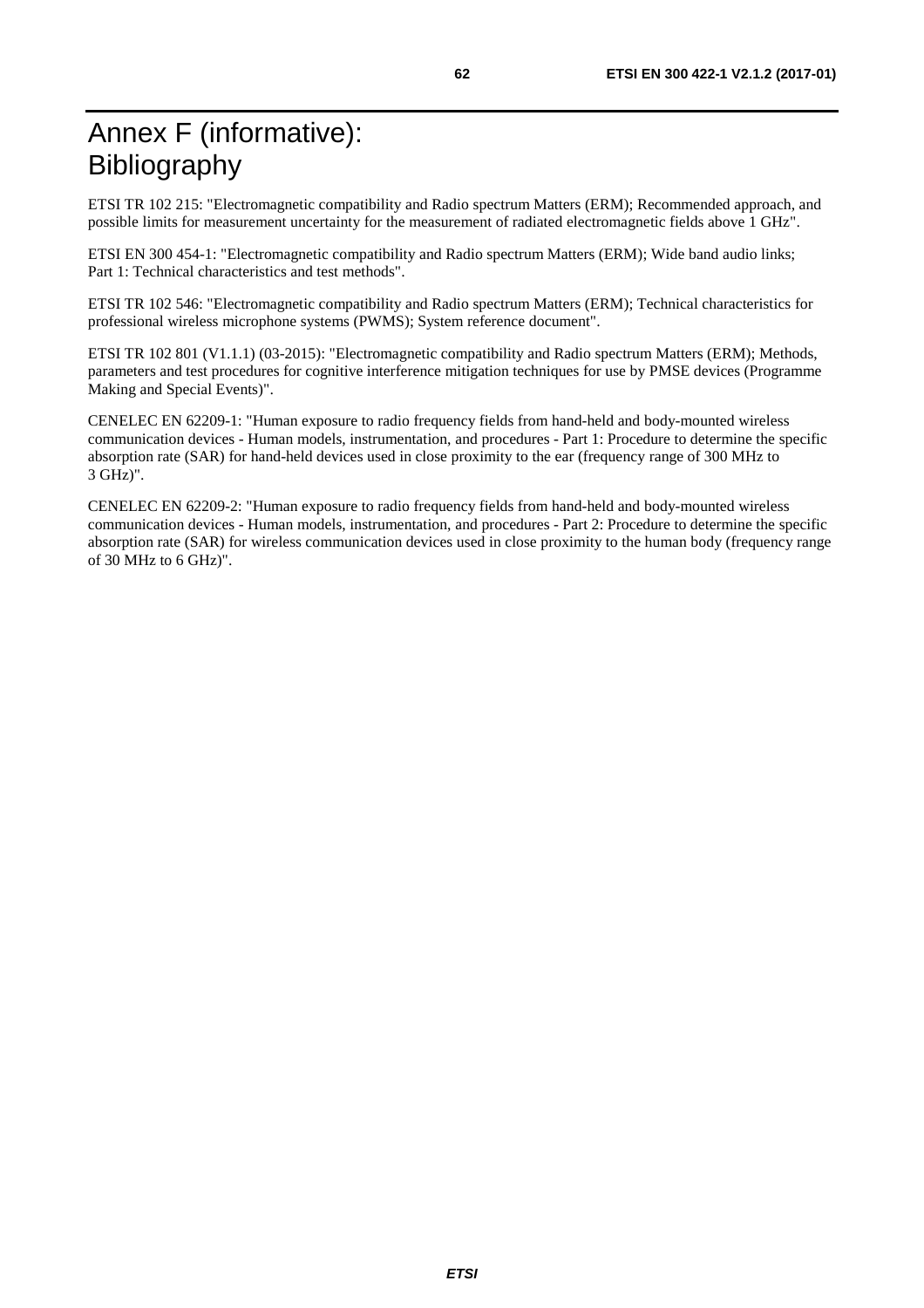<span id="page-61-0"></span>ETSI TR 102 215: "Electromagnetic compatibility and Radio spectrum Matters (ERM); Recommended approach, and possible limits for measurement uncertainty for the measurement of radiated electromagnetic fields above 1 GHz".

ETSI EN 300 454-1: "Electromagnetic compatibility and Radio spectrum Matters (ERM); Wide band audio links; Part 1: Technical characteristics and test methods".

ETSI TR 102 546: "Electromagnetic compatibility and Radio spectrum Matters (ERM); Technical characteristics for professional wireless microphone systems (PWMS); System reference document".

ETSI TR 102 801 (V1.1.1) (03-2015): "Electromagnetic compatibility and Radio spectrum Matters (ERM); Methods, parameters and test procedures for cognitive interference mitigation techniques for use by PMSE devices (Programme Making and Special Events)".

CENELEC EN 62209-1: "Human exposure to radio frequency fields from hand-held and body-mounted wireless communication devices - Human models, instrumentation, and procedures - Part 1: Procedure to determine the specific absorption rate (SAR) for hand-held devices used in close proximity to the ear (frequency range of 300 MHz to 3 GHz)".

CENELEC EN 62209-2: "Human exposure to radio frequency fields from hand-held and body-mounted wireless communication devices - Human models, instrumentation, and procedures - Part 2: Procedure to determine the specific absorption rate (SAR) for wireless communication devices used in close proximity to the human body (frequency range of 30 MHz to 6 GHz)".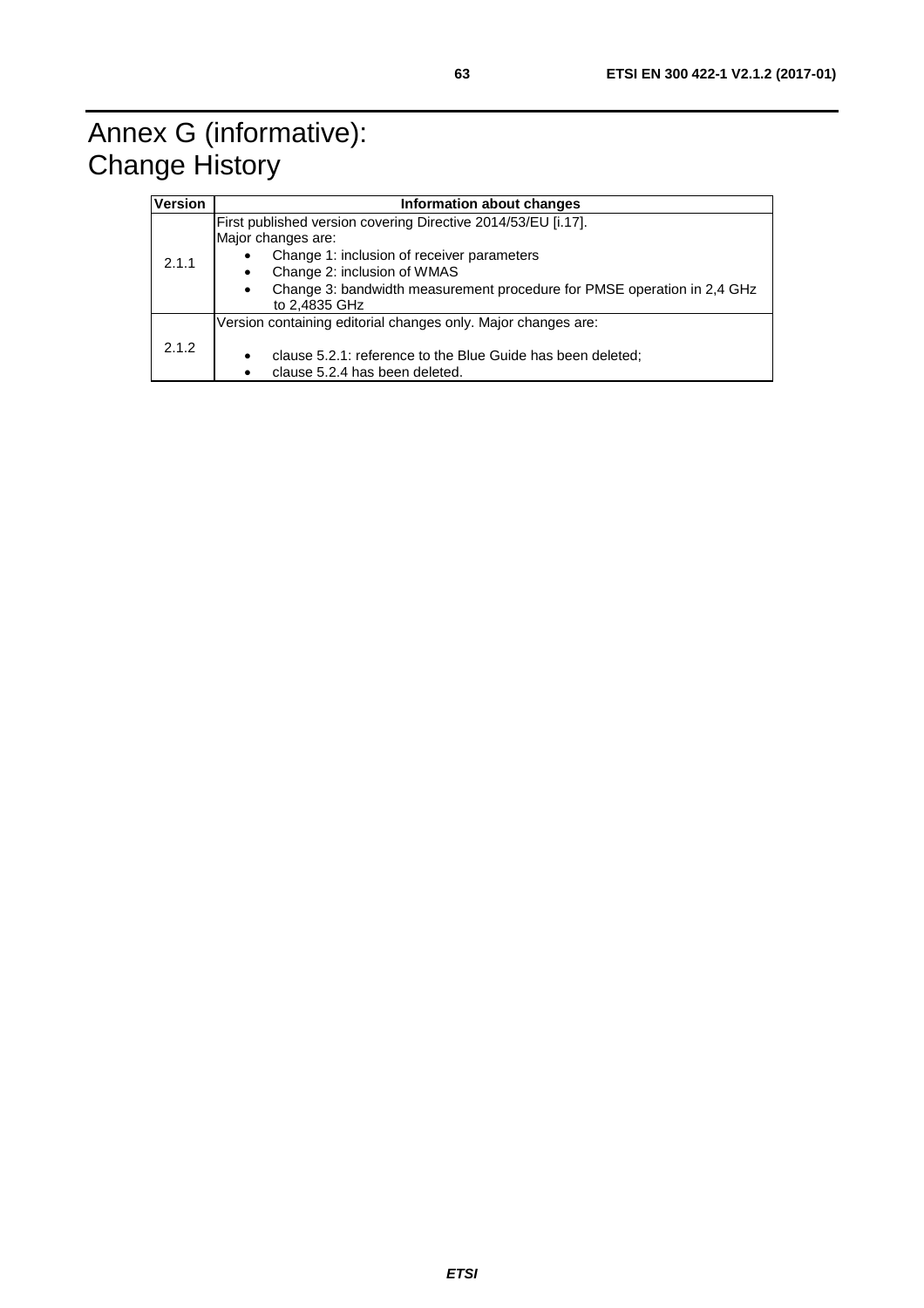<span id="page-62-0"></span>

| <b>Version</b> | Information about changes                                                                                                                                                                                                                                                              |  |  |
|----------------|----------------------------------------------------------------------------------------------------------------------------------------------------------------------------------------------------------------------------------------------------------------------------------------|--|--|
| 2.1.1          | First published version covering Directive 2014/53/EU [i.17].<br>Major changes are:<br>Change 1: inclusion of receiver parameters<br>Change 2: inclusion of WMAS<br>$\bullet$<br>Change 3: bandwidth measurement procedure for PMSE operation in 2.4 GHz<br>$\bullet$<br>to 2,4835 GHz |  |  |
| 2.1.2          | Version containing editorial changes only. Major changes are:<br>clause 5.2.1: reference to the Blue Guide has been deleted;<br>٠<br>clause 5.2.4 has been deleted.                                                                                                                    |  |  |